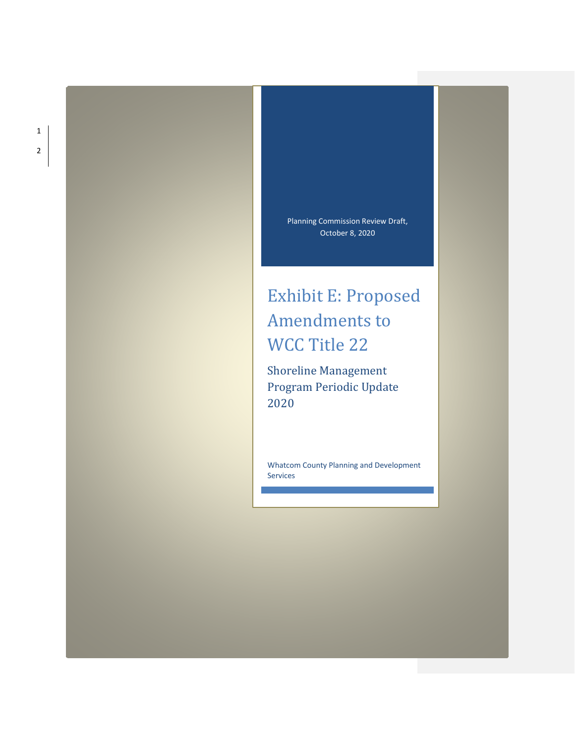Planning Commission Review Draft, October 8, 2020

# Exhibit E: Proposed Amendments to WCC Title 22

Shoreline Management Program Periodic Update 2020

Whatcom County Planning and Development Services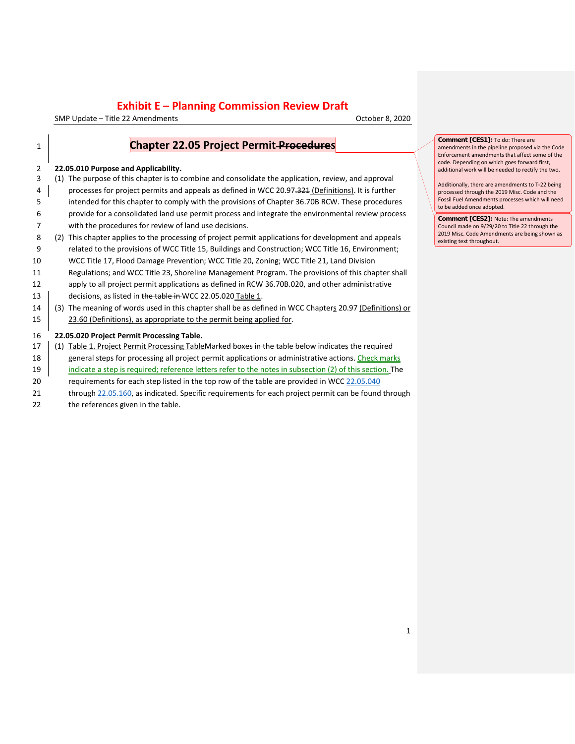SMP Update – Title 22 Amendments October 8, 2020

| $\mathbf{1}$   | <b>Chapter 22.05 Project Permit Procedures</b>                                                           | Com<br>amer<br>Enfor |
|----------------|----------------------------------------------------------------------------------------------------------|----------------------|
| $\overline{2}$ | 22.05.010 Purpose and Applicability.                                                                     | code<br>addit        |
| 3              | (1) The purpose of this chapter is to combine and consolidate the application, review, and approval      | Addit                |
| 4              | processes for project permits and appeals as defined in WCC 20.97.321 (Definitions). It is further       | proce                |
| 5              | intended for this chapter to comply with the provisions of Chapter 36.70B RCW. These procedures          | Fossi<br>to be       |
| 6              | provide for a consolidated land use permit process and integrate the environmental review process        | Com                  |
| 7              | with the procedures for review of land use decisions.                                                    | Coun                 |
| 8              | (2) This chapter applies to the processing of project permit applications for development and appeals    | 2019<br>existi       |
| 9              | related to the provisions of WCC Title 15, Buildings and Construction; WCC Title 16, Environment;        |                      |
| 10             | WCC Title 17, Flood Damage Prevention; WCC Title 20, Zoning; WCC Title 21, Land Division                 |                      |
| 11             | Regulations; and WCC Title 23, Shoreline Management Program. The provisions of this chapter shall        |                      |
| 12             | apply to all project permit applications as defined in RCW 36.70B.020, and other administrative          |                      |
| 13             | decisions, as listed in the table in WCC 22.05.020 Table 1.                                              |                      |
| 14             | (3) The meaning of words used in this chapter shall be as defined in WCC Chapters 20.97 (Definitions) or |                      |
| 15             | 23.60 (Definitions), as appropriate to the permit being applied for.                                     |                      |
| 16             | 22.05.020 Project Permit Processing Table.                                                               |                      |
| 17             | (1) Table 1. Project Permit Processing Table Marked boxes in the table below indicates the required      |                      |
| 18             | general steps for processing all project permit applications or administrative actions. Check marks      |                      |
| 19             | indicate a step is required; reference letters refer to the notes in subsection (2) of this section. The |                      |
| 20             | requirements for each step listed in the top row of the table are provided in WCC 22.05.040              |                      |
| 21             | through 22.05.160, as indicated. Specific requirements for each project permit can be found through      |                      |
| 22             | the references given in the table.                                                                       |                      |
|                |                                                                                                          |                      |

**nment [CES1]:** To do: There are amendments in the pipeline proposed via the Code Enforcement amendments that affect some of the . Depending on which goes forward first, tional work will be needed to rectify the two.

itionally, there are amendments to T-22 being essed through the 2019 Misc. Code and the il Fuel Amendments processes which will need added once adopted.

**nment [CES2]:** Note: The amendments ncil made on 9/29/20 to Title 22 through the 2019 Misc. Code Amendments are being shown as ing text throughout.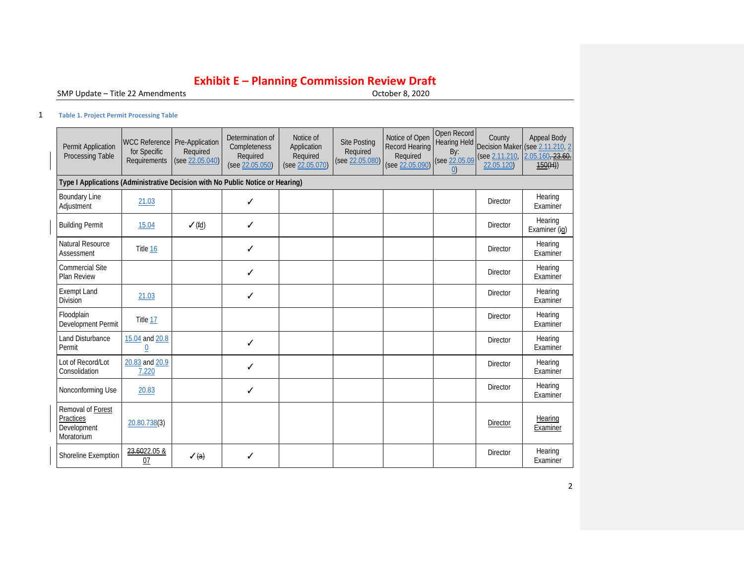SMP Update - Title 22 Amendments

#### 1 **Table 1. Project Permit Processing Table**

<span id="page-2-0"></span>

| Permit Application<br>Processing Table                                         | WCC Reference Pre-Application<br>for Specific<br>Requirements | Required<br>(see 22.05.040) | Determination of<br>Completeness<br>Required<br>(see 22.05.050) | Notice of<br>Application<br>Required<br>(see 22.05.070) | <b>Site Posting</b><br>Required<br>(see 22.05.080) | Notice of Open<br><b>Record Hearing</b><br>Required<br>(see 22.05.090) | Open Record<br><b>Hearing Held</b><br>By:<br>(see 22.05.09<br>(0) | County<br>(see 2.11.210)<br>22.05.120) | <b>Appeal Body</b><br>Decision Maker (see 2.11.210, 2<br>2.05.160, 23.60.<br>150(H) |
|--------------------------------------------------------------------------------|---------------------------------------------------------------|-----------------------------|-----------------------------------------------------------------|---------------------------------------------------------|----------------------------------------------------|------------------------------------------------------------------------|-------------------------------------------------------------------|----------------------------------------|-------------------------------------------------------------------------------------|
| Type I Applications (Administrative Decision with No Public Notice or Hearing) |                                                               |                             |                                                                 |                                                         |                                                    |                                                                        |                                                                   |                                        |                                                                                     |
| <b>Boundary Line</b><br>Adjustment                                             | 21.03                                                         |                             | ✓                                                               |                                                         |                                                    |                                                                        |                                                                   | Director                               | Hearing<br>Examiner                                                                 |
| <b>Building Permit</b>                                                         | 15.04                                                         | $\checkmark$ (fd)           | ✓                                                               |                                                         |                                                    |                                                                        |                                                                   | <b>Director</b>                        | Hearing<br>Examiner (ig)                                                            |
| <b>Natural Resource</b><br>Assessment                                          | Title 16                                                      |                             | ✓                                                               |                                                         |                                                    |                                                                        |                                                                   | <b>Director</b>                        | Hearing<br>Examiner                                                                 |
| <b>Commercial Site</b><br>Plan Review                                          |                                                               |                             | ✓                                                               |                                                         |                                                    |                                                                        |                                                                   | Director                               | Hearing<br>Examiner                                                                 |
| <b>Exempt Land</b><br><b>Division</b>                                          | 21.03                                                         |                             | ✓                                                               |                                                         |                                                    |                                                                        |                                                                   | <b>Director</b>                        | Hearing<br>Examiner                                                                 |
| Floodplain<br>Development Permit                                               | Title 17                                                      |                             |                                                                 |                                                         |                                                    |                                                                        |                                                                   | <b>Director</b>                        | Hearing<br>Examiner                                                                 |
| Land Disturbance<br>Permit                                                     | 15.04 and 20.8<br>$\underline{0}$                             |                             | ✓                                                               |                                                         |                                                    |                                                                        |                                                                   | <b>Director</b>                        | Hearing<br>Examiner                                                                 |
| Lot of Record/Lot<br>Consolidation                                             | 20.83 and 20.9<br>7.220                                       |                             | ✓                                                               |                                                         |                                                    |                                                                        |                                                                   | <b>Director</b>                        | Hearing<br>Examiner                                                                 |
| Nonconforming Use                                                              | 20.83                                                         |                             | ✓                                                               |                                                         |                                                    |                                                                        |                                                                   | Director                               | Hearing<br>Examiner                                                                 |
| Removal of Forest<br>Practices<br>Development<br>Moratorium                    | 20.80.738(3)                                                  |                             |                                                                 |                                                         |                                                    |                                                                        |                                                                   | Director                               | Hearing<br>Examiner                                                                 |
| Shoreline Exemption                                                            | 23.6022.05 &<br>07                                            | $\sqrt{(a)}$                | ✓                                                               |                                                         |                                                    |                                                                        |                                                                   | Director                               | Hearing<br>Examiner                                                                 |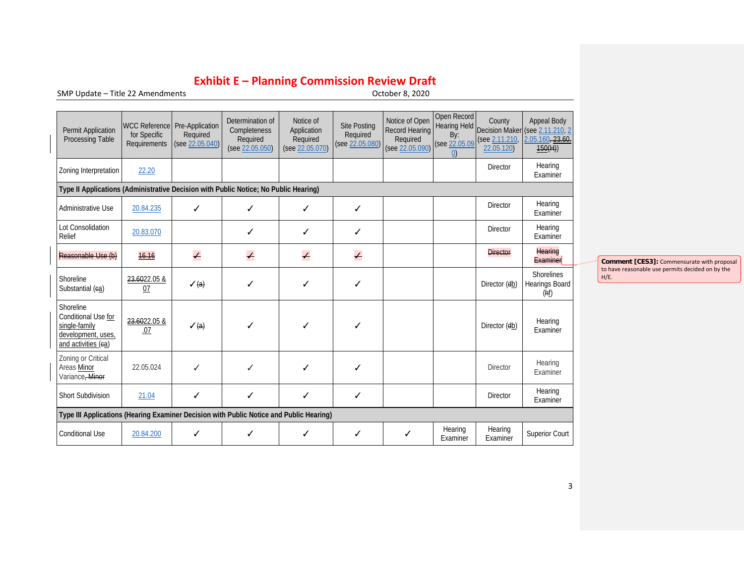SMP Update - Title 22 Amendments

| Permit Application<br>Processing Table                                                         | WCC Reference Pre-Application<br>for Specific<br>Requirements | Required<br>(see 22.05.040) | Determination of<br>Completeness<br>Required<br>(see 22.05.050) | Notice of<br>Application<br>Required<br>(see 22.05.070) | <b>Site Posting</b><br>Required<br>(see 22.05.080) | Notice of Open<br><b>Record Hearing</b><br>Required<br>(see 22.05.090) | Open Record<br><b>Hearing Held</b><br>By:<br>(see 22.05.09<br>(0) | County<br>(see 2.11.210<br>22.05.120) | Appeal Body<br>Decision Maker (see 2.11.210, 2<br>2.05.160, 23.60.<br>150(H) |                 |
|------------------------------------------------------------------------------------------------|---------------------------------------------------------------|-----------------------------|-----------------------------------------------------------------|---------------------------------------------------------|----------------------------------------------------|------------------------------------------------------------------------|-------------------------------------------------------------------|---------------------------------------|------------------------------------------------------------------------------|-----------------|
| Zoning Interpretation                                                                          | 22.20                                                         |                             |                                                                 |                                                         |                                                    |                                                                        |                                                                   | <b>Director</b>                       | Hearing<br>Examiner                                                          |                 |
| Type II Applications (Administrative Decision with Public Notice; No Public Hearing)           |                                                               |                             |                                                                 |                                                         |                                                    |                                                                        |                                                                   |                                       |                                                                              |                 |
| Administrative Use                                                                             | 20.84.235                                                     | ✓                           | ✓                                                               | ✓                                                       | ✓                                                  |                                                                        |                                                                   | <b>Director</b>                       | Hearing<br>Examiner                                                          |                 |
| Lot Consolidation<br>Relief                                                                    | 20.83.070                                                     |                             | ✓                                                               | ✓                                                       | ✓                                                  |                                                                        |                                                                   | Director                              | Hearing<br>Examiner                                                          |                 |
| Reasonable Use (b)                                                                             | 16.16                                                         | $\overline{\phantom{0}}$    | $\overline{\mathcal{L}}$                                        | $\overline{\mathcal{L}}$                                | $\overline{\phantom{0}}$                           |                                                                        |                                                                   | <b>Director</b>                       | <b>Hearing</b><br>Examiner                                                   | Comm            |
| Shoreline<br>Substantial (ea)                                                                  | 23.6022.05 &<br>07                                            | $\sqrt{a}$                  | ✓                                                               | ✓                                                       | ✓                                                  |                                                                        |                                                                   | Director (db)                         | <b>Shorelines</b><br>Hearings Board<br>(hf)                                  | to have<br>H/E. |
| Shoreline<br>Conditional Use for<br>single-family<br>development, uses,<br>and activities (ea) | 23.6022.05 &<br>.07                                           | $\sqrt{a}$                  | ✓                                                               | ✓                                                       | ✓                                                  |                                                                        |                                                                   | Director (db)                         | Hearing<br>Examiner                                                          |                 |
| Zoning or Critical<br>Areas Minor<br>Variance, Minor                                           | 22.05.024                                                     | ✓                           | ✓                                                               | ✓                                                       | ✓                                                  |                                                                        |                                                                   | <b>Director</b>                       | Hearing<br>Examiner                                                          |                 |
| Short Subdivision                                                                              | 21.04                                                         | ✓                           | ✓                                                               | ✓                                                       | ✓                                                  |                                                                        |                                                                   | <b>Director</b>                       | Hearing<br>Examiner                                                          |                 |
| Type III Applications (Hearing Examiner Decision with Public Notice and Public Hearing)        |                                                               |                             |                                                                 |                                                         |                                                    |                                                                        |                                                                   |                                       |                                                                              |                 |
| <b>Conditional Use</b>                                                                         | 20.84.200                                                     | ✓                           | ✓                                                               | ✓                                                       | ✓                                                  | ✓                                                                      | Hearing<br>Examiner                                               | Hearing<br>Examiner                   | <b>Superior Court</b>                                                        |                 |

**Comment [CES3]:** Commensurate with proposal to have reasonable use permits decided on by the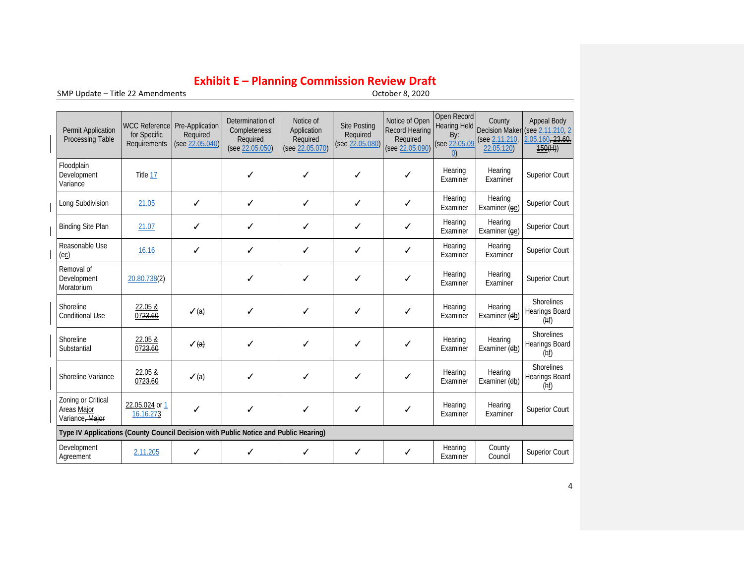$SMP$  Update – Title 22 Amendments

| Permit Application<br>Processing Table                                               | <b>WCC Reference</b><br>for Specific<br>Requirements | Pre-Application<br>Required<br>(see 22.05.040) | Determination of<br>Completeness<br>Required<br>(see 22.05.050) | Notice of<br>Application<br>Required<br>(see 22.05.070) | <b>Site Posting</b><br>Required<br>(see 22.05.080) | Notice of Open<br>Record Hearing<br>Required<br>(see 22.05.090) | Open Record<br>Hearing Held<br>By:<br>(see 22.05.09<br>$\cup$ | County<br>(see 2.11.210)<br>22.05.120) | <b>Appeal Body</b><br>Decision Maker (see 2.11.210, 2<br>2.05.160, 23.60.<br>150(H) |
|--------------------------------------------------------------------------------------|------------------------------------------------------|------------------------------------------------|-----------------------------------------------------------------|---------------------------------------------------------|----------------------------------------------------|-----------------------------------------------------------------|---------------------------------------------------------------|----------------------------------------|-------------------------------------------------------------------------------------|
| Floodplain<br>Development<br>Variance                                                | Title 17                                             |                                                | ✓                                                               | ✓                                                       | ✓                                                  | ✓                                                               | Hearing<br>Examiner                                           | Hearing<br>Examiner                    | <b>Superior Court</b>                                                               |
| Long Subdivision                                                                     | 21.05                                                | ✓                                              | ✓                                                               | ✓                                                       | ✓                                                  | ✓                                                               | Hearing<br>Examiner                                           | Hearing<br>Examiner (ge)               | <b>Superior Court</b>                                                               |
| <b>Binding Site Plan</b>                                                             | 21.07                                                | ✓                                              | ✓                                                               | ✓                                                       | ✓                                                  | ✓                                                               | Hearing<br>Examiner                                           | Hearing<br>Examiner (ge)               | Superior Court                                                                      |
| Reasonable Use<br>$\left($ ec $\right)$                                              | 16.16                                                | ✓                                              | ✓                                                               | ✓                                                       | ✓                                                  | ✓                                                               | Hearing<br>Examiner                                           | Hearing<br>Examiner                    | Superior Court                                                                      |
| Removal of<br>Development<br>Moratorium                                              | 20.80.738(2)                                         |                                                | ✓                                                               | ✓                                                       | ✓                                                  | ✓                                                               | Hearing<br>Examiner                                           | Hearing<br>Examiner                    | <b>Superior Court</b>                                                               |
| Shoreline<br><b>Conditional Use</b>                                                  | 22.05 &<br>0723.60                                   | $\sqrt{a}$                                     | ✓                                                               | ✓                                                       | ✓                                                  | ✓                                                               | Hearing<br>Examiner                                           | Hearing<br>Examiner (db)               | <b>Shorelines</b><br>Hearings Board<br>(hf)                                         |
| Shoreline<br>Substantial                                                             | 22.05 &<br>0723.60                                   | $\sqrt{(a)}$                                   | ✓                                                               | ✓                                                       | ✓                                                  | ✓                                                               | Hearing<br>Examiner                                           | Hearing<br>Examiner (db)               | <b>Shorelines</b><br>Hearings Board<br>(hf)                                         |
| Shoreline Variance                                                                   | 22.05 &<br>0723.60                                   | $\sqrt{a}$                                     | ✓                                                               | ✓                                                       | ✓                                                  | ✓                                                               | Hearing<br>Examiner                                           | Hearing<br>Examiner (db)               | <b>Shorelines</b><br>Hearings Board<br>(hf)                                         |
| Zoning or Critical<br>Areas Maior<br>Variance, Major                                 | 22.05.024 or 1<br>16.16.273                          | ✓                                              | ✓                                                               | ✓                                                       | ✓                                                  | ✓                                                               | Hearing<br>Examiner                                           | Hearing<br>Examiner                    | Superior Court                                                                      |
| Type IV Applications (County Council Decision with Public Notice and Public Hearing) |                                                      |                                                |                                                                 |                                                         |                                                    |                                                                 |                                                               |                                        |                                                                                     |
| Development<br>Agreement                                                             | 2.11.205                                             | ✓                                              | ✓                                                               | ✓                                                       | ✓                                                  | ✓                                                               | Hearing<br>Examiner                                           | County<br>Council                      | <b>Superior Court</b>                                                               |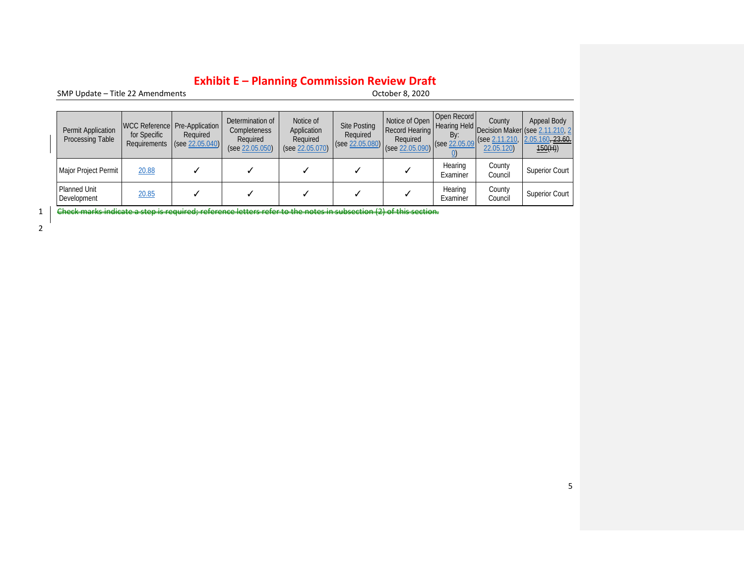SMP Update - Title 22 Amendments

| Permit Application<br>Processing Table | for Specific | WCC Reference Pre-Application<br>Required<br>Requirements $(see 22.05.040)$ |  | Notice of<br>Determination of<br>Application<br>Completeness<br>Required<br>Required<br>(see 22.05.050)<br>(see 22.05.070) |  | Notice of Open<br><b>Record Hearing</b><br>Required<br>$\left  \left( \text{see } \frac{22.05.080}{22.05.090} \right) \right  \right $ | Open Record<br>By:<br>(see 22.05.09) | County<br>$\left  \right $ (see 2.11.210,<br>22.05.120) | Appeal Body<br>n   Hearing Held   Decision Maker (see 2.11.210, 2<br>2.05.160, 23.60.<br>150(H) |
|----------------------------------------|--------------|-----------------------------------------------------------------------------|--|----------------------------------------------------------------------------------------------------------------------------|--|----------------------------------------------------------------------------------------------------------------------------------------|--------------------------------------|---------------------------------------------------------|-------------------------------------------------------------------------------------------------|
| Major Project Permit                   | 20.88        |                                                                             |  |                                                                                                                            |  |                                                                                                                                        | Hearing<br>Examiner                  | County<br>Council                                       | <b>Superior Court</b>                                                                           |
| <b>Planned Unit</b><br>Development     | 20.85        |                                                                             |  |                                                                                                                            |  |                                                                                                                                        | Hearing<br>Examiner                  | County<br>Council                                       | <b>Superior Court</b>                                                                           |

1 <del>Check marks indicate a step is required; reference letters refer to the notes in subsection (2) of this section.</del>

2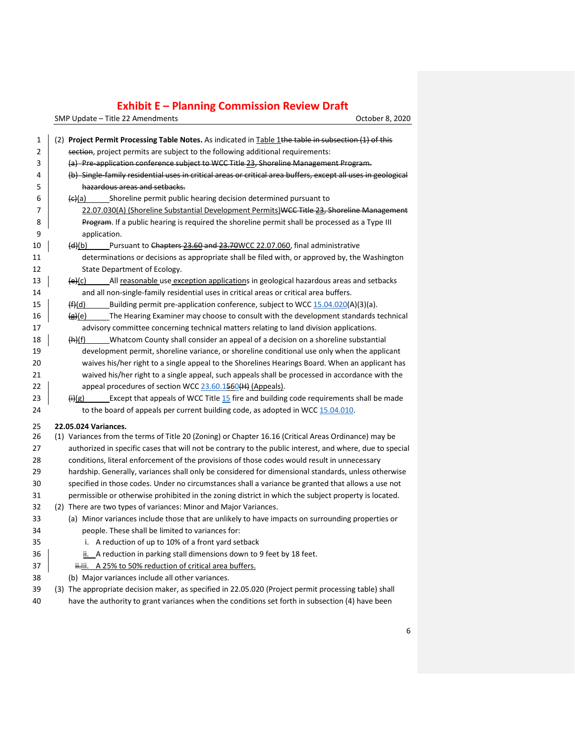| 1  | (2) Project Permit Processing Table Notes. As indicated in Table 1the table in subsection (1) of this           |
|----|-----------------------------------------------------------------------------------------------------------------|
| 2  | section, project permits are subject to the following additional requirements:                                  |
| 3  | (a) Pre-application conference subject to WCC Title 23, Shoreline Management Program.                           |
| 4  | (b) Single family residential uses in critical areas or critical area buffers, except all uses in geological    |
| 5  | hazardous areas and setbacks.                                                                                   |
| 6  | Shoreline permit public hearing decision determined pursuant to<br><del>(c)</del> (a)                           |
| 7  | 22.07.030(A) (Shoreline Substantial Development Permits) WCC Title 23, Shoreline Management                     |
| 8  | Program. If a public hearing is required the shoreline permit shall be processed as a Type III                  |
| 9  | application.                                                                                                    |
| 10 | Pursuant to Chapters 23.60 and 23.70WCC 22.07.060, final administrative<br>(d)(b)                               |
| 11 | determinations or decisions as appropriate shall be filed with, or approved by, the Washington                  |
| 12 | State Department of Ecology.                                                                                    |
| 13 | $\left(\frac{e}{c}\right)$ All reasonable use exception applications in geological hazardous areas and setbacks |
| 14 | and all non-single-family residential uses in critical areas or critical area buffers.                          |
| 15 | Building permit pre-application conference, subject to WCC 15.04.020(A)(3)(a).<br>(f)(d)                        |
| 16 | The Hearing Examiner may choose to consult with the development standards technical<br><del>(g)</del> (e)       |
| 17 | advisory committee concerning technical matters relating to land division applications.                         |
| 18 | Whatcom County shall consider an appeal of a decision on a shoreline substantial<br>(h)(f)                      |
| 19 | development permit, shoreline variance, or shoreline conditional use only when the applicant                    |
| 20 | waives his/her right to a single appeal to the Shorelines Hearings Board. When an applicant has                 |
| 21 | waived his/her right to a single appeal, such appeals shall be processed in accordance with the                 |
| 22 | appeal procedures of section WCC 23.60.1560(H) (Appeals).                                                       |
| 23 | Except that appeals of WCC Title 15 fire and building code requirements shall be made<br>(ii)(g)                |
| 24 | to the board of appeals per current building code, as adopted in WCC 15.04.010.                                 |
| 25 | 22.05.024 Variances.                                                                                            |
| 26 | (1) Variances from the terms of Title 20 (Zoning) or Chapter 16.16 (Critical Areas Ordinance) may be            |
| 27 | authorized in specific cases that will not be contrary to the public interest, and where, due to special        |
| 28 | conditions, literal enforcement of the provisions of those codes would result in unnecessary                    |
| 29 | hardship. Generally, variances shall only be considered for dimensional standards, unless otherwise             |
| 30 | specified in those codes. Under no circumstances shall a variance be granted that allows a use not              |
| 31 | permissible or otherwise prohibited in the zoning district in which the subject property is located.            |
| 32 | (2) There are two types of variances: Minor and Major Variances.                                                |
| 33 | (a) Minor variances include those that are unlikely to have impacts on surrounding properties or                |
| 34 | people. These shall be limited to variances for:                                                                |
| 35 | i. A reduction of up to 10% of a front yard setback                                                             |
| 36 | ii. A reduction in parking stall dimensions down to 9 feet by 18 feet.                                          |
| 37 | ii.ii. A 25% to 50% reduction of critical area buffers.                                                         |
| 38 | (b) Major variances include all other variances.                                                                |
| 39 | (3) The appropriate decision maker, as specified in 22.05.020 (Project permit processing table) shall           |
| 40 | have the authority to grant variances when the conditions set forth in subsection (4) have been                 |
|    |                                                                                                                 |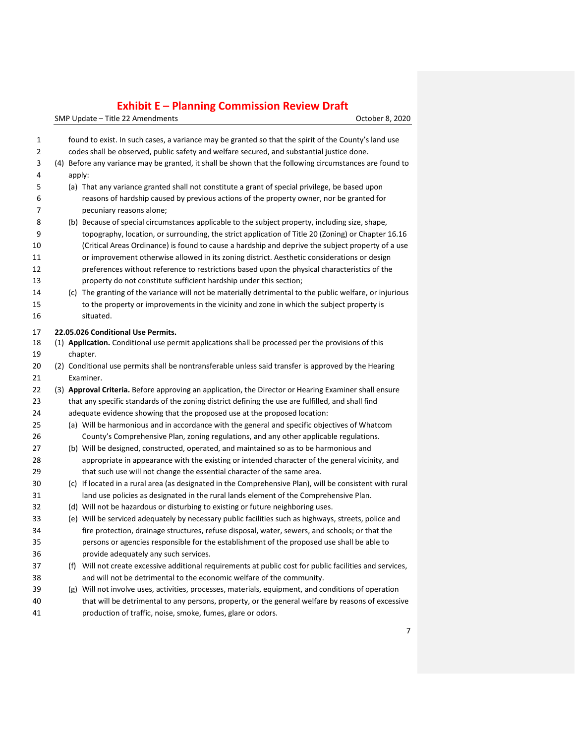| 1           | found to exist. In such cases, a variance may be granted so that the spirit of the County's land use                                     |
|-------------|------------------------------------------------------------------------------------------------------------------------------------------|
| $\mathbf 2$ | codes shall be observed, public safety and welfare secured, and substantial justice done.                                                |
| 3           | (4) Before any variance may be granted, it shall be shown that the following circumstances are found to                                  |
| 4           | apply:                                                                                                                                   |
| 5           | (a) That any variance granted shall not constitute a grant of special privilege, be based upon                                           |
| 6           | reasons of hardship caused by previous actions of the property owner, nor be granted for                                                 |
| 7           | pecuniary reasons alone;                                                                                                                 |
| 8           | (b) Because of special circumstances applicable to the subject property, including size, shape,                                          |
| 9           | topography, location, or surrounding, the strict application of Title 20 (Zoning) or Chapter 16.16                                       |
| 10          | (Critical Areas Ordinance) is found to cause a hardship and deprive the subject property of a use                                        |
| 11          | or improvement otherwise allowed in its zoning district. Aesthetic considerations or design                                              |
| 12          | preferences without reference to restrictions based upon the physical characteristics of the                                             |
| 13          | property do not constitute sufficient hardship under this section;                                                                       |
| 14          | (c) The granting of the variance will not be materially detrimental to the public welfare, or injurious                                  |
| 15          | to the property or improvements in the vicinity and zone in which the subject property is                                                |
| 16          | situated.                                                                                                                                |
|             |                                                                                                                                          |
| 17<br>18    | 22.05.026 Conditional Use Permits.<br>(1) Application. Conditional use permit applications shall be processed per the provisions of this |
|             |                                                                                                                                          |
| 19          | chapter.<br>(2) Conditional use permits shall be nontransferable unless said transfer is approved by the Hearing                         |
| 20<br>21    | Examiner.                                                                                                                                |
| 22          | (3) Approval Criteria. Before approving an application, the Director or Hearing Examiner shall ensure                                    |
| 23          | that any specific standards of the zoning district defining the use are fulfilled, and shall find                                        |
| 24          | adequate evidence showing that the proposed use at the proposed location:                                                                |
| 25          | (a) Will be harmonious and in accordance with the general and specific objectives of Whatcom                                             |
| 26          | County's Comprehensive Plan, zoning regulations, and any other applicable regulations.                                                   |
| 27          | (b) Will be designed, constructed, operated, and maintained so as to be harmonious and                                                   |
| 28          | appropriate in appearance with the existing or intended character of the general vicinity, and                                           |
| 29          | that such use will not change the essential character of the same area.                                                                  |
| 30          | (c) If located in a rural area (as designated in the Comprehensive Plan), will be consistent with rural                                  |
| 31          | land use policies as designated in the rural lands element of the Comprehensive Plan.                                                    |
| 32          | (d) Will not be hazardous or disturbing to existing or future neighboring uses.                                                          |
| 33          | (e) Will be serviced adequately by necessary public facilities such as highways, streets, police and                                     |
| 34          | fire protection, drainage structures, refuse disposal, water, sewers, and schools; or that the                                           |
| 35          | persons or agencies responsible for the establishment of the proposed use shall be able to                                               |
| 36          | provide adequately any such services.                                                                                                    |
| 37          | (f) Will not create excessive additional requirements at public cost for public facilities and services,                                 |
| 38          | and will not be detrimental to the economic welfare of the community.                                                                    |
| 39          | (g) Will not involve uses, activities, processes, materials, equipment, and conditions of operation                                      |
| 40          | that will be detrimental to any persons, property, or the general welfare by reasons of excessive                                        |
| 41          | production of traffic, noise, smoke, fumes, glare or odors.                                                                              |
|             |                                                                                                                                          |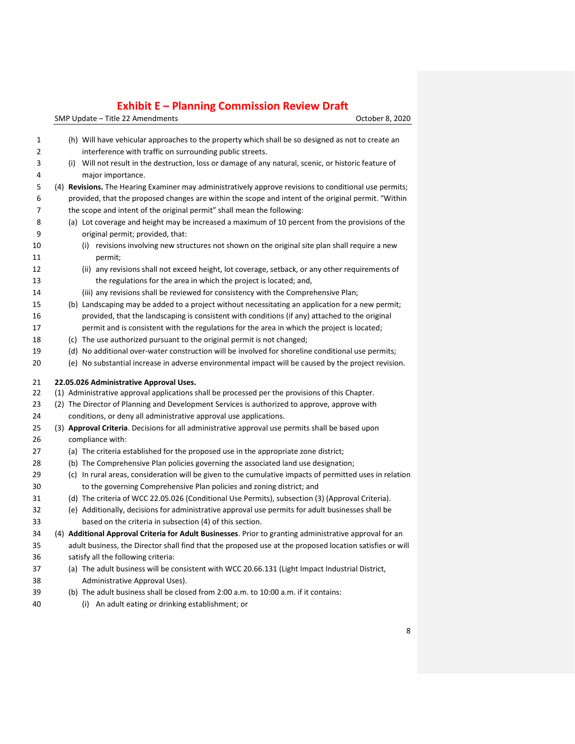| 1        | (h) Will have vehicular approaches to the property which shall be so designed as not to create an                                          |
|----------|--------------------------------------------------------------------------------------------------------------------------------------------|
| 2        | interference with traffic on surrounding public streets.                                                                                   |
| 3        | (i) Will not result in the destruction, loss or damage of any natural, scenic, or historic feature of                                      |
| 4        | major importance.                                                                                                                          |
| 5        | (4) Revisions. The Hearing Examiner may administratively approve revisions to conditional use permits;                                     |
| 6        | provided, that the proposed changes are within the scope and intent of the original permit. "Within                                        |
| 7        | the scope and intent of the original permit" shall mean the following:                                                                     |
| 8        | (a) Lot coverage and height may be increased a maximum of 10 percent from the provisions of the                                            |
| 9        | original permit; provided, that:                                                                                                           |
| 10       | (i) revisions involving new structures not shown on the original site plan shall require a new                                             |
| 11       | permit;                                                                                                                                    |
| 12       | (ii) any revisions shall not exceed height, lot coverage, setback, or any other requirements of                                            |
| 13       | the regulations for the area in which the project is located; and,                                                                         |
| 14       | (iii) any revisions shall be reviewed for consistency with the Comprehensive Plan;                                                         |
| 15       | (b) Landscaping may be added to a project without necessitating an application for a new permit;                                           |
| 16       | provided, that the landscaping is consistent with conditions (if any) attached to the original                                             |
| 17       | permit and is consistent with the regulations for the area in which the project is located;                                                |
| 18       | (c) The use authorized pursuant to the original permit is not changed;                                                                     |
| 19       | (d) No additional over-water construction will be involved for shoreline conditional use permits;                                          |
| 20       | (e) No substantial increase in adverse environmental impact will be caused by the project revision.                                        |
|          |                                                                                                                                            |
|          |                                                                                                                                            |
| 21<br>22 | 22.05.026 Administrative Approval Uses.<br>(1) Administrative approval applications shall be processed per the provisions of this Chapter. |
| 23       | (2) The Director of Planning and Development Services is authorized to approve, approve with                                               |
| 24       | conditions, or deny all administrative approval use applications.                                                                          |
| 25       | (3) Approval Criteria. Decisions for all administrative approval use permits shall be based upon                                           |
| 26       | compliance with:                                                                                                                           |
| 27       | (a) The criteria established for the proposed use in the appropriate zone district;                                                        |
| 28       | (b) The Comprehensive Plan policies governing the associated land use designation;                                                         |
| 29       | (c) In rural areas, consideration will be given to the cumulative impacts of permitted uses in relation                                    |
| 30       | to the governing Comprehensive Plan policies and zoning district; and                                                                      |
| 31       | (d) The criteria of WCC 22.05.026 (Conditional Use Permits), subsection (3) (Approval Criteria).                                           |
| 32       | (e) Additionally, decisions for administrative approval use permits for adult businesses shall be                                          |
| 33       | based on the criteria in subsection (4) of this section.                                                                                   |
| 34       | (4) Additional Approval Criteria for Adult Businesses. Prior to granting administrative approval for an                                    |
| 35       | adult business, the Director shall find that the proposed use at the proposed location satisfies or will                                   |
| 36       | satisfy all the following criteria:                                                                                                        |
| 37       | (a) The adult business will be consistent with WCC 20.66.131 (Light Impact Industrial District,                                            |
| 38       | Administrative Approval Uses).                                                                                                             |
| 39       | (b) The adult business shall be closed from 2:00 a.m. to 10:00 a.m. if it contains:                                                        |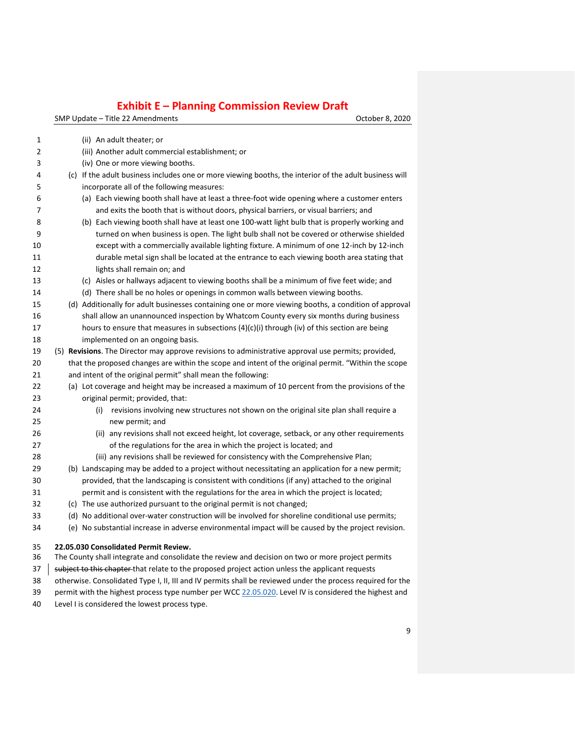SMP Update – Title 22 Amendments Controller and SMP Update – Title 22 Amendments

| 1  | (ii) An adult theater; or                                                                                   |
|----|-------------------------------------------------------------------------------------------------------------|
| 2  | (iii) Another adult commercial establishment; or                                                            |
| 3  | (iv) One or more viewing booths.                                                                            |
| 4  | (c) If the adult business includes one or more viewing booths, the interior of the adult business will      |
| 5  | incorporate all of the following measures:                                                                  |
| 6  | (a) Each viewing booth shall have at least a three-foot wide opening where a customer enters                |
| 7  | and exits the booth that is without doors, physical barriers, or visual barriers; and                       |
| 8  | (b) Each viewing booth shall have at least one 100-watt light bulb that is properly working and             |
| 9  | turned on when business is open. The light bulb shall not be covered or otherwise shielded                  |
| 10 | except with a commercially available lighting fixture. A minimum of one 12-inch by 12-inch                  |
| 11 | durable metal sign shall be located at the entrance to each viewing booth area stating that                 |
| 12 | lights shall remain on; and                                                                                 |
| 13 | (c) Aisles or hallways adjacent to viewing booths shall be a minimum of five feet wide; and                 |
| 14 | (d) There shall be no holes or openings in common walls between viewing booths.                             |
| 15 | (d) Additionally for adult businesses containing one or more viewing booths, a condition of approval        |
| 16 | shall allow an unannounced inspection by Whatcom County every six months during business                    |
| 17 | hours to ensure that measures in subsections $(4)(c)(i)$ through (iv) of this section are being             |
| 18 | implemented on an ongoing basis.                                                                            |
| 19 | (5) Revisions. The Director may approve revisions to administrative approval use permits; provided,         |
| 20 | that the proposed changes are within the scope and intent of the original permit. "Within the scope         |
| 21 | and intent of the original permit" shall mean the following:                                                |
| 22 | (a) Lot coverage and height may be increased a maximum of 10 percent from the provisions of the             |
| 23 | original permit; provided, that:                                                                            |
| 24 | (i) revisions involving new structures not shown on the original site plan shall require a                  |
| 25 | new permit; and                                                                                             |
| 26 | (ii) any revisions shall not exceed height, lot coverage, setback, or any other requirements                |
| 27 | of the regulations for the area in which the project is located; and                                        |
| 28 | (iii) any revisions shall be reviewed for consistency with the Comprehensive Plan;                          |
| 29 | (b) Landscaping may be added to a project without necessitating an application for a new permit;            |
| 30 | provided, that the landscaping is consistent with conditions (if any) attached to the original              |
| 31 | permit and is consistent with the regulations for the area in which the project is located;                 |
| 32 | (c) The use authorized pursuant to the original permit is not changed;                                      |
| 33 | (d) No additional over-water construction will be involved for shoreline conditional use permits;           |
| 34 | (e) No substantial increase in adverse environmental impact will be caused by the project revision.         |
| 35 | 22.05.030 Consolidated Permit Review.                                                                       |
| 36 | The County shall integrate and consolidate the review and decision on two or more project permits           |
| 37 | subject to this chapter that relate to the proposed project action unless the applicant requests            |
| 38 | otherwise. Consolidated Type I, II, III and IV permits shall be reviewed under the process required for the |

- 39 permit with the highest process type number per WCC [22.05.020.](https://www.codepublishing.com/WA/WhatcomCounty/#!/WhatcomCounty22/WhatcomCounty2205.html#22.05.020) Level IV is considered the highest and
- Level I is considered the lowest process type.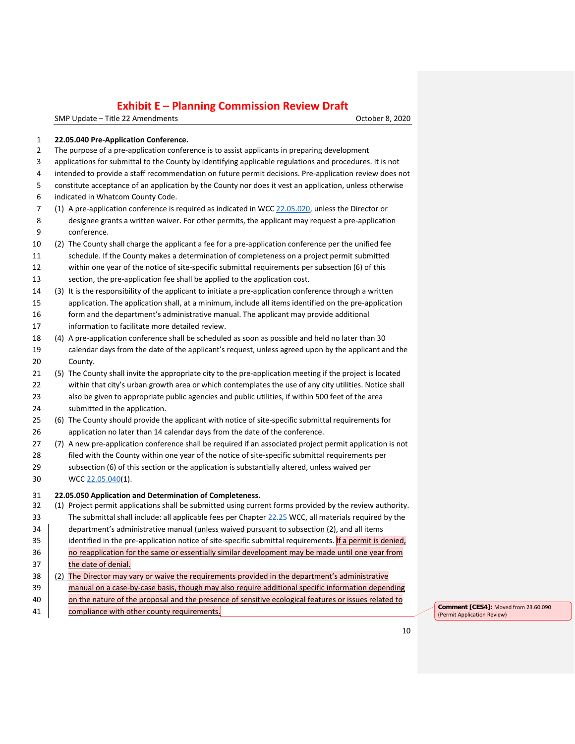SMP Update – Title 22 Amendments **Canadian Control of Canadian Control Control Control Control Control Control Control Control Control Control Control Control Control Control Control Control Control Control Control Control** 

#### **22.05.040 Pre-Application Conference.**

- The purpose of a pre-application conference is to assist applicants in preparing development
- applications for submittal to the County by identifying applicable regulations and procedures. It is not
- intended to provide a staff recommendation on future permit decisions. Pre-application review does not
- constitute acceptance of an application by the County nor does it vest an application, unless otherwise
- indicated in Whatcom County Code.
- (1) A pre-application conference is required as indicated in WCC [22.05.020,](https://www.codepublishing.com/WA/WhatcomCounty/#!/WhatcomCounty22/WhatcomCounty2205.html#22.05.020) unless the Director or designee grants a written waiver. For other permits, the applicant may request a pre-application conference.
- (2) The County shall charge the applicant a fee for a pre-application conference per the unified fee
- schedule. If the County makes a determination of completeness on a project permit submitted within one year of the notice of site-specific submittal requirements per subsection (6) of this section, the pre-application fee shall be applied to the application cost.
- (3) It is the responsibility of the applicant to initiate a pre-application conference through a written application. The application shall, at a minimum, include all items identified on the pre-application form and the department's administrative manual. The applicant may provide additional information to facilitate more detailed review.
- (4) A pre-application conference shall be scheduled as soon as possible and held no later than 30 calendar days from the date of the applicant's request, unless agreed upon by the applicant and the
- County. (5) The County shall invite the appropriate city to the pre-application meeting if the project is located 22 within that city's urban growth area or which contemplates the use of any city utilities. Notice shall
- also be given to appropriate public agencies and public utilities, if within 500 feet of the area submitted in the application.
- (6) The County should provide the applicant with notice of site-specific submittal requirements for application no later than 14 calendar days from the date of the conference.
- (7) A new pre-application conference shall be required if an associated project permit application is not filed with the County within one year of the notice of site-specific submittal requirements per
- subsection (6) of this section or the application is substantially altered, unless waived per WCC [22.05.040\(](https://www.codepublishing.com/WA/WhatcomCounty/#!/WhatcomCounty22/WhatcomCounty2205.html#22.05.040)1).

#### **22.05.050 Application and Determination of Completeness.**

- (1) Project permit applications shall be submitted using current forms provided by the review authority. The submittal shall include: all applicable fees per Chapter [22.25](https://www.codepublishing.com/WA/WhatcomCounty/#!/WhatcomCounty22/WhatcomCounty2225.html#22.25) WCC, all materials required by the
- 34 department's administrative manual (unless waived pursuant to subsection (2), and all items
- 35 dentified in the pre-application notice of site-specific submittal requirements. If a permit is denied, 36 no reapplication for the same or essentially similar development may be made until one year from the date of denial.
- (2) The Director may vary or waive the requirements provided in the department's administrative
- manual on a case-by-case basis, though may also require additional specific information depending
- 40 on the nature of the proposal and the presence of sensitive ecological features or issues related to
- **Example 19 compliance with other county requirements. Comment CES4**]: Moved from 23.60.090

(Permit Application Review)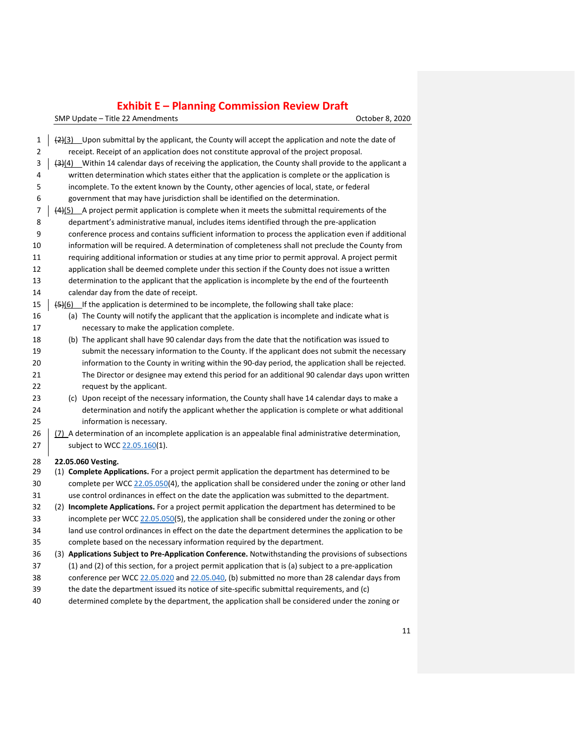| 1<br>2<br>3<br>4<br>5<br>6<br>7<br>8<br>9<br>10<br>11<br>12 | $\frac{2(3)}{2(3)}$ Upon submittal by the applicant, the County will accept the application and note the date of<br>receipt. Receipt of an application does not constitute approval of the project proposal.<br>(3)(4) Within 14 calendar days of receiving the application, the County shall provide to the applicant a<br>written determination which states either that the application is complete or the application is<br>incomplete. To the extent known by the County, other agencies of local, state, or federal<br>government that may have jurisdiction shall be identified on the determination.<br>$(4)$ (5) A project permit application is complete when it meets the submittal requirements of the<br>department's administrative manual, includes items identified through the pre-application<br>conference process and contains sufficient information to process the application even if additional<br>information will be required. A determination of completeness shall not preclude the County from<br>requiring additional information or studies at any time prior to permit approval. A project permit<br>application shall be deemed complete under this section if the County does not issue a written |
|-------------------------------------------------------------|-------------------------------------------------------------------------------------------------------------------------------------------------------------------------------------------------------------------------------------------------------------------------------------------------------------------------------------------------------------------------------------------------------------------------------------------------------------------------------------------------------------------------------------------------------------------------------------------------------------------------------------------------------------------------------------------------------------------------------------------------------------------------------------------------------------------------------------------------------------------------------------------------------------------------------------------------------------------------------------------------------------------------------------------------------------------------------------------------------------------------------------------------------------------------------------------------------------------------------------|
| 13                                                          | determination to the applicant that the application is incomplete by the end of the fourteenth                                                                                                                                                                                                                                                                                                                                                                                                                                                                                                                                                                                                                                                                                                                                                                                                                                                                                                                                                                                                                                                                                                                                      |
| 14                                                          | calendar day from the date of receipt.                                                                                                                                                                                                                                                                                                                                                                                                                                                                                                                                                                                                                                                                                                                                                                                                                                                                                                                                                                                                                                                                                                                                                                                              |
| 15<br>16                                                    | (5)(6) If the application is determined to be incomplete, the following shall take place:<br>(a) The County will notify the applicant that the application is incomplete and indicate what is                                                                                                                                                                                                                                                                                                                                                                                                                                                                                                                                                                                                                                                                                                                                                                                                                                                                                                                                                                                                                                       |
| 17                                                          | necessary to make the application complete.                                                                                                                                                                                                                                                                                                                                                                                                                                                                                                                                                                                                                                                                                                                                                                                                                                                                                                                                                                                                                                                                                                                                                                                         |
| 18                                                          | (b) The applicant shall have 90 calendar days from the date that the notification was issued to                                                                                                                                                                                                                                                                                                                                                                                                                                                                                                                                                                                                                                                                                                                                                                                                                                                                                                                                                                                                                                                                                                                                     |
| 19                                                          | submit the necessary information to the County. If the applicant does not submit the necessary                                                                                                                                                                                                                                                                                                                                                                                                                                                                                                                                                                                                                                                                                                                                                                                                                                                                                                                                                                                                                                                                                                                                      |
| 20                                                          | information to the County in writing within the 90-day period, the application shall be rejected.                                                                                                                                                                                                                                                                                                                                                                                                                                                                                                                                                                                                                                                                                                                                                                                                                                                                                                                                                                                                                                                                                                                                   |
| 21                                                          | The Director or designee may extend this period for an additional 90 calendar days upon written                                                                                                                                                                                                                                                                                                                                                                                                                                                                                                                                                                                                                                                                                                                                                                                                                                                                                                                                                                                                                                                                                                                                     |
| 22                                                          | request by the applicant.                                                                                                                                                                                                                                                                                                                                                                                                                                                                                                                                                                                                                                                                                                                                                                                                                                                                                                                                                                                                                                                                                                                                                                                                           |
| 23                                                          | (c) Upon receipt of the necessary information, the County shall have 14 calendar days to make a                                                                                                                                                                                                                                                                                                                                                                                                                                                                                                                                                                                                                                                                                                                                                                                                                                                                                                                                                                                                                                                                                                                                     |
| 24                                                          | determination and notify the applicant whether the application is complete or what additional                                                                                                                                                                                                                                                                                                                                                                                                                                                                                                                                                                                                                                                                                                                                                                                                                                                                                                                                                                                                                                                                                                                                       |
| 25                                                          | information is necessary.                                                                                                                                                                                                                                                                                                                                                                                                                                                                                                                                                                                                                                                                                                                                                                                                                                                                                                                                                                                                                                                                                                                                                                                                           |
| 26                                                          | (7) A determination of an incomplete application is an appealable final administrative determination,                                                                                                                                                                                                                                                                                                                                                                                                                                                                                                                                                                                                                                                                                                                                                                                                                                                                                                                                                                                                                                                                                                                               |
| 27                                                          | subject to WCC 22.05.160(1).                                                                                                                                                                                                                                                                                                                                                                                                                                                                                                                                                                                                                                                                                                                                                                                                                                                                                                                                                                                                                                                                                                                                                                                                        |
| 28                                                          | 22.05.060 Vesting.                                                                                                                                                                                                                                                                                                                                                                                                                                                                                                                                                                                                                                                                                                                                                                                                                                                                                                                                                                                                                                                                                                                                                                                                                  |
| 29                                                          | (1) Complete Applications. For a project permit application the department has determined to be                                                                                                                                                                                                                                                                                                                                                                                                                                                                                                                                                                                                                                                                                                                                                                                                                                                                                                                                                                                                                                                                                                                                     |
| 30                                                          | complete per WCC 22.05.050(4), the application shall be considered under the zoning or other land                                                                                                                                                                                                                                                                                                                                                                                                                                                                                                                                                                                                                                                                                                                                                                                                                                                                                                                                                                                                                                                                                                                                   |
| 31                                                          | use control ordinances in effect on the date the application was submitted to the department.                                                                                                                                                                                                                                                                                                                                                                                                                                                                                                                                                                                                                                                                                                                                                                                                                                                                                                                                                                                                                                                                                                                                       |
| 32                                                          | (2) Incomplete Applications. For a project permit application the department has determined to be                                                                                                                                                                                                                                                                                                                                                                                                                                                                                                                                                                                                                                                                                                                                                                                                                                                                                                                                                                                                                                                                                                                                   |
| 33                                                          | incomplete per WCC 22.05.050(5), the application shall be considered under the zoning or other                                                                                                                                                                                                                                                                                                                                                                                                                                                                                                                                                                                                                                                                                                                                                                                                                                                                                                                                                                                                                                                                                                                                      |
| 34<br>35                                                    | land use control ordinances in effect on the date the department determines the application to be<br>complete based on the necessary information required by the department.                                                                                                                                                                                                                                                                                                                                                                                                                                                                                                                                                                                                                                                                                                                                                                                                                                                                                                                                                                                                                                                        |
| 36                                                          | (3) Applications Subject to Pre-Application Conference. Notwithstanding the provisions of subsections                                                                                                                                                                                                                                                                                                                                                                                                                                                                                                                                                                                                                                                                                                                                                                                                                                                                                                                                                                                                                                                                                                                               |
| 37                                                          | $(1)$ and $(2)$ of this section, for a project permit application that is $(a)$ subject to a pre-application                                                                                                                                                                                                                                                                                                                                                                                                                                                                                                                                                                                                                                                                                                                                                                                                                                                                                                                                                                                                                                                                                                                        |
| 38                                                          | conference per WCC 22.05.020 and 22.05.040, (b) submitted no more than 28 calendar days from                                                                                                                                                                                                                                                                                                                                                                                                                                                                                                                                                                                                                                                                                                                                                                                                                                                                                                                                                                                                                                                                                                                                        |
| 39                                                          | the date the department issued its notice of site-specific submittal requirements, and (c)                                                                                                                                                                                                                                                                                                                                                                                                                                                                                                                                                                                                                                                                                                                                                                                                                                                                                                                                                                                                                                                                                                                                          |
| 40                                                          | determined complete by the department, the application shall be considered under the zoning or                                                                                                                                                                                                                                                                                                                                                                                                                                                                                                                                                                                                                                                                                                                                                                                                                                                                                                                                                                                                                                                                                                                                      |
|                                                             |                                                                                                                                                                                                                                                                                                                                                                                                                                                                                                                                                                                                                                                                                                                                                                                                                                                                                                                                                                                                                                                                                                                                                                                                                                     |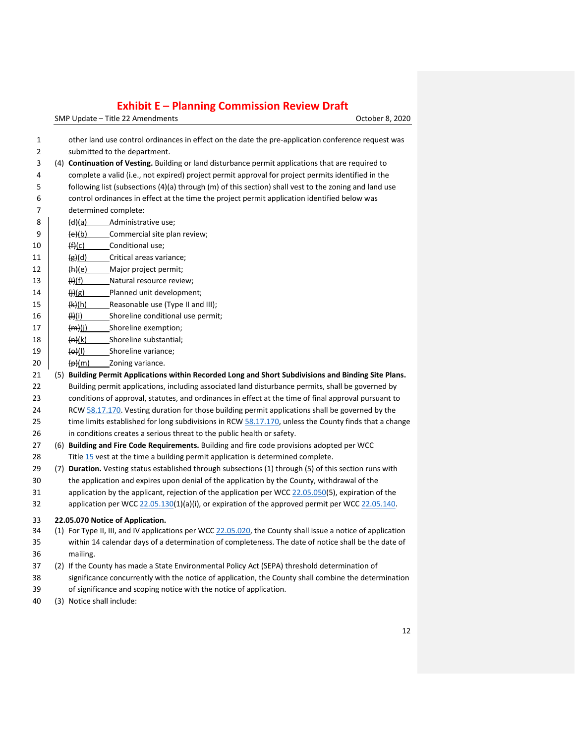| 1  | other land use control ordinances in effect on the date the pre-application conference request was          |
|----|-------------------------------------------------------------------------------------------------------------|
| 2  | submitted to the department.                                                                                |
| 3  | (4) Continuation of Vesting. Building or land disturbance permit applications that are required to          |
| 4  | complete a valid (i.e., not expired) project permit approval for project permits identified in the          |
| 5  | following list (subsections (4)(a) through (m) of this section) shall vest to the zoning and land use       |
| 6  | control ordinances in effect at the time the project permit application identified below was                |
| 7  | determined complete:                                                                                        |
| 8  | (d)(a)<br>Administrative use;                                                                               |
| 9  | (e)(b)<br>Commercial site plan review;                                                                      |
| 10 | (f)(c)<br>Conditional use;                                                                                  |
| 11 | (g)(d)<br>Critical areas variance;                                                                          |
| 12 | (h)(e)<br>Major project permit;                                                                             |
| 13 | (ii)(f)<br>Natural resource review;                                                                         |
| 14 | (j)(g)<br>Planned unit development;                                                                         |
| 15 | (k)(h)<br>Reasonable use (Type II and III);                                                                 |
| 16 | H(i)<br>Shoreline conditional use permit;                                                                   |
| 17 | (m)(j)<br>_Shoreline exemption;                                                                             |
| 18 | (n)(k)<br>Shoreline substantial;                                                                            |
| 19 | $\Theta$ (I)<br>Shoreline variance;                                                                         |
| 20 | $(\rho)(m)$<br>Zoning variance.                                                                             |
| 21 | (5) Building Permit Applications within Recorded Long and Short Subdivisions and Binding Site Plans.        |
| 22 | Building permit applications, including associated land disturbance permits, shall be governed by           |
| 23 | conditions of approval, statutes, and ordinances in effect at the time of final approval pursuant to        |
| 24 | RCW 58.17.170. Vesting duration for those building permit applications shall be governed by the             |
| 25 | time limits established for long subdivisions in RCW 58.17.170, unless the County finds that a change       |
| 26 | in conditions creates a serious threat to the public health or safety.                                      |
| 27 | (6) Building and Fire Code Requirements. Building and fire code provisions adopted per WCC                  |
| 28 | Title 15 vest at the time a building permit application is determined complete.                             |
| 29 | (7) Duration. Vesting status established through subsections (1) through (5) of this section runs with      |
| 30 | the application and expires upon denial of the application by the County, withdrawal of the                 |
| 31 | application by the applicant, rejection of the application per WCC 22.05.050(5), expiration of the          |
| 32 | application per WCC 22.05.130(1)(a)(i), or expiration of the approved permit per WCC 22.05.140.             |
| 33 | 22.05.070 Notice of Application.                                                                            |
| 34 | (1) For Type II, III, and IV applications per WCC 22.05.020, the County shall issue a notice of application |
| 35 | within 14 calendar days of a determination of completeness. The date of notice shall be the date of         |
| 36 | mailing.                                                                                                    |
| 37 | (2) If the County has made a State Environmental Policy Act (SEPA) threshold determination of               |
| 38 | significance concurrently with the notice of application, the County shall combine the determination        |
| 39 | of significance and scoping notice with the notice of application.                                          |
| 40 | (3) Notice shall include:                                                                                   |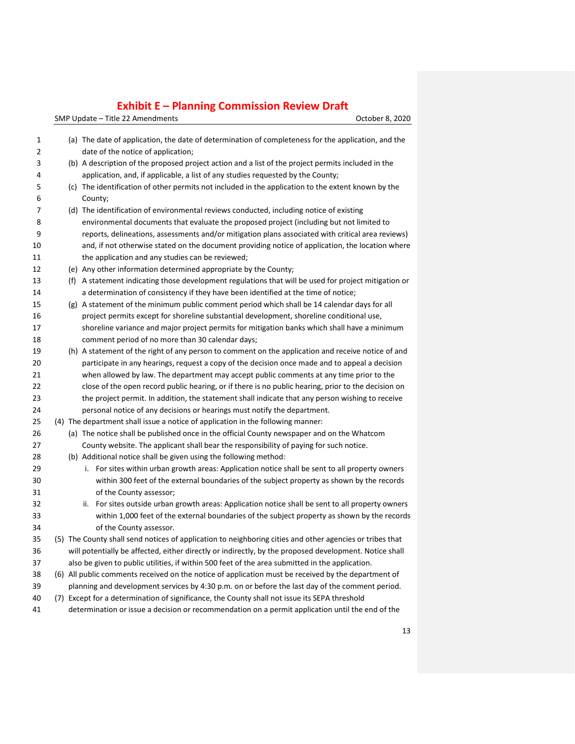| $\mathbf{1}$<br>$\overline{2}$ |  | (a) The date of application, the date of determination of completeness for the application, and the<br>date of the notice of application; |
|--------------------------------|--|-------------------------------------------------------------------------------------------------------------------------------------------|
| 3                              |  | (b) A description of the proposed project action and a list of the project permits included in the                                        |
| 4                              |  | application, and, if applicable, a list of any studies requested by the County;                                                           |
| 5                              |  | (c) The identification of other permits not included in the application to the extent known by the                                        |
| 6                              |  | County;                                                                                                                                   |
| 7                              |  | (d) The identification of environmental reviews conducted, including notice of existing                                                   |
| 8                              |  | environmental documents that evaluate the proposed project (including but not limited to                                                  |
| 9                              |  | reports, delineations, assessments and/or mitigation plans associated with critical area reviews)                                         |
| 10                             |  | and, if not otherwise stated on the document providing notice of application, the location where                                          |
| 11                             |  | the application and any studies can be reviewed;                                                                                          |
| 12                             |  | (e) Any other information determined appropriate by the County;                                                                           |
| 13                             |  | (f) A statement indicating those development regulations that will be used for project mitigation or                                      |
| 14                             |  | a determination of consistency if they have been identified at the time of notice;                                                        |
| 15                             |  | (g) A statement of the minimum public comment period which shall be 14 calendar days for all                                              |
| 16                             |  | project permits except for shoreline substantial development, shoreline conditional use,                                                  |
| 17                             |  | shoreline variance and major project permits for mitigation banks which shall have a minimum                                              |
| 18                             |  | comment period of no more than 30 calendar days;                                                                                          |
| 19                             |  | (h) A statement of the right of any person to comment on the application and receive notice of and                                        |
| 20                             |  | participate in any hearings, request a copy of the decision once made and to appeal a decision                                            |
| 21                             |  | when allowed by law. The department may accept public comments at any time prior to the                                                   |
| 22                             |  | close of the open record public hearing, or if there is no public hearing, prior to the decision on                                       |
| 23                             |  | the project permit. In addition, the statement shall indicate that any person wishing to receive                                          |
| 24                             |  | personal notice of any decisions or hearings must notify the department.                                                                  |
| 25                             |  | (4) The department shall issue a notice of application in the following manner:                                                           |
| 26                             |  | (a) The notice shall be published once in the official County newspaper and on the Whatcom                                                |
| 27                             |  | County website. The applicant shall bear the responsibility of paying for such notice.                                                    |
| 28                             |  | (b) Additional notice shall be given using the following method:                                                                          |
| 29                             |  | i. For sites within urban growth areas: Application notice shall be sent to all property owners                                           |
| 30                             |  | within 300 feet of the external boundaries of the subject property as shown by the records                                                |
| 31                             |  | of the County assessor;                                                                                                                   |
| 32                             |  | ii. For sites outside urban growth areas: Application notice shall be sent to all property owners                                         |
| 33                             |  | within 1,000 feet of the external boundaries of the subject property as shown by the records                                              |
| 34                             |  | of the County assessor.                                                                                                                   |
| 35                             |  | (5) The County shall send notices of application to neighboring cities and other agencies or tribes that                                  |
| 36                             |  | will potentially be affected, either directly or indirectly, by the proposed development. Notice shall                                    |
| 37                             |  | also be given to public utilities, if within 500 feet of the area submitted in the application.                                           |
| 38                             |  | (6) All public comments received on the notice of application must be received by the department of                                       |
| 39                             |  | planning and development services by 4:30 p.m. on or before the last day of the comment period.                                           |
| 40                             |  | (7) Except for a determination of significance, the County shall not issue its SEPA threshold                                             |
| 41                             |  | determination or issue a decision or recommendation on a permit application until the end of the                                          |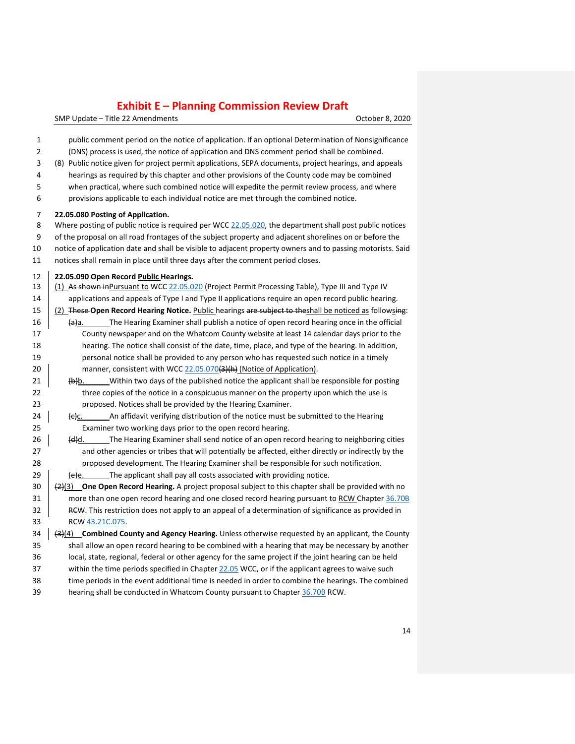SMP Update – Title 22 Amendments Controller Controller Controller Controller B. 2020

| $\mathbf 1$<br>2<br>3<br>4<br>5<br>6 | public comment period on the notice of application. If an optional Determination of Nonsignificance<br>(DNS) process is used, the notice of application and DNS comment period shall be combined.<br>(8) Public notice given for project permit applications, SEPA documents, project hearings, and appeals<br>hearings as required by this chapter and other provisions of the County code may be combined<br>when practical, where such combined notice will expedite the permit review process, and where<br>provisions applicable to each individual notice are met through the combined notice. |
|--------------------------------------|------------------------------------------------------------------------------------------------------------------------------------------------------------------------------------------------------------------------------------------------------------------------------------------------------------------------------------------------------------------------------------------------------------------------------------------------------------------------------------------------------------------------------------------------------------------------------------------------------|
| 7                                    | 22.05.080 Posting of Application.                                                                                                                                                                                                                                                                                                                                                                                                                                                                                                                                                                    |
| 8                                    | Where posting of public notice is required per WCC 22.05.020, the department shall post public notices                                                                                                                                                                                                                                                                                                                                                                                                                                                                                               |
| 9                                    | of the proposal on all road frontages of the subject property and adjacent shorelines on or before the                                                                                                                                                                                                                                                                                                                                                                                                                                                                                               |
| 10                                   | notice of application date and shall be visible to adjacent property owners and to passing motorists. Said                                                                                                                                                                                                                                                                                                                                                                                                                                                                                           |
| 11                                   | notices shall remain in place until three days after the comment period closes.                                                                                                                                                                                                                                                                                                                                                                                                                                                                                                                      |
| 12                                   | 22.05.090 Open Record Public Hearings.                                                                                                                                                                                                                                                                                                                                                                                                                                                                                                                                                               |
| 13                                   | (1) As shown inPursuant to WCC 22.05.020 (Project Permit Processing Table), Type III and Type IV                                                                                                                                                                                                                                                                                                                                                                                                                                                                                                     |
| 14                                   | applications and appeals of Type I and Type II applications require an open record public hearing.                                                                                                                                                                                                                                                                                                                                                                                                                                                                                                   |
| 15                                   | (2) These Open Record Hearing Notice. Public hearings are subject to theshall be noticed as followsing:                                                                                                                                                                                                                                                                                                                                                                                                                                                                                              |
| 16                                   | The Hearing Examiner shall publish a notice of open record hearing once in the official<br><del>(a</del> )a.                                                                                                                                                                                                                                                                                                                                                                                                                                                                                         |
| 17                                   | County newspaper and on the Whatcom County website at least 14 calendar days prior to the                                                                                                                                                                                                                                                                                                                                                                                                                                                                                                            |
| 18                                   | hearing. The notice shall consist of the date, time, place, and type of the hearing. In addition,                                                                                                                                                                                                                                                                                                                                                                                                                                                                                                    |
| 19                                   | personal notice shall be provided to any person who has requested such notice in a timely                                                                                                                                                                                                                                                                                                                                                                                                                                                                                                            |
| 20                                   | manner, consistent with WCC 22.05.070(3)(h) (Notice of Application).                                                                                                                                                                                                                                                                                                                                                                                                                                                                                                                                 |
| 21                                   | $\left\{\rightarrow\right\}$ b. Within two days of the published notice the applicant shall be responsible for posting                                                                                                                                                                                                                                                                                                                                                                                                                                                                               |
| 22                                   | three copies of the notice in a conspicuous manner on the property upon which the use is                                                                                                                                                                                                                                                                                                                                                                                                                                                                                                             |
| 23                                   | proposed. Notices shall be provided by the Hearing Examiner.                                                                                                                                                                                                                                                                                                                                                                                                                                                                                                                                         |
| 24<br>25                             | An affidavit verifying distribution of the notice must be submitted to the Hearing<br><del>(c)</del> c.<br>Examiner two working days prior to the open record hearing.                                                                                                                                                                                                                                                                                                                                                                                                                               |
|                                      | The Hearing Examiner shall send notice of an open record hearing to neighboring cities<br>(d)d.                                                                                                                                                                                                                                                                                                                                                                                                                                                                                                      |
| 26<br>27                             | and other agencies or tribes that will potentially be affected, either directly or indirectly by the                                                                                                                                                                                                                                                                                                                                                                                                                                                                                                 |
| 28                                   | proposed development. The Hearing Examiner shall be responsible for such notification.                                                                                                                                                                                                                                                                                                                                                                                                                                                                                                               |
| 29                                   | The applicant shall pay all costs associated with providing notice.<br><del>(e</del> )e.                                                                                                                                                                                                                                                                                                                                                                                                                                                                                                             |
| $30\,$                               | $\frac{2}{2}(3)$ One Open Record Hearing. A project proposal subject to this chapter shall be provided with no                                                                                                                                                                                                                                                                                                                                                                                                                                                                                       |
| 31                                   | more than one open record hearing and one closed record hearing pursuant to RCW Chapter 36.70B                                                                                                                                                                                                                                                                                                                                                                                                                                                                                                       |
| 32                                   | RCW. This restriction does not apply to an appeal of a determination of significance as provided in                                                                                                                                                                                                                                                                                                                                                                                                                                                                                                  |
| 33                                   | RCW 43.21C.075.                                                                                                                                                                                                                                                                                                                                                                                                                                                                                                                                                                                      |
| 34                                   | $\left(\frac{1}{2}\right)(4)$ Combined County and Agency Hearing. Unless otherwise requested by an applicant, the County                                                                                                                                                                                                                                                                                                                                                                                                                                                                             |
| 35                                   | shall allow an open record hearing to be combined with a hearing that may be necessary by another                                                                                                                                                                                                                                                                                                                                                                                                                                                                                                    |
| 36                                   | local, state, regional, federal or other agency for the same project if the joint hearing can be held                                                                                                                                                                                                                                                                                                                                                                                                                                                                                                |
| 37                                   | within the time periods specified in Chapter 22.05 WCC, or if the applicant agrees to waive such                                                                                                                                                                                                                                                                                                                                                                                                                                                                                                     |
| 38                                   | time periods in the event additional time is needed in order to combine the hearings. The combined                                                                                                                                                                                                                                                                                                                                                                                                                                                                                                   |
| 39                                   | hearing shall be conducted in Whatcom County pursuant to Chapter 36.70B RCW.                                                                                                                                                                                                                                                                                                                                                                                                                                                                                                                         |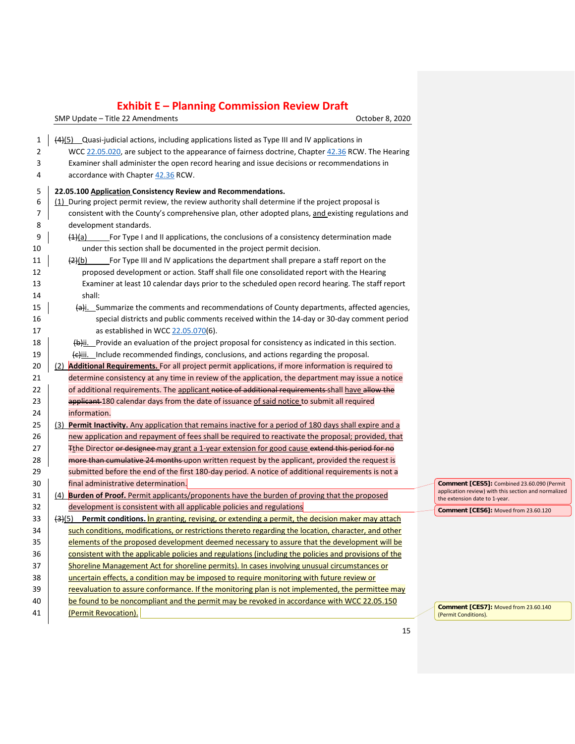SMP Update – Title 22 Amendments Controller and SMP Update – Title 22 Amendments

| 1  | $(4)(5)$ Quasi-judicial actions, including applications listed as Type III and IV applications in                                                                                                    |  |  |  |
|----|------------------------------------------------------------------------------------------------------------------------------------------------------------------------------------------------------|--|--|--|
| 2  | WCC 22.05.020, are subject to the appearance of fairness doctrine, Chapter 42.36 RCW. The Hearing                                                                                                    |  |  |  |
| 3  | Examiner shall administer the open record hearing and issue decisions or recommendations in                                                                                                          |  |  |  |
| 4  | accordance with Chapter 42.36 RCW.                                                                                                                                                                   |  |  |  |
| 5  | 22.05.100 Application Consistency Review and Recommendations.                                                                                                                                        |  |  |  |
| 6  | (1) During project permit review, the review authority shall determine if the project proposal is                                                                                                    |  |  |  |
| 7  | consistent with the County's comprehensive plan, other adopted plans, and existing regulations and                                                                                                   |  |  |  |
| 8  | development standards.                                                                                                                                                                               |  |  |  |
| 9  | For Type I and II applications, the conclusions of a consistency determination made<br><del>(1)</del> (a)                                                                                            |  |  |  |
| 10 | under this section shall be documented in the project permit decision.                                                                                                                               |  |  |  |
| 11 | For Type III and IV applications the department shall prepare a staff report on the<br>(2)(b)                                                                                                        |  |  |  |
| 12 | proposed development or action. Staff shall file one consolidated report with the Hearing                                                                                                            |  |  |  |
| 13 | Examiner at least 10 calendar days prior to the scheduled open record hearing. The staff report                                                                                                      |  |  |  |
| 14 | shall:                                                                                                                                                                                               |  |  |  |
| 15 | $\left\{a\right\}$ i. Summarize the comments and recommendations of County departments, affected agencies,                                                                                           |  |  |  |
| 16 | special districts and public comments received within the 14-day or 30-day comment period                                                                                                            |  |  |  |
| 17 | as established in WCC 22.05.070(6).                                                                                                                                                                  |  |  |  |
| 18 | $\left(\frac{h}{b}\right)$ ii. Provide an evaluation of the project proposal for consistency as indicated in this section.                                                                           |  |  |  |
| 19 | $\left\langle \right\langle \right\langle \right\langle \right\langle \right\langle \right\langle \right\rangle$ iii. Include recommended findings, conclusions, and actions regarding the proposal. |  |  |  |
| 20 | (2) <b>Additional Requirements.</b> For all project permit applications, if more information is required to                                                                                          |  |  |  |
| 21 | determine consistency at any time in review of the application, the department may issue a notice                                                                                                    |  |  |  |
| 22 | of additional requirements. The applicant notice of additional requirements-shall have allow the                                                                                                     |  |  |  |
| 23 | applicant-180 calendar days from the date of issuance of said notice to submit all required                                                                                                          |  |  |  |
| 24 | information.                                                                                                                                                                                         |  |  |  |
| 25 | (3) Permit Inactivity. Any application that remains inactive for a period of 180 days shall expire and a                                                                                             |  |  |  |
| 26 | new application and repayment of fees shall be required to reactivate the proposal; provided, that                                                                                                   |  |  |  |
| 27 | Fthe Director or designee may grant a 1-year extension for good cause extend this period for no                                                                                                      |  |  |  |
| 28 | more than cumulative 24 months-upon written request by the applicant, provided the request is                                                                                                        |  |  |  |
| 29 | submitted before the end of the first 180-day period. A notice of additional requirements is not a                                                                                                   |  |  |  |
| 30 | final administrative determination.                                                                                                                                                                  |  |  |  |
| 31 | (4) <b>Burden of Proof.</b> Permit applicants/proponents have the burden of proving that the proposed                                                                                                |  |  |  |
| 32 | development is consistent with all applicable policies and regulations                                                                                                                               |  |  |  |
| 33 | $\left\{\frac{.}{2}\right\}$ Permit conditions. In granting, revising, or extending a permit, the decision maker may attach                                                                          |  |  |  |
| 34 | such conditions, modifications, or restrictions thereto regarding the location, character, and other                                                                                                 |  |  |  |
| 35 | elements of the proposed development deemed necessary to assure that the development will be                                                                                                         |  |  |  |
| 36 | consistent with the applicable policies and regulations (including the policies and provisions of the                                                                                                |  |  |  |
| 37 | Shoreline Management Act for shoreline permits). In cases involving unusual circumstances or                                                                                                         |  |  |  |
| 38 | uncertain effects, a condition may be imposed to require monitoring with future review or                                                                                                            |  |  |  |
| 39 | reevaluation to assure conformance. If the monitoring plan is not implemented, the permittee may                                                                                                     |  |  |  |
| 40 | be found to be noncompliant and the permit may be revoked in accordance with WCC 22.05.150                                                                                                           |  |  |  |
| 41 | (Permit Revocation).                                                                                                                                                                                 |  |  |  |

**Comment [CES5]:** Combined 23.60.090 (Permit application review) with this section and normalized the extension date to 1-year.

**Comment [CES6]:** Moved from 23.60.120

**Comment [CES7]:** Moved from 23.60.140 (Permit Conditions).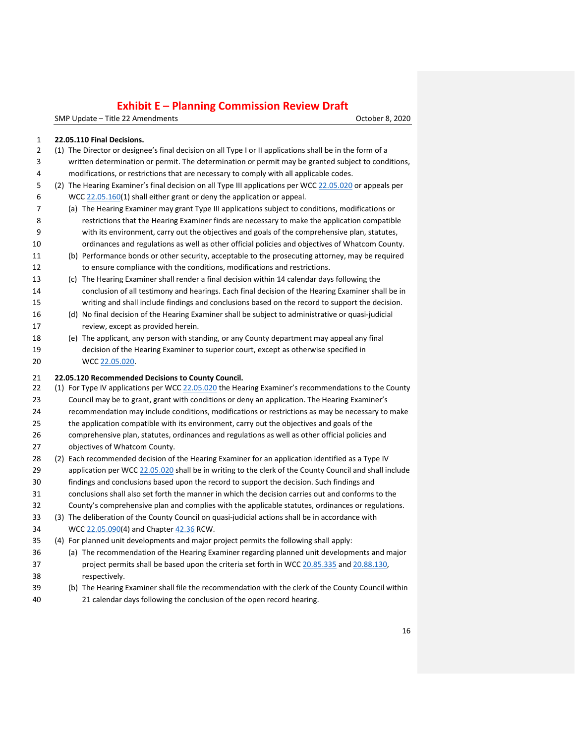SMP Update – Title 22 Amendments **Canadian Control of Canadian Control of Canadian Corporation** October 8, 2020

#### **22.05.110 Final Decisions.**

- (1) The Director or designee's final decision on all Type I or II applications shall be in the form of a written determination or permit. The determination or permit may be granted subject to conditions, modifications, or restrictions that are necessary to comply with all applicable codes.
- 5 (2) The Hearing Examiner's final decision on all Type III applications per WCC [22.05.020](https://www.codepublishing.com/WA/WhatcomCounty/#!/WhatcomCounty22/WhatcomCounty2205.html#22.05.020) or appeals per 6 WCC  $\frac{22.05.160(1)}{2}$  $\frac{22.05.160(1)}{2}$  $\frac{22.05.160(1)}{2}$  shall either grant or deny the application or appeal.
- (a) The Hearing Examiner may grant Type III applications subject to conditions, modifications or restrictions that the Hearing Examiner finds are necessary to make the application compatible with its environment, carry out the objectives and goals of the comprehensive plan, statutes, ordinances and regulations as well as other official policies and objectives of Whatcom County.
- (b) Performance bonds or other security, acceptable to the prosecuting attorney, may be required
- to ensure compliance with the conditions, modifications and restrictions. (c) The Hearing Examiner shall render a final decision within 14 calendar days following the conclusion of all testimony and hearings. Each final decision of the Hearing Examiner shall be in writing and shall include findings and conclusions based on the record to support the decision.
- (d) No final decision of the Hearing Examiner shall be subject to administrative or quasi-judicial review, except as provided herein.
- (e) The applicant, any person with standing, or any County department may appeal any final decision of the Hearing Examiner to superior court, except as otherwise specified in WCC [22.05.020.](https://www.codepublishing.com/WA/WhatcomCounty/#!/WhatcomCounty22/WhatcomCounty2205.html#22.05.020)

#### **22.05.120 Recommended Decisions to County Council.**

- 22 (1) For Type IV applications per WCC [22.05.020](https://www.codepublishing.com/WA/WhatcomCounty/#!/WhatcomCounty22/WhatcomCounty2205.html#22.05.020) the Hearing Examiner's recommendations to the County Council may be to grant, grant with conditions or deny an application. The Hearing Examiner's
- recommendation may include conditions, modifications or restrictions as may be necessary to make
- the application compatible with its environment, carry out the objectives and goals of the comprehensive plan, statutes, ordinances and regulations as well as other official policies and
- objectives of Whatcom County.
- (2) Each recommended decision of the Hearing Examiner for an application identified as a Type IV 29 application per WCC [22.05.020](https://www.codepublishing.com/WA/WhatcomCounty/#!/WhatcomCounty22/WhatcomCounty2205.html#22.05.020) shall be in writing to the clerk of the County Council and shall include
- findings and conclusions based upon the record to support the decision. Such findings and
- conclusions shall also set forth the manner in which the decision carries out and conforms to the
- County's comprehensive plan and complies with the applicable statutes, ordinances or regulations.
- (3) The deliberation of the County Council on quasi-judicial actions shall be in accordance with WCC [22.05.090\(](https://www.codepublishing.com/WA/WhatcomCounty/#!/WhatcomCounty22/WhatcomCounty2205.html#22.05.090)4) and Chapter [42.36](https://www.codepublishing.com/cgi-bin/rcw.pl?cite=42.36) RCW.
- (4) For planned unit developments and major project permits the following shall apply:
- (a) The recommendation of the Hearing Examiner regarding planned unit developments and major project permits shall be based upon the criteria set forth in WCC [20.85.335](https://www.codepublishing.com/WA/WhatcomCounty/#!/WhatcomCounty20/WhatcomCounty2085.html#20.85.335) and [20.88.130,](https://www.codepublishing.com/WA/WhatcomCounty/#!/WhatcomCounty20/WhatcomCounty2088.html#20.88.130) respectively.
- (b) The Hearing Examiner shall file the recommendation with the clerk of the County Council within 21 calendar days following the conclusion of the open record hearing.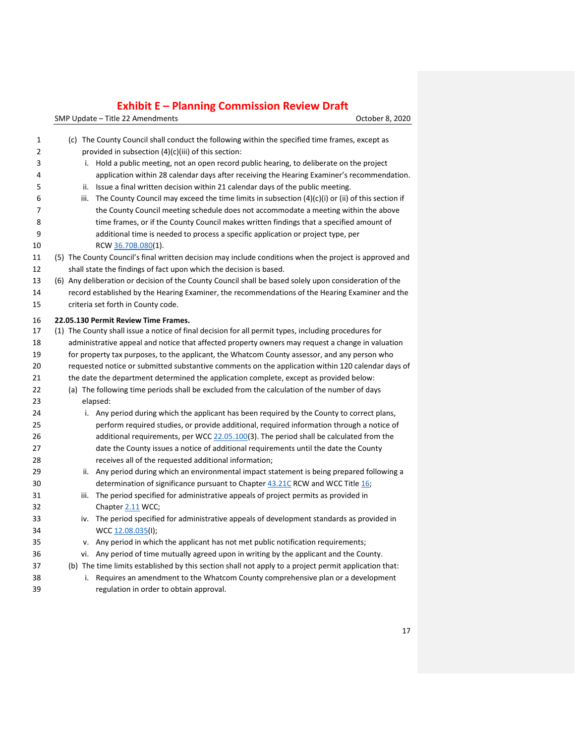| 1  | (c) The County Council shall conduct the following within the specified time frames, except as    |                                                                                                         |  |  |
|----|---------------------------------------------------------------------------------------------------|---------------------------------------------------------------------------------------------------------|--|--|
| 2  | provided in subsection (4)(c)(iii) of this section:                                               |                                                                                                         |  |  |
| 3  |                                                                                                   | i. Hold a public meeting, not an open record public hearing, to deliberate on the project               |  |  |
| 4  |                                                                                                   | application within 28 calendar days after receiving the Hearing Examiner's recommendation.              |  |  |
| 5  | ii.                                                                                               | Issue a final written decision within 21 calendar days of the public meeting.                           |  |  |
| 6  | iii.                                                                                              | The County Council may exceed the time limits in subsection $(4)(c)(i)$ or (ii) of this section if      |  |  |
| 7  |                                                                                                   | the County Council meeting schedule does not accommodate a meeting within the above                     |  |  |
| 8  |                                                                                                   | time frames, or if the County Council makes written findings that a specified amount of                 |  |  |
| 9  |                                                                                                   | additional time is needed to process a specific application or project type, per                        |  |  |
| 10 | RCW 36.70B.080(1).                                                                                |                                                                                                         |  |  |
| 11 |                                                                                                   | (5) The County Council's final written decision may include conditions when the project is approved and |  |  |
| 12 |                                                                                                   | shall state the findings of fact upon which the decision is based.                                      |  |  |
| 13 |                                                                                                   | (6) Any deliberation or decision of the County Council shall be based solely upon consideration of the  |  |  |
| 14 |                                                                                                   | record established by the Hearing Examiner, the recommendations of the Hearing Examiner and the         |  |  |
| 15 | criteria set forth in County code.                                                                |                                                                                                         |  |  |
| 16 | 22.05.130 Permit Review Time Frames.                                                              |                                                                                                         |  |  |
| 17 |                                                                                                   | (1) The County shall issue a notice of final decision for all permit types, including procedures for    |  |  |
| 18 |                                                                                                   | administrative appeal and notice that affected property owners may request a change in valuation        |  |  |
| 19 | for property tax purposes, to the applicant, the Whatcom County assessor, and any person who      |                                                                                                         |  |  |
| 20 | requested notice or submitted substantive comments on the application within 120 calendar days of |                                                                                                         |  |  |
| 21 | the date the department determined the application complete, except as provided below:            |                                                                                                         |  |  |
| 22 |                                                                                                   | (a) The following time periods shall be excluded from the calculation of the number of days             |  |  |
| 23 | elapsed:                                                                                          |                                                                                                         |  |  |
| 24 |                                                                                                   | i. Any period during which the applicant has been required by the County to correct plans,              |  |  |
| 25 |                                                                                                   | perform required studies, or provide additional, required information through a notice of               |  |  |
| 26 |                                                                                                   | additional requirements, per WCC 22.05.100(3). The period shall be calculated from the                  |  |  |
| 27 |                                                                                                   | date the County issues a notice of additional requirements until the date the County                    |  |  |
| 28 |                                                                                                   | receives all of the requested additional information;                                                   |  |  |
| 29 | ii.                                                                                               | Any period during which an environmental impact statement is being prepared following a                 |  |  |
| 30 |                                                                                                   | determination of significance pursuant to Chapter 43.21C RCW and WCC Title 16;                          |  |  |
| 31 | iii.                                                                                              | The period specified for administrative appeals of project permits as provided in                       |  |  |
| 32 | Chapter 2.11 WCC;                                                                                 |                                                                                                         |  |  |
| 33 | iv.                                                                                               | The period specified for administrative appeals of development standards as provided in                 |  |  |
| 34 | WCC 12.08.035(I);                                                                                 |                                                                                                         |  |  |
| 35 |                                                                                                   | v. Any period in which the applicant has not met public notification requirements;                      |  |  |
| 36 |                                                                                                   | vi. Any period of time mutually agreed upon in writing by the applicant and the County.                 |  |  |
| 37 |                                                                                                   | (b) The time limits established by this section shall not apply to a project permit application that:   |  |  |
| 38 | i.                                                                                                | Requires an amendment to the Whatcom County comprehensive plan or a development                         |  |  |
| 39 | regulation in order to obtain approval.                                                           |                                                                                                         |  |  |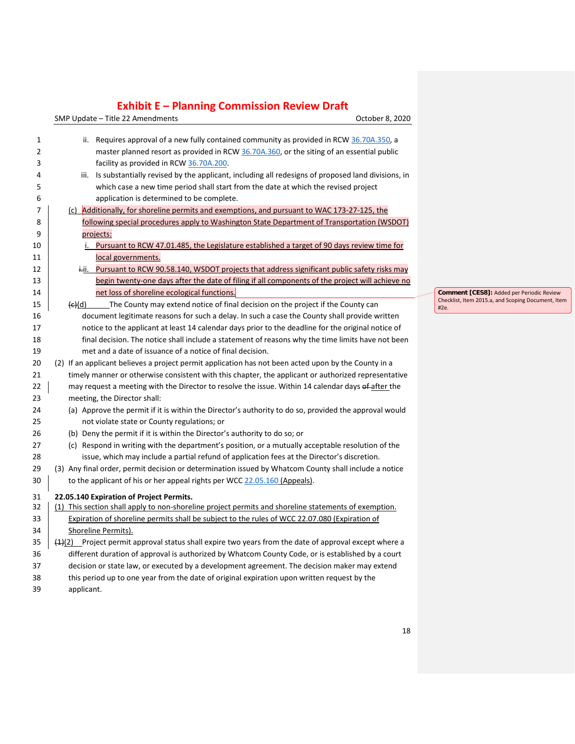SMP Update – Title 22 Amendments Controller and SMP Update – Title 22 Amendments

| 1  | ii.                | Requires approval of a new fully contained community as provided in RCW 36.70A.350, a                         |
|----|--------------------|---------------------------------------------------------------------------------------------------------------|
| 2  |                    | master planned resort as provided in RCW 36.70A.360, or the siting of an essential public                     |
| 3  |                    | facility as provided in RCW 36.70A.200.                                                                       |
| 4  | iii.               | Is substantially revised by the applicant, including all redesigns of proposed land divisions, in             |
| 5  |                    | which case a new time period shall start from the date at which the revised project                           |
| 6  |                    | application is determined to be complete.                                                                     |
| 7  |                    | (c) Additionally, for shoreline permits and exemptions, and pursuant to WAC 173-27-125, the                   |
| 8  |                    | following special procedures apply to Washington State Department of Transportation (WSDOT)                   |
| 9  |                    | projects:                                                                                                     |
| 10 |                    | i. Pursuant to RCW 47.01.485, the Legislature established a target of 90 days review time for                 |
| 11 |                    | local governments.                                                                                            |
| 12 |                    | i-ii. Pursuant to RCW 90.58.140, WSDOT projects that address significant public safety risks may              |
| 13 |                    | begin twenty-one days after the date of filing if all components of the project will achieve no               |
| 14 |                    | net loss of shoreline ecological functions.                                                                   |
| 15 | <del>(c)</del> (d) | The County may extend notice of final decision on the project if the County can                               |
| 16 |                    | document legitimate reasons for such a delay. In such a case the County shall provide written                 |
| 17 |                    | notice to the applicant at least 14 calendar days prior to the deadline for the original notice of            |
| 18 |                    | final decision. The notice shall include a statement of reasons why the time limits have not been             |
| 19 |                    | met and a date of issuance of a notice of final decision.                                                     |
| 20 |                    | (2) If an applicant believes a project permit application has not been acted upon by the County in a          |
| 21 |                    | timely manner or otherwise consistent with this chapter, the applicant or authorized representative           |
| 22 |                    | may request a meeting with the Director to resolve the issue. Within 14 calendar days of after the            |
| 23 |                    | meeting, the Director shall:                                                                                  |
| 24 |                    | (a) Approve the permit if it is within the Director's authority to do so, provided the approval would         |
| 25 |                    | not violate state or County regulations; or                                                                   |
| 26 |                    | (b) Deny the permit if it is within the Director's authority to do so; or                                     |
| 27 |                    | (c) Respond in writing with the department's position, or a mutually acceptable resolution of the             |
| 28 |                    | issue, which may include a partial refund of application fees at the Director's discretion.                   |
| 29 |                    | (3) Any final order, permit decision or determination issued by Whatcom County shall include a notice         |
| 30 |                    | to the applicant of his or her appeal rights per WCC 22.05.160 (Appeals).                                     |
| 31 |                    | 22.05.140 Expiration of Project Permits.                                                                      |
| 32 |                    | (1) This section shall apply to non-shoreline project permits and shoreline statements of exemption.          |
| 33 |                    | Expiration of shoreline permits shall be subject to the rules of WCC 22.07.080 (Expiration of                 |
| 34 |                    | Shoreline Permits).                                                                                           |
| 35 |                    | $\frac{41}{2}$ Project permit approval status shall expire two years from the date of approval except where a |
| 36 |                    | different duration of approval is authorized by Whatcom County Code, or is established by a court             |
| 37 |                    | decision or state law, or executed by a development agreement. The decision maker may extend                  |
| 38 |                    | this period up to one year from the date of original expiration upon written request by the                   |

applicant.

**Comment [CES8]:** Added per Periodic Review Checklist, Item 2015.a, and Scoping Document, Item #2e.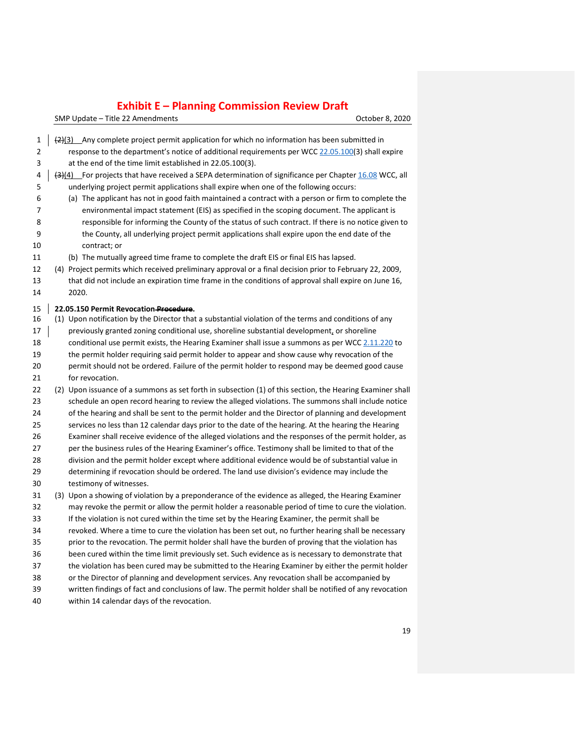| 1<br>2 |  | $\frac{2}{2}(3)$ Any complete project permit application for which no information has been submitted in<br>response to the department's notice of additional requirements per WCC 22.05.100(3) shall expire |
|--------|--|-------------------------------------------------------------------------------------------------------------------------------------------------------------------------------------------------------------|
| 3      |  | at the end of the time limit established in 22.05.100(3).                                                                                                                                                   |
| 4      |  | $\left( \frac{1}{2} \right)$ For projects that have received a SEPA determination of significance per Chapter 16.08 WCC, all                                                                                |
| 5      |  | underlying project permit applications shall expire when one of the following occurs:                                                                                                                       |
| 6      |  | (a) The applicant has not in good faith maintained a contract with a person or firm to complete the                                                                                                         |
| 7      |  | environmental impact statement (EIS) as specified in the scoping document. The applicant is                                                                                                                 |
| 8      |  | responsible for informing the County of the status of such contract. If there is no notice given to                                                                                                         |
| 9      |  | the County, all underlying project permit applications shall expire upon the end date of the                                                                                                                |
| 10     |  | contract; or                                                                                                                                                                                                |
| 11     |  | (b) The mutually agreed time frame to complete the draft EIS or final EIS has lapsed.                                                                                                                       |
| 12     |  | (4) Project permits which received preliminary approval or a final decision prior to February 22, 2009,                                                                                                     |
| 13     |  | that did not include an expiration time frame in the conditions of approval shall expire on June 16,                                                                                                        |
| 14     |  | 2020.                                                                                                                                                                                                       |
| 15     |  | 22.05.150 Permit Revocation Procedure.                                                                                                                                                                      |
| 16     |  | (1) Upon notification by the Director that a substantial violation of the terms and conditions of any                                                                                                       |
| 17     |  | previously granted zoning conditional use, shoreline substantial development, or shoreline                                                                                                                  |
| 18     |  | conditional use permit exists, the Hearing Examiner shall issue a summons as per WCC 2.11.220 to                                                                                                            |
| 19     |  | the permit holder requiring said permit holder to appear and show cause why revocation of the                                                                                                               |
| 20     |  | permit should not be ordered. Failure of the permit holder to respond may be deemed good cause                                                                                                              |
| 21     |  | for revocation.                                                                                                                                                                                             |
| 22     |  | (2) Upon issuance of a summons as set forth in subsection (1) of this section, the Hearing Examiner shall                                                                                                   |
| 23     |  | schedule an open record hearing to review the alleged violations. The summons shall include notice                                                                                                          |
| 24     |  | of the hearing and shall be sent to the permit holder and the Director of planning and development                                                                                                          |
| 25     |  | services no less than 12 calendar days prior to the date of the hearing. At the hearing the Hearing                                                                                                         |
| 26     |  | Examiner shall receive evidence of the alleged violations and the responses of the permit holder, as                                                                                                        |
| 27     |  | per the business rules of the Hearing Examiner's office. Testimony shall be limited to that of the                                                                                                          |
| 28     |  | division and the permit holder except where additional evidence would be of substantial value in                                                                                                            |
| 29     |  | determining if revocation should be ordered. The land use division's evidence may include the                                                                                                               |
| 30     |  | testimony of witnesses.                                                                                                                                                                                     |
| 31     |  | (3) Upon a showing of violation by a preponderance of the evidence as alleged, the Hearing Examiner                                                                                                         |
| 32     |  | may revoke the permit or allow the permit holder a reasonable period of time to cure the violation.                                                                                                         |
| 33     |  | If the violation is not cured within the time set by the Hearing Examiner, the permit shall be                                                                                                              |
| 34     |  | revoked. Where a time to cure the violation has been set out, no further hearing shall be necessary                                                                                                         |
| 35     |  | prior to the revocation. The permit holder shall have the burden of proving that the violation has                                                                                                          |
| 36     |  | been cured within the time limit previously set. Such evidence as is necessary to demonstrate that                                                                                                          |
| 37     |  | the violation has been cured may be submitted to the Hearing Examiner by either the permit holder                                                                                                           |
| 38     |  | or the Director of planning and development services. Any revocation shall be accompanied by                                                                                                                |
| 39     |  | written findings of fact and conclusions of law. The permit holder shall be notified of any revocation                                                                                                      |
| 40     |  | within 14 calendar days of the revocation.                                                                                                                                                                  |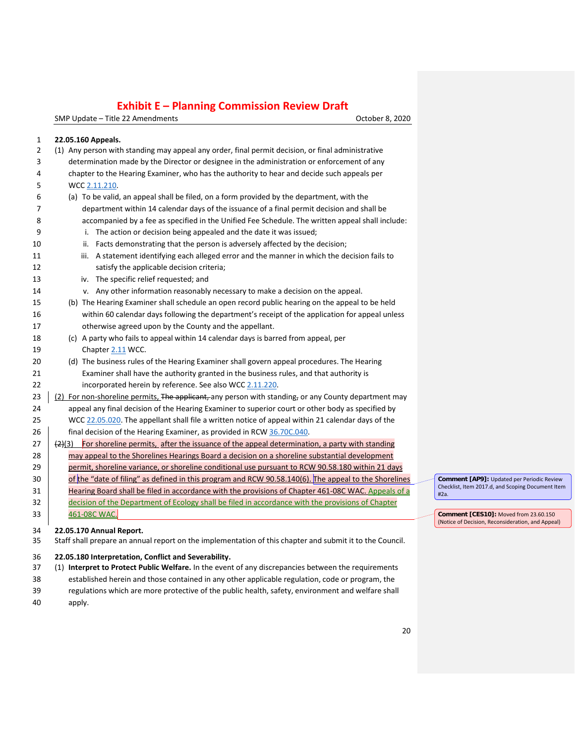SMP Update – Title 22 Amendments **Canadian Control of Canadian Control Control Control Control Control Control Control Control Control Control Control Control Control Control Control Control Control Control Control Control** 

#### **22.05.160 Appeals.** (1) Any person with standing may appeal any order, final permit decision, or final administrative determination made by the Director or designee in the administration or enforcement of any chapter to the Hearing Examiner, who has the authority to hear and decide such appeals per WCC [2.11.210.](https://www.codepublishing.com/WA/WhatcomCounty/#!/WhatcomCounty02/WhatcomCounty0211.html#2.11.210) (a) To be valid, an appeal shall be filed, on a form provided by the department, with the department within 14 calendar days of the issuance of a final permit decision and shall be accompanied by a fee as specified in the Unified Fee Schedule. The written appeal shall include: i. The action or decision being appealed and the date it was issued; 10 ii. Facts demonstrating that the person is adversely affected by the decision; 11 iii. A statement identifying each alleged error and the manner in which the decision fails to satisfy the applicable decision criteria; iv. The specific relief requested; and v. Any other information reasonably necessary to make a decision on the appeal. (b) The Hearing Examiner shall schedule an open record public hearing on the appeal to be held within 60 calendar days following the department's receipt of the application for appeal unless otherwise agreed upon by the County and the appellant. (c) A party who fails to appeal within 14 calendar days is barred from appeal, per Chapter [2.11](https://www.codepublishing.com/WA/WhatcomCounty/#!/WhatcomCounty02/WhatcomCounty0211.html#2.11) WCC. (d) The business rules of the Hearing Examiner shall govern appeal procedures. The Hearing Examiner shall have the authority granted in the business rules, and that authority is incorporated herein by reference. See also WCC [2.11.220.](https://www.codepublishing.com/WA/WhatcomCounty/#!/WhatcomCounty02/WhatcomCounty0211.html#2.11.220) 23  $\mid$  (2) For non-shoreline permits, The applicant, any person with standing, or any County department may appeal any final decision of the Hearing Examiner to superior court or other body as specified by WCC [22.05.020.](https://www.codepublishing.com/WA/WhatcomCounty/#!/WhatcomCounty22/WhatcomCounty2205.html#22.05.020) The appellant shall file a written notice of appeal within 21 calendar days of the  $\parallel$  final decision of the Hearing Examiner, as provided in RCW [36.70C.040.](https://www.codepublishing.com/cgi-bin/rcw.pl?cite=36.70C.040)  $(2)$  (2)(3) For shoreline permits, after the issuance of the appeal determination, a party with standing 28 may appeal to the Shorelines Hearings Board a decision on a shoreline substantial development 29 permit, shoreline variance, or shoreline conditional use pursuant to RCW 90.58.180 within 21 days 30 fthe "date of filing" as defined in this program and RCW 90.58.140(6). The appeal to the Shorelines Hearing Board shall be filed in accordance with the provisions of Chapter 461-08C WAC. Appeals of a decision of the Department of Ecology shall be filed in accordance with the provisions of Chapter 461-08C WAC. **22.05.170 Annual Report.**

Staff shall prepare an annual report on the implementation of this chapter and submit it to the Council.

#### **22.05.180 Interpretation, Conflict and Severability.**

- (1) **Interpret to Protect Public Welfare.** In the event of any discrepancies between the requirements established herein and those contained in any other applicable regulation, code or program, the
- regulations which are more protective of the public health, safety, environment and welfare shall
- apply.

**Comment [AP9]:** Updated per Periodic Review Checklist, Item 2017.d, and Scoping Document Item #2a.

**Comment [CES10]:** Moved from 23.60.150 (Notice of Decision, Reconsideration, and Appeal)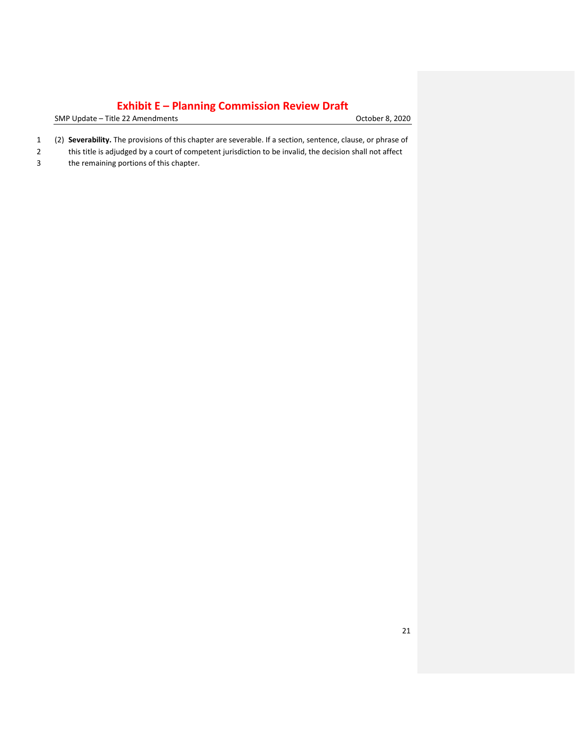SMP Update – Title 22 Amendments Controller and SMP Update – Title 22 Amendments

- 1 (2) **Severability.** The provisions of this chapter are severable. If a section, sentence, clause, or phrase of
- 2 this title is adjudged by a court of competent jurisdiction to be invalid, the decision shall not affect
- 3 the remaining portions of this chapter.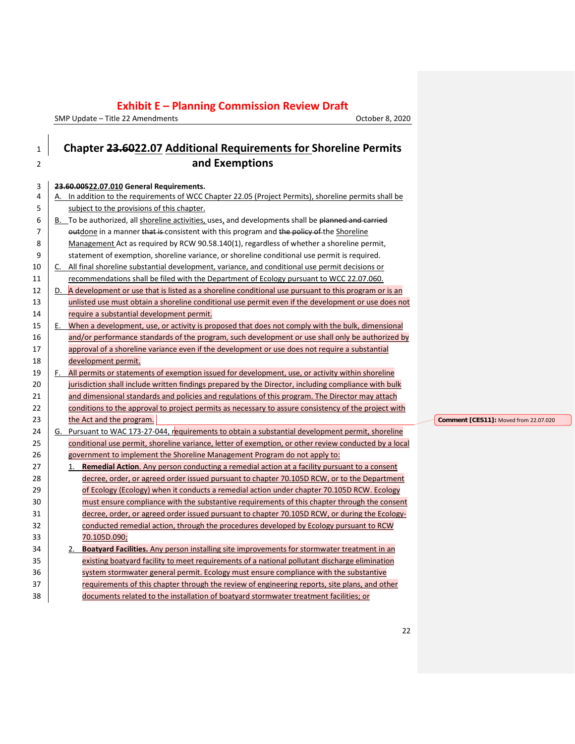SMP Update  $-$  Title 22 Amendments

| October 8, 2020 |
|-----------------|
|-----------------|

### <sup>1</sup> **Chapter 23.6022.07 Additional Requirements for Shoreline Permits**  <sup>2</sup> **and Exemptions** 3 **23.60.00522.07.010 General Requirements.** 4 A. In addition to the requirements of WCC Chapter 22.05 (Project Permits), shoreline permits shall be 5 subject to the provisions of this chapter.  $6 \mid B$ . To be authorized, all shoreline activities, uses, and developments shall be planned and carried 7 **July 20** outdone in a manner that is consistent with this program and the policy of the Shoreline 8 Management Act as required by RCW 90.58.140(1), regardless of whether a shoreline permit, 9 statement of exemption, shoreline variance, or shoreline conditional use permit is required. 10 C. All final shoreline substantial development, variance, and conditional use permit decisions or 11 recommendations shall be filed with the Department of Ecology pursuant to WCC 22.07.060. 12 D. A development or use that is listed as a shoreline conditional use pursuant to this program or is an 13 unlisted use must obtain a shoreline conditional use permit even if the development or use does not 14 require a substantial development permit. 15 E. When a development, use, or activity is proposed that does not comply with the bulk, dimensional 16 and/or performance standards of the program, such development or use shall only be authorized by 17 approval of a shoreline variance even if the development or use does not require a substantial 18 development permit. 19 | F. All permits or statements of exemption issued for development, use, or activity within shoreline 20 jurisdiction shall include written findings prepared by the Director, including compliance with bulk 21 and dimensional standards and policies and regulations of this program. The Director may attach 22 conditions to the approval to project permits as necessary to assure consistency of the project with 23 the Act and the program. 24 G. Pursuant to WAC 173-27-044, requirements to obtain a substantial development permit, shoreline 25 conditional use permit, shoreline variance, letter of exemption, or other review conducted by a local 26 government to implement the Shoreline Management Program do not apply to: 27 1. **Remedial Action**. Any person conducting a remedial action at a facility pursuant to a consent 28 decree, order, or agreed order issued pursuant to chapter [70.105D](http://app.leg.wa.gov/RCW/default.aspx?cite=70.105D) RCW, or to the Department 29 **of Ecology (Ecology)** when it conducts a remedial action under chapte[r 70.105D](http://app.leg.wa.gov/RCW/default.aspx?cite=70.105D) RCW. Ecology 30 must ensure compliance with the substantive requirements of this chapter through the consent 31 decree, order, or agreed order issued pursuant to chapter [70.105D](http://app.leg.wa.gov/RCW/default.aspx?cite=70.105D) RCW, or during the Ecology-32 conducted remedial action, through the procedures developed by Ecology pursuant to RCW 33 [70.105D.090;](http://app.leg.wa.gov/RCW/default.aspx?cite=70.105D.090) 34 2. **Boatyard Facilities.** Any person installing site improvements for stormwater treatment in an 35 existing boatyard facility to meet requirements of a national pollutant discharge elimination 36 system stormwater general permit. Ecology must ensure compliance with the substantive 37 **requirements of this chapter through the review of engineering reports, site plans, and other** 38 documents related to the installation of boatyard stormwater treatment facilities; or

**Comment [CES11]:** Moved from 22.07.020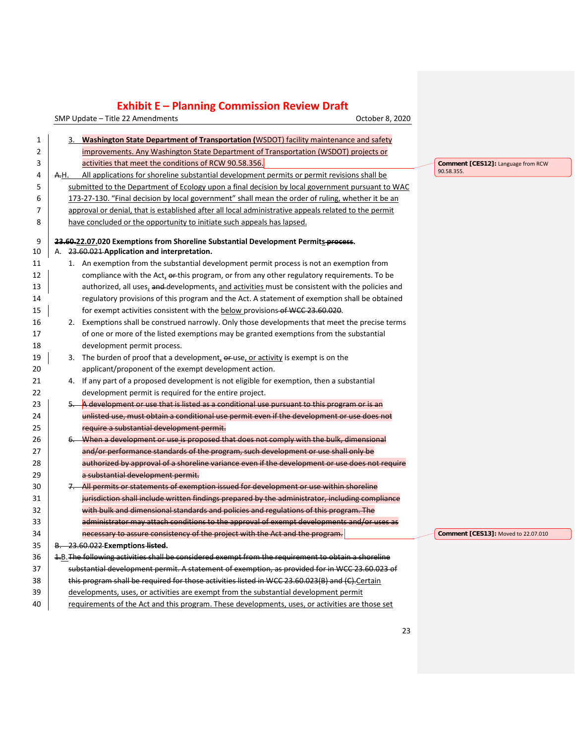SMP Update – Title 22 Amendments Controller Controller Controller Controller B. 2020

| 1  | Washington State Department of Transportation (WSDOT) facility maintenance and safety                |                                     |
|----|------------------------------------------------------------------------------------------------------|-------------------------------------|
| 2  | improvements. Any Washington State Department of Transportation (WSDOT) projects or                  |                                     |
| 3  | activities that meet the conditions of RCW 90.58.356.                                                | Comment [CES12]: Language from RCW  |
| 4  | All applications for shoreline substantial development permits or permit revisions shall be<br>A.H.  | 90.58.355.                          |
| 5  | submitted to the Department of Ecology upon a final decision by local government pursuant to WAC     |                                     |
| 6  | 173-27-130. "Final decision by local government" shall mean the order of ruling, whether it be an    |                                     |
| 7  | approval or denial, that is established after all local administrative appeals related to the permit |                                     |
| 8  | have concluded or the opportunity to initiate such appeals has lapsed.                               |                                     |
|    |                                                                                                      |                                     |
| 9  | 23.60.22.07.020 Exemptions from Shoreline Substantial Development Permits process.                   |                                     |
| 10 | A. 23.60.021 Application and interpretation.                                                         |                                     |
| 11 | 1. An exemption from the substantial development permit process is not an exemption from             |                                     |
| 12 | compliance with the Act, or this program, or from any other regulatory requirements. To be           |                                     |
| 13 | authorized, all uses, and developments, and activities must be consistent with the policies and      |                                     |
| 14 | regulatory provisions of this program and the Act. A statement of exemption shall be obtained        |                                     |
| 15 | for exempt activities consistent with the <b>below</b> provisions-of WCC 23.60.020.                  |                                     |
| 16 | 2. Exemptions shall be construed narrowly. Only those developments that meet the precise terms       |                                     |
| 17 | of one or more of the listed exemptions may be granted exemptions from the substantial               |                                     |
| 18 | development permit process.                                                                          |                                     |
| 19 | 3. The burden of proof that a development, or use, or activity is exempt is on the                   |                                     |
| 20 | applicant/proponent of the exempt development action.                                                |                                     |
| 21 | 4. If any part of a proposed development is not eligible for exemption, then a substantial           |                                     |
| 22 | development permit is required for the entire project.                                               |                                     |
| 23 | A development or use that is listed as a conditional use pursuant to this program or is an           |                                     |
| 24 | unlisted use, must obtain a conditional use permit even if the development or use does not           |                                     |
| 25 | require a substantial development permit.                                                            |                                     |
| 26 | 6. When a development or use is proposed that does not comply with the bulk, dimensional             |                                     |
| 27 | and/or performance standards of the program, such development or use shall only be                   |                                     |
| 28 | authorized by approval of a shoreline variance even if the development or use does not require       |                                     |
| 29 | a substantial development permit.                                                                    |                                     |
| 30 | 7. All permits or statements of exemption issued for development or use within shoreline             |                                     |
| 31 | jurisdiction shall include written findings prepared by the administrator, including compliance      |                                     |
| 32 | with bulk and dimensional standards and policies and regulations of this program. The                |                                     |
| 33 | administrator may attach conditions to the approval of exempt developments and/or uses as            |                                     |
| 34 | necessary to assure consistency of the project with the Act and the program.                         | Comment [CES13]: Moved to 22.07.010 |
| 35 | B. 23.60.022 Exemptions listed.                                                                      |                                     |
| 36 | 1.B. The following activities shall be considered exempt from the requirement to obtain a shoreline  |                                     |
| 37 | substantial development permit. A statement of exemption, as provided for in WCC 23.60.023 of        |                                     |
| 38 | this program shall be required for those activities listed in WCC 23.60.023(B) and (C). Certain      |                                     |
| 39 | developments, uses, or activities are exempt from the substantial development permit                 |                                     |
| 40 | requirements of the Act and this program. These developments, uses, or activities are those set      |                                     |
|    |                                                                                                      |                                     |

23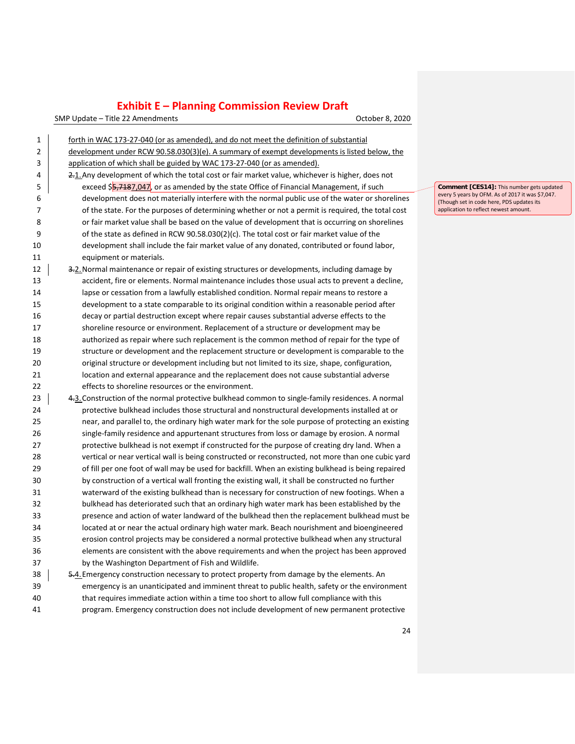SMP Update – Title 22 Amendments Controller Controller Controller Controller B. 2020

| 1  | forth in WAC 173-27-040 (or as amended), and do not meet the definition of substantial             |  |
|----|----------------------------------------------------------------------------------------------------|--|
| 2  | development under RCW 90.58.030(3)(e). A summary of exempt developments is listed below, the       |  |
| 3  | application of which shall be guided by WAC 173-27-040 (or as amended).                            |  |
| 4  | 2.1. Any development of which the total cost or fair market value, whichever is higher, does not   |  |
| 5  | exceed \$5,7187,047, or as amended by the state Office of Financial Management, if such            |  |
| 6  | development does not materially interfere with the normal public use of the water or shorelines    |  |
| 7  | of the state. For the purposes of determining whether or not a permit is required, the total cost  |  |
| 8  | or fair market value shall be based on the value of development that is occurring on shorelines    |  |
| 9  | of the state as defined in RCW 90.58.030(2)(c). The total cost or fair market value of the         |  |
| 10 | development shall include the fair market value of any donated, contributed or found labor,        |  |
| 11 | equipment or materials.                                                                            |  |
| 12 | 3-2. Normal maintenance or repair of existing structures or developments, including damage by      |  |
| 13 | accident, fire or elements. Normal maintenance includes those usual acts to prevent a decline,     |  |
| 14 | lapse or cessation from a lawfully established condition. Normal repair means to restore a         |  |
| 15 | development to a state comparable to its original condition within a reasonable period after       |  |
| 16 | decay or partial destruction except where repair causes substantial adverse effects to the         |  |
| 17 | shoreline resource or environment. Replacement of a structure or development may be                |  |
| 18 | authorized as repair where such replacement is the common method of repair for the type of         |  |
| 19 | structure or development and the replacement structure or development is comparable to the         |  |
| 20 | original structure or development including but not limited to its size, shape, configuration,     |  |
| 21 | location and external appearance and the replacement does not cause substantial adverse            |  |
| 22 | effects to shoreline resources or the environment.                                                 |  |
| 23 | 4.3. Construction of the normal protective bulkhead common to single-family residences. A normal   |  |
| 24 | protective bulkhead includes those structural and nonstructural developments installed at or       |  |
| 25 | near, and parallel to, the ordinary high water mark for the sole purpose of protecting an existing |  |
| 26 | single-family residence and appurtenant structures from loss or damage by erosion. A normal        |  |
| 27 | protective bulkhead is not exempt if constructed for the purpose of creating dry land. When a      |  |
| 28 | vertical or near vertical wall is being constructed or reconstructed, not more than one cubic yard |  |
| 29 | of fill per one foot of wall may be used for backfill. When an existing bulkhead is being repaired |  |
| 30 | by construction of a vertical wall fronting the existing wall, it shall be constructed no further  |  |
| 31 | waterward of the existing bulkhead than is necessary for construction of new footings. When a      |  |
| 32 | bulkhead has deteriorated such that an ordinary high water mark has been established by the        |  |
| 33 | presence and action of water landward of the bulkhead then the replacement bulkhead must be        |  |
| 34 | located at or near the actual ordinary high water mark. Beach nourishment and bioengineered        |  |
| 35 | erosion control projects may be considered a normal protective bulkhead when any structural        |  |
| 36 | elements are consistent with the above requirements and when the project has been approved         |  |
| 37 | by the Washington Department of Fish and Wildlife.                                                 |  |
| 38 | 5.4. Emergency construction necessary to protect property from damage by the elements. An          |  |
| 39 | emergency is an unanticipated and imminent threat to public health, safety or the environment      |  |
| 40 | that requires immediate action within a time too short to allow full compliance with this          |  |
| 41 | program. Emergency construction does not include development of new permanent protective           |  |

**Comment [CES14]:** This number gets updated<br>every 5 years by OFM. As of 2017 it was \$7,047.<br>(Though set in code here, PDS updates its<br>application to reflect newest amount.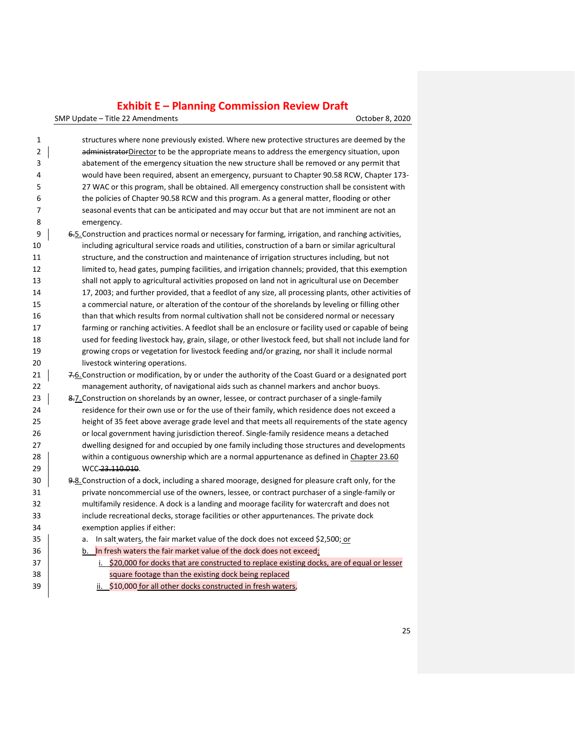SMP Update – Title 22 Amendments CHA COLORET CONSERVATION CORPORATION OCTOber 8, 2020

| 1              | structures where none previously existed. Where new protective structures are deemed by the            |
|----------------|--------------------------------------------------------------------------------------------------------|
| $\overline{2}$ | administratorDirector to be the appropriate means to address the emergency situation, upon             |
| 3              | abatement of the emergency situation the new structure shall be removed or any permit that             |
| 4              | would have been required, absent an emergency, pursuant to Chapter 90.58 RCW, Chapter 173-             |
| 5              | 27 WAC or this program, shall be obtained. All emergency construction shall be consistent with         |
| 6              | the policies of Chapter 90.58 RCW and this program. As a general matter, flooding or other             |
| 7              | seasonal events that can be anticipated and may occur but that are not imminent are not an             |
| 8              | emergency.                                                                                             |
| 9              | 6.5. Construction and practices normal or necessary for farming, irrigation, and ranching activities,  |
| 10             | including agricultural service roads and utilities, construction of a barn or similar agricultural     |
| 11             | structure, and the construction and maintenance of irrigation structures including, but not            |
| 12             | limited to, head gates, pumping facilities, and irrigation channels; provided, that this exemption     |
| 13             | shall not apply to agricultural activities proposed on land not in agricultural use on December        |
| 14             | 17, 2003; and further provided, that a feedlot of any size, all processing plants, other activities of |
| 15             | a commercial nature, or alteration of the contour of the shorelands by leveling or filling other       |
| 16             | than that which results from normal cultivation shall not be considered normal or necessary            |
| 17             | farming or ranching activities. A feedlot shall be an enclosure or facility used or capable of being   |
| 18             | used for feeding livestock hay, grain, silage, or other livestock feed, but shall not include land for |
| 19             | growing crops or vegetation for livestock feeding and/or grazing, nor shall it include normal          |
| 20             | livestock wintering operations.                                                                        |
| 21             | 7.6. Construction or modification, by or under the authority of the Coast Guard or a designated port   |
| 22             | management authority, of navigational aids such as channel markers and anchor buoys.                   |
| 23             | 8.7. Construction on shorelands by an owner, lessee, or contract purchaser of a single-family          |
| 24             | residence for their own use or for the use of their family, which residence does not exceed a          |
| 25             | height of 35 feet above average grade level and that meets all requirements of the state agency        |
| 26             | or local government having jurisdiction thereof. Single-family residence means a detached              |
| 27             | dwelling designed for and occupied by one family including those structures and developments           |
| 28             | within a contiguous ownership which are a normal appurtenance as defined in Chapter 23.60              |
| 29             | WCC 23.110.010.                                                                                        |
| 30             | 9-8. Construction of a dock, including a shared moorage, designed for pleasure craft only, for the     |
| 31             | private noncommercial use of the owners, lessee, or contract purchaser of a single-family or           |
| 32             | multifamily residence. A dock is a landing and moorage facility for watercraft and does not            |
| 33             | include recreational decks, storage facilities or other appurtenances. The private dock                |
| 34             | exemption applies if either:                                                                           |
| 35             | In salt waters, the fair market value of the dock does not exceed \$2,500; or<br>a.                    |
| 36             | In fresh waters the fair market value of the dock does not exceed:<br>b.                               |
| 37             | \$20,000 for docks that are constructed to replace existing docks, are of equal or lesser<br>i.        |
| 38             | square footage than the existing dock being replaced                                                   |
|                |                                                                                                        |

**ii.** \$10,000 for all other docks constructed in fresh waters,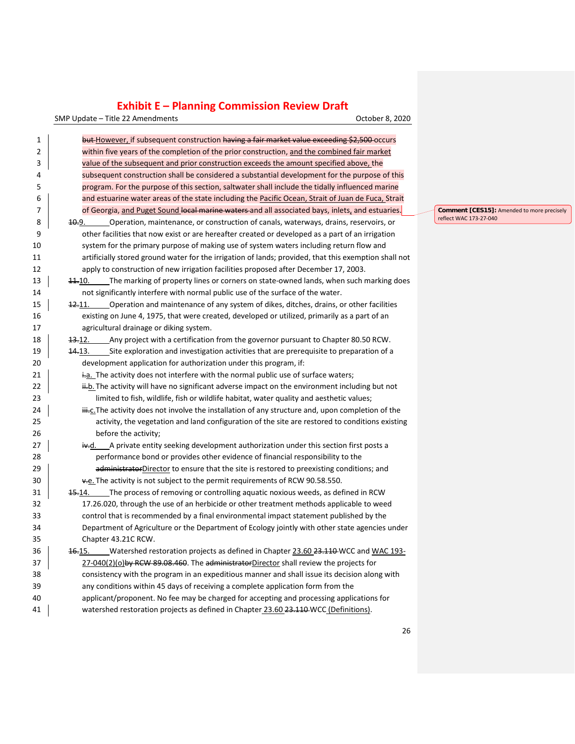SMP Update – Title 22 Amendments Controller Controller Controller Controller B. 2020

| 1  | but-However, if subsequent construction having a fair market value exceeding \$2,500-occurs                   |
|----|---------------------------------------------------------------------------------------------------------------|
| 2  | within five years of the completion of the prior construction, and the combined fair market                   |
| 3  | value of the subsequent and prior construction exceeds the amount specified above, the                        |
| 4  | subsequent construction shall be considered a substantial development for the purpose of this                 |
| 5  | program. For the purpose of this section, saltwater shall include the tidally influenced marine               |
| 6  | and estuarine water areas of the state including the Pacific Ocean, Strait of Juan de Fuca, Strait            |
| 7  | of Georgia, and Puget Sound local marine waters and all associated bays, inlets, and estuaries.               |
| 8  | Operation, maintenance, or construction of canals, waterways, drains, reservoirs, or<br>10.9.                 |
| 9  | other facilities that now exist or are hereafter created or developed as a part of an irrigation              |
| 10 | system for the primary purpose of making use of system waters including return flow and                       |
| 11 | artificially stored ground water for the irrigation of lands; provided, that this exemption shall not         |
| 12 | apply to construction of new irrigation facilities proposed after December 17, 2003.                          |
| 13 | The marking of property lines or corners on state-owned lands, when such marking does<br>11.10.               |
| 14 | not significantly interfere with normal public use of the surface of the water.                               |
| 15 | Operation and maintenance of any system of dikes, ditches, drains, or other facilities<br><del>12.</del> 11.  |
| 16 | existing on June 4, 1975, that were created, developed or utilized, primarily as a part of an                 |
| 17 | agricultural drainage or diking system.                                                                       |
| 18 | Any project with a certification from the governor pursuant to Chapter 80.50 RCW.<br>13.12.                   |
| 19 | Site exploration and investigation activities that are prerequisite to preparation of a<br><del>14.</del> 13. |
| 20 | development application for authorization under this program, if:                                             |
| 21 | ia. The activity does not interfere with the normal public use of surface waters;                             |
| 22 | ii-b. The activity will have no significant adverse impact on the environment including but not               |
| 23 | limited to fish, wildlife, fish or wildlife habitat, water quality and aesthetic values;                      |
| 24 | iii.c. The activity does not involve the installation of any structure and, upon completion of the            |
| 25 | activity, the vegetation and land configuration of the site are restored to conditions existing               |
| 26 | before the activity;                                                                                          |
| 27 | A private entity seeking development authorization under this section first posts a<br>iv.d.                  |
| 28 | performance bond or provides other evidence of financial responsibility to the                                |
| 29 | administratorDirector to ensure that the site is restored to preexisting conditions; and                      |
| 30 | ve. The activity is not subject to the permit requirements of RCW 90.58.550.                                  |
| 31 | The process of removing or controlling aquatic noxious weeds, as defined in RCW<br><del>15.</del> 14.         |
| 32 | 17.26.020, through the use of an herbicide or other treatment methods applicable to weed                      |
| 33 | control that is recommended by a final environmental impact statement published by the                        |
| 34 | Department of Agriculture or the Department of Ecology jointly with other state agencies under                |
| 35 | Chapter 43.21C RCW.                                                                                           |
| 36 | 46.15. Watershed restoration projects as defined in Chapter 23.60 23.110 WCC and WAC 193-                     |
| 37 | 27-040(2)(o)by RCW 89.08.460. The administratorDirector shall review the projects for                         |
| 38 | consistency with the program in an expeditious manner and shall issue its decision along with                 |
| 39 | any conditions within 45 days of receiving a complete application form from the                               |
| 40 | applicant/proponent. No fee may be charged for accepting and processing applications for                      |
| 41 | watershed restoration projects as defined in Chapter 23.60 23.110 WCC (Definitions).                          |

**Comment [CES15]:** Amended to more precisely reflect WAC 173-27-040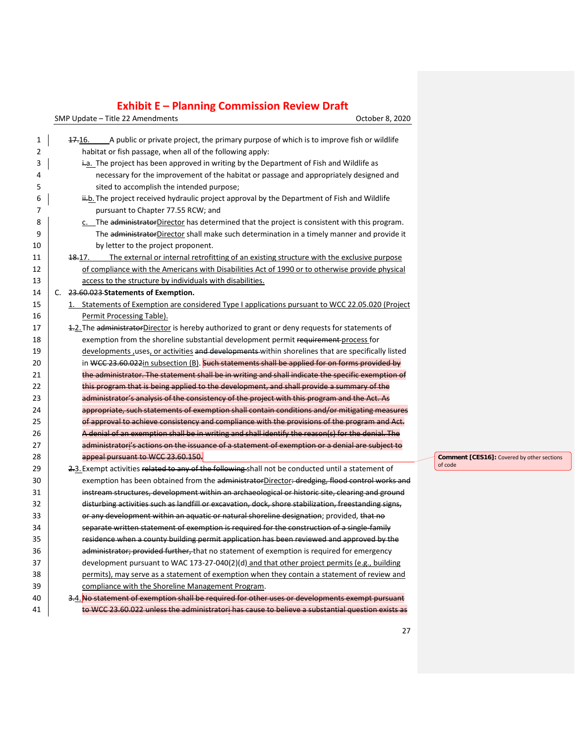SMP Update – Title 22 Amendments Controller Controller Controller Controller B. 2020

| 1                   | 47.16. A public or private project, the primary purpose of which is to improve fish or wildlife                                                     |
|---------------------|-----------------------------------------------------------------------------------------------------------------------------------------------------|
| $\overline{2}$<br>3 | habitat or fish passage, when all of the following apply:<br>ia. The project has been approved in writing by the Department of Fish and Wildlife as |
|                     |                                                                                                                                                     |
| 4                   | necessary for the improvement of the habitat or passage and appropriately designed and                                                              |
| 5                   | sited to accomplish the intended purpose;                                                                                                           |
| 6                   | ii.b. The project received hydraulic project approval by the Department of Fish and Wildlife                                                        |
| 7                   | pursuant to Chapter 77.55 RCW; and                                                                                                                  |
| 8                   | c. The administratorDirector has determined that the project is consistent with this program.                                                       |
| 9                   | The administratorDirector shall make such determination in a timely manner and provide it                                                           |
| 10                  | by letter to the project proponent.                                                                                                                 |
| 11                  | The external or internal retrofitting of an existing structure with the exclusive purpose<br><del>18.</del> 17.                                     |
| 12                  | of compliance with the Americans with Disabilities Act of 1990 or to otherwise provide physical                                                     |
| 13                  | access to the structure by individuals with disabilities.                                                                                           |
| 14                  | C. 23.60.023 Statements of Exemption.                                                                                                               |
| 15                  | 1. Statements of Exemption are considered Type I applications pursuant to WCC 22.05.020 (Project                                                    |
| 16                  | Permit Processing Table).                                                                                                                           |
| 17                  | 1.2. The administratorDirector is hereby authorized to grant or deny requests for statements of                                                     |
| 18                  | exemption from the shoreline substantial development permit requirement process for                                                                 |
| 19                  | developments, uses, or activities and developments-within shorelines that are specifically listed                                                   |
| 20                  | in WCC 23.60.022in subsection (B). Such statements shall be applied for on forms provided by                                                        |
| 21                  | the administrator. The statement shall be in writing and shall indicate the specific exemption of                                                   |
| 22                  | this program that is being applied to the development, and shall provide a summary of the                                                           |
| 23                  | administrator's analysis of the consistency of the project with this program and the Act. As                                                        |
| 24                  | appropriate, such statements of exemption shall contain conditions and/or mitigating measures                                                       |
| 25                  | of approval to achieve consistency and compliance with the provisions of the program and Act.                                                       |
| 26                  | A denial of an exemption shall be in writing and shall identify the reason(s) for the denial. The                                                   |
| 27                  | administratori's actions on the issuance of a statement of exemption or a denial are subject to                                                     |
| 28                  | appeal pursuant to WCC 23.60.150.                                                                                                                   |
| 29                  | 2.3. Exempt activities related to any of the following shall not be conducted until a statement of                                                  |
| 30                  | exemption has been obtained from the administratorDirector-dredging, flood control works and                                                        |
| 31                  | instream structures, development within an archaeological or historic site, clearing and ground                                                     |
| 32                  | disturbing activities such as landfill or excavation, dock, shore stabilization, freestanding signs,                                                |
| 33                  | or any development within an aquatic or natural shoreline designation; provided, that no                                                            |
| 34                  | separate written statement of exemption is required for the construction of a single family                                                         |
| 35                  | residence when a county building permit application has been reviewed and approved by the                                                           |
| 36                  | administrator; provided further, that no statement of exemption is required for emergency                                                           |
| 37                  | development pursuant to WAC 173-27-040(2)(d) and that other project permits (e.g., building                                                         |
| 38                  | permits), may serve as a statement of exemption when they contain a statement of review and                                                         |
| 39                  | compliance with the Shoreline Management Program.                                                                                                   |
| 40                  | 3.4. No statement of exemption shall be required for other uses or developments exempt pursuant                                                     |
| 41                  | to WCC 23.60.022 unless the administratori has cause to believe a substantial question exists as                                                    |

**Comment [CES16]:** Covered by other sections of code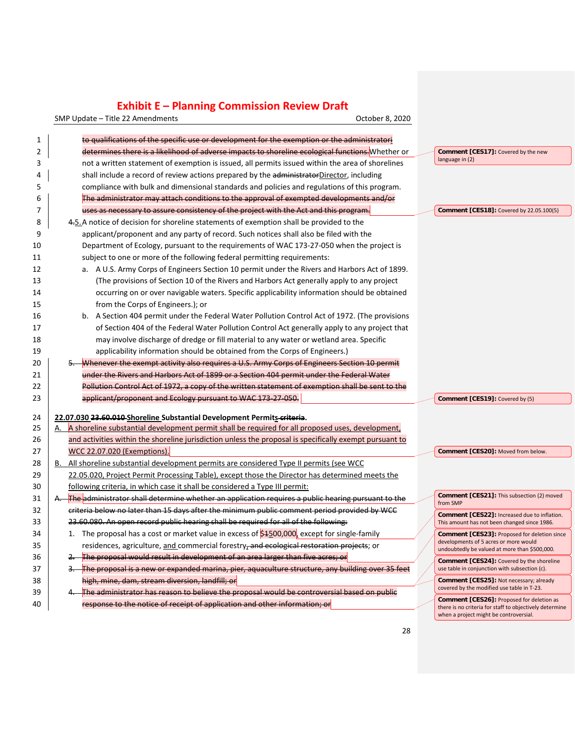SMP Update – Title 22 Amendments Controller Controller Controller Controller B. 2020

| 1              | to qualifications of the specific use or development for the exemption or the administratori              |                                                                                                   |
|----------------|-----------------------------------------------------------------------------------------------------------|---------------------------------------------------------------------------------------------------|
| $\overline{2}$ | determines there is a likelihood of adverse impacts to shoreline ecological functions. Whether or         | Comment [CES17]: Covered by the new                                                               |
| 3              | not a written statement of exemption is issued, all permits issued within the area of shorelines          | language in (2)                                                                                   |
| 4              | shall include a record of review actions prepared by the administratorDirector, including                 |                                                                                                   |
| 5              | compliance with bulk and dimensional standards and policies and regulations of this program.              |                                                                                                   |
| 6              | The administrator may attach conditions to the approval of exempted developments and/or                   |                                                                                                   |
| 7              | uses as necessary to assure consistency of the project with the Act and this program.                     | Comment [CES18]: Covered by 22.05.100(5)                                                          |
| 8              | 4.5. A notice of decision for shoreline statements of exemption shall be provided to the                  |                                                                                                   |
| 9              | applicant/proponent and any party of record. Such notices shall also be filed with the                    |                                                                                                   |
| 10             | Department of Ecology, pursuant to the requirements of WAC 173-27-050 when the project is                 |                                                                                                   |
| 11             | subject to one or more of the following federal permitting requirements:                                  |                                                                                                   |
| 12             | a. A U.S. Army Corps of Engineers Section 10 permit under the Rivers and Harbors Act of 1899.             |                                                                                                   |
| 13             | (The provisions of Section 10 of the Rivers and Harbors Act generally apply to any project                |                                                                                                   |
| 14             | occurring on or over navigable waters. Specific applicability information should be obtained              |                                                                                                   |
| 15             | from the Corps of Engineers.); or                                                                         |                                                                                                   |
| 16             | b. A Section 404 permit under the Federal Water Pollution Control Act of 1972. (The provisions            |                                                                                                   |
| 17             | of Section 404 of the Federal Water Pollution Control Act generally apply to any project that             |                                                                                                   |
| 18             | may involve discharge of dredge or fill material to any water or wetland area. Specific                   |                                                                                                   |
| 19             | applicability information should be obtained from the Corps of Engineers.)                                |                                                                                                   |
| 20             | Whenever the exempt activity also requires a U.S. Army Corps of Engineers Section 10 permit               |                                                                                                   |
| 21             | under the Rivers and Harbors Act of 1899 or a Section 404 permit under the Federal Water                  |                                                                                                   |
| 22             | Pollution Control Act of 1972, a copy of the written statement of exemption shall be sent to the          |                                                                                                   |
| 23             | applicant/proponent and Ecology pursuant to WAC 173-27-050.                                               | Comment [CES19]: Covered by (5)                                                                   |
|                |                                                                                                           |                                                                                                   |
| 24             | 22.07.030 23.60.010 Shoreline Substantial Development Permits criteria.                                   |                                                                                                   |
| 25             | A shoreline substantial development permit shall be required for all proposed uses, development,          |                                                                                                   |
| 26             | and activities within the shoreline jurisdiction unless the proposal is specifically exempt pursuant to   |                                                                                                   |
| 27             | <b>WCC 22.07.020 (Exemptions).</b>                                                                        | Comment [CES20]: Moved from below.                                                                |
| 28             | All shoreline substantial development permits are considered Type II permits (see WCC)                    |                                                                                                   |
| 29             | 22.05.020, Project Permit Processing Table), except those the Director has determined meets the           |                                                                                                   |
| 30             | following criteria, in which case it shall be considered a Type III permit:                               | Comment [CES21]: This subsection (2) moved                                                        |
| 31             | <b>The administrator shall determine whether an application requires a public hearing pursuant to the</b> | from SMP                                                                                          |
| 32             | criteria below no later than 15 days after the minimum public comment period provided by WCC              | Comment [CES22]: Increased due to inflation.                                                      |
| 33             | 23.60.080. An open record public hearing shall be required for all of the following:                      | This amount has not been changed since 1986.                                                      |
| 34             | 1. The proposal has a cost or market value in excess of $$4500,000$ , except for single-family            | <b>Comment [CES23]: Proposed for deletion since</b><br>developments of 5 acres or more would      |
| 35             | residences, agriculture, and commercial forestry, and ecological restoration projects; or                 | undoubtedly be valued at more than \$500,000.                                                     |
| 36             | The proposal would result in development of an area larger than five acres; or                            | Comment [CES24]: Covered by the shoreline                                                         |
| 37             | The proposal is a new or expanded marina, pier, aquaculture structure, any building over 35 feet          | use table in conjunction with subsection (c).                                                     |
| 38             | high, mine, dam, stream diversion, landfill; or                                                           | Comment [CES25]: Not necessary; already<br>covered by the modified use table in T-23.             |
| 39             | The administrator has reason to believe the proposal would be controversial based on public               | <b>Comment [CES26]:</b> Proposed for deletion as                                                  |
| 40             | response to the notice of receipt of application and other information; or                                | there is no criteria for staff to objectively determine<br>when a project might be controversial. |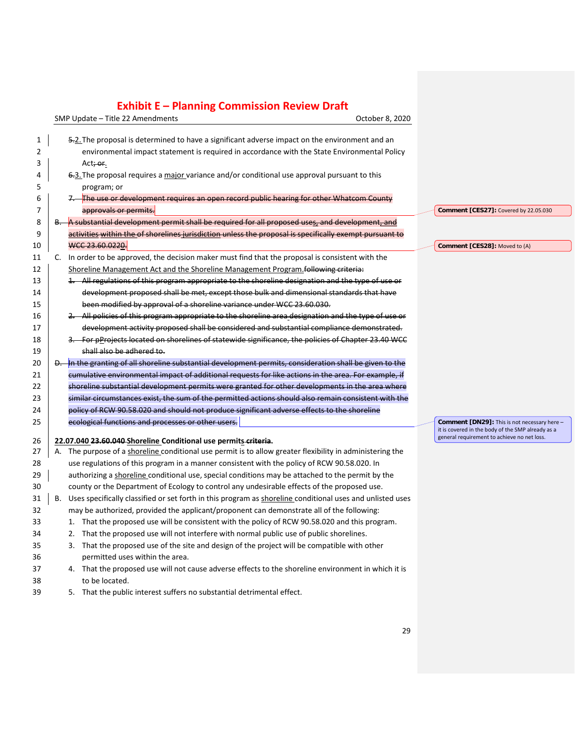SMP Update – Title 22 Amendments Controller Controller Controller Controller B. 2020

| 1  | 5.2. The proposal is determined to have a significant adverse impact on the environment and an                  |                                                                                                  |
|----|-----------------------------------------------------------------------------------------------------------------|--------------------------------------------------------------------------------------------------|
| 2  | environmental impact statement is required in accordance with the State Environmental Policy                    |                                                                                                  |
| 3  | Act <del>; or</del> .                                                                                           |                                                                                                  |
| 4  | 6.3. The proposal requires a major variance and/or conditional use approval pursuant to this                    |                                                                                                  |
| 5  | program; or                                                                                                     |                                                                                                  |
| 6  | The use or development requires an open record public hearing for other Whatcom County                          |                                                                                                  |
| 7  | approvals or permits.                                                                                           | Comment [CES27]: Covered by 22.05.030                                                            |
| 8  | A substantial development permit shall be required for all proposed uses, and development, and                  |                                                                                                  |
| 9  | activities within the of shorelines jurisdiction unless the proposal is specifically exempt pursuant to         |                                                                                                  |
| 10 | WCC 23.60.0220.                                                                                                 | Comment [CES28]: Moved to (A)                                                                    |
| 11 | In order to be approved, the decision maker must find that the proposal is consistent with the<br>C.            |                                                                                                  |
| 12 | Shoreline Management Act and the Shoreline Management Program following criteria:                               |                                                                                                  |
| 13 | 1. All regulations of this program appropriate to the shoreline designation and the type of use or              |                                                                                                  |
| 14 | development proposed shall be met, except those bulk and dimensional standards that have                        |                                                                                                  |
| 15 | been modified by approval of a shoreline variance under WCC 23.60.030.                                          |                                                                                                  |
| 16 | 2. All policies of this program appropriate to the shoreline area designation and the type of use or            |                                                                                                  |
| 17 | development activity proposed shall be considered and substantial compliance demonstrated.                      |                                                                                                  |
| 18 | 3. For pProjects located on shorelines of statewide significance, the policies of Chapter 23.40 WCC             |                                                                                                  |
| 19 | shall also be adhered to.                                                                                       |                                                                                                  |
| 20 | In the granting of all shoreline substantial development permits, consideration shall be given to the           |                                                                                                  |
| 21 | cumulative environmental impact of additional requests for like actions in the area. For example, if            |                                                                                                  |
| 22 | shoreline substantial development permits were granted for other developments in the area where                 |                                                                                                  |
| 23 | similar circumstances exist, the sum of the permitted actions should also remain consistent with the            |                                                                                                  |
| 24 | policy of RCW 90.58.020 and should not produce significant adverse effects to the shoreline                     |                                                                                                  |
| 25 | ecological functions and processes or other users.                                                              | Comment [DN29]: This is not necessary here -                                                     |
|    |                                                                                                                 | it is covered in the body of the SMP already as a<br>general requirement to achieve no net loss. |
| 26 | 22.07.040 23.60.040 Shoreline Conditional use permits criteria.                                                 |                                                                                                  |
| 27 | The purpose of a shoreline conditional use permit is to allow greater flexibility in administering the<br>А.    |                                                                                                  |
| 28 | use regulations of this program in a manner consistent with the policy of RCW 90.58.020. In                     |                                                                                                  |
| 29 | authorizing a shoreline conditional use, special conditions may be attached to the permit by the                |                                                                                                  |
| 30 | county or the Department of Ecology to control any undesirable effects of the proposed use.                     |                                                                                                  |
| 31 | Uses specifically classified or set forth in this program as shoreline conditional uses and unlisted uses<br>В. |                                                                                                  |
| 32 | may be authorized, provided the applicant/proponent can demonstrate all of the following:                       |                                                                                                  |
| 33 | 1. That the proposed use will be consistent with the policy of RCW 90.58.020 and this program.                  |                                                                                                  |
| 34 | 2. That the proposed use will not interfere with normal public use of public shorelines.                        |                                                                                                  |
| 35 | 3. That the proposed use of the site and design of the project will be compatible with other                    |                                                                                                  |
| 36 | permitted uses within the area.                                                                                 |                                                                                                  |
| 37 | 4. That the proposed use will not cause adverse effects to the shoreline environment in which it is             |                                                                                                  |
| 38 | to be located.                                                                                                  |                                                                                                  |
| 39 | 5. That the public interest suffers no substantial detrimental effect.                                          |                                                                                                  |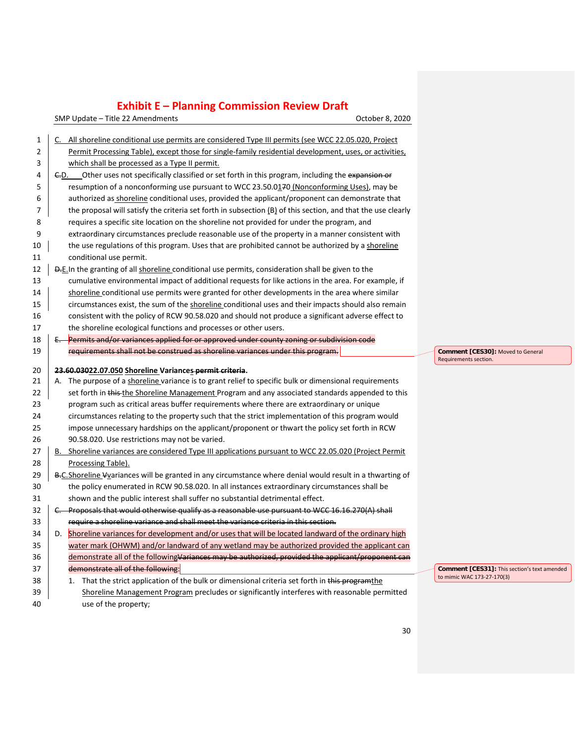SMP Update – Title 22 Amendments Controller Controller Controller Controller B. 2020

| 1        |                           | C. All shoreline conditional use permits are considered Type III permits (see WCC 22.05.020, Project                                                                                                       |
|----------|---------------------------|------------------------------------------------------------------------------------------------------------------------------------------------------------------------------------------------------------|
| 2        |                           | Permit Processing Table), except those for single-family residential development, uses, or activities,                                                                                                     |
| 3        |                           | which shall be processed as a Type II permit.                                                                                                                                                              |
| 4        |                           | E.D. Other uses not specifically classified or set forth in this program, including the expansion or                                                                                                       |
| 5        |                           | resumption of a nonconforming use pursuant to WCC 23.50.0170 (Nonconforming Uses), may be                                                                                                                  |
| 6        |                           | authorized as shoreline conditional uses, provided the applicant/proponent can demonstrate that                                                                                                            |
| 7        |                           | the proposal will satisfy the criteria set forth in subsection (B) of this section, and that the use clearly                                                                                               |
| 8        |                           | requires a specific site location on the shoreline not provided for under the program, and                                                                                                                 |
| 9        |                           | extraordinary circumstances preclude reasonable use of the property in a manner consistent with                                                                                                            |
| 10       |                           | the use regulations of this program. Uses that are prohibited cannot be authorized by a shoreline                                                                                                          |
| 11       | conditional use permit.   |                                                                                                                                                                                                            |
| 12       |                           | D.E.In the granting of all shoreline conditional use permits, consideration shall be given to the                                                                                                          |
| 13       |                           | cumulative environmental impact of additional requests for like actions in the area. For example, if                                                                                                       |
| 14       |                           | shoreline conditional use permits were granted for other developments in the area where similar                                                                                                            |
| 15       |                           | circumstances exist, the sum of the shoreline conditional uses and their impacts should also remain                                                                                                        |
| 16       |                           | consistent with the policy of RCW 90.58.020 and should not produce a significant adverse effect to                                                                                                         |
| 17       |                           | the shoreline ecological functions and processes or other users.                                                                                                                                           |
| 18       |                           | Permits and/or variances applied for or approved under county zoning or subdivision code                                                                                                                   |
| 19       |                           | requirements shall not be construed as shoreline variances under this program.                                                                                                                             |
|          |                           |                                                                                                                                                                                                            |
|          |                           |                                                                                                                                                                                                            |
| 20       |                           | 23.60.03022.07.050 Shoreline Variances permit criteria.                                                                                                                                                    |
| 21       | А.                        | The purpose of a shoreline variance is to grant relief to specific bulk or dimensional requirements                                                                                                        |
| 22       |                           | set forth in this-the Shoreline Management Program and any associated standards appended to this                                                                                                           |
| 23       |                           | program such as critical areas buffer requirements where there are extraordinary or unique                                                                                                                 |
| 24       |                           | circumstances relating to the property such that the strict implementation of this program would                                                                                                           |
| 25       |                           | impose unnecessary hardships on the applicant/proponent or thwart the policy set forth in RCW                                                                                                              |
| 26       |                           | 90.58.020. Use restrictions may not be varied.                                                                                                                                                             |
| 27       |                           | B. Shoreline variances are considered Type III applications pursuant to WCC 22.05.020 (Project Permit                                                                                                      |
| 28       | <b>Processing Table).</b> |                                                                                                                                                                                                            |
| 29<br>30 |                           | B-C. Shoreline Vyariances will be granted in any circumstance where denial would result in a thwarting of<br>the policy enumerated in RCW 90.58.020. In all instances extraordinary circumstances shall be |
| 31       |                           | shown and the public interest shall suffer no substantial detrimental effect.                                                                                                                              |
| 32       |                           |                                                                                                                                                                                                            |
| 33       |                           | C. Proposals that would otherwise qualify as a reasonable use pursuant to WCC 16.16.270(A) shall                                                                                                           |
| 34       |                           | require a shoreline variance and shall meet the variance criteria in this section.                                                                                                                         |
| 35       |                           | D. Shoreline variances for development and/or uses that will be located landward of the ordinary high<br>water mark (OHWM) and/or landward of any wetland may be authorized provided the applicant can     |
| 36       |                           | demonstrate all of the followingVariances may be authorized, provided the applicant/proponent can                                                                                                          |
| 37       |                           | demonstrate all of the following:                                                                                                                                                                          |
| 38       |                           | 1. That the strict application of the bulk or dimensional criteria set forth in this programthe                                                                                                            |
| 39       |                           | Shoreline Management Program precludes or significantly interferes with reasonable permitted                                                                                                               |

**Comment [CES30]:** Moved to General Requirements section.

**Comment [CES31]:** This section's text amended to mimic WAC 173-27-170(3)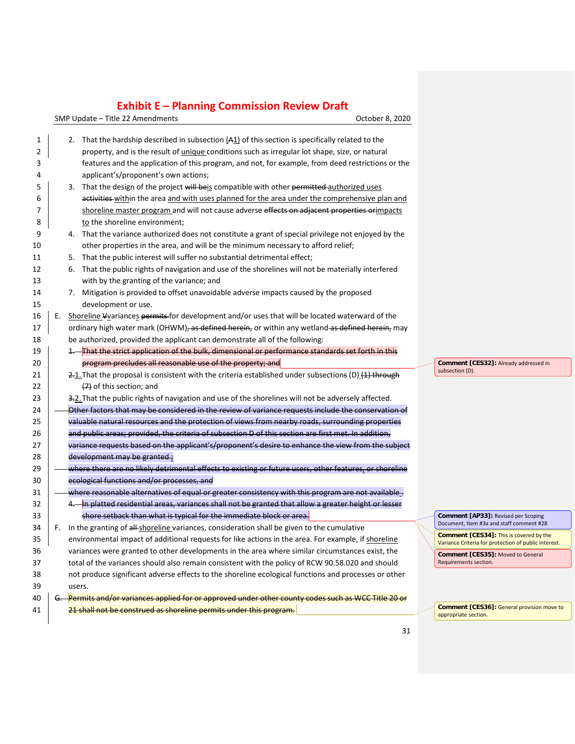SMP Update – Title 22 Amendments Controller Controller Controller Controller B. 2020

| 1  |    | 2. That the hardship described in subsection $(A_1)$ of this section is specifically related to the          |                                |
|----|----|--------------------------------------------------------------------------------------------------------------|--------------------------------|
| 2  |    | property, and is the result of <i>unique</i> conditions such as irregular lot shape, size, or natural        |                                |
| 3  |    | features and the application of this program, and not, for example, from deed restrictions or the            |                                |
| 4  |    | applicant's/proponent's own actions;                                                                         |                                |
| 5  |    | 3. That the design of the project will beis compatible with other permitted-authorized uses                  |                                |
| 6  |    | activities within the area and with uses planned for the area under the comprehensive plan and               |                                |
| 7  |    | shoreline master program and will not cause adverse effects on adjacent properties or impacts                |                                |
| 8  |    | to the shoreline environment;                                                                                |                                |
| 9  |    | 4. That the variance authorized does not constitute a grant of special privilege not enjoyed by the          |                                |
| 10 |    | other properties in the area, and will be the minimum necessary to afford relief;                            |                                |
| 11 |    | 5. That the public interest will suffer no substantial detrimental effect;                                   |                                |
| 12 |    | 6. That the public rights of navigation and use of the shorelines will not be materially interfered          |                                |
| 13 |    | with by the granting of the variance; and                                                                    |                                |
| 14 |    | 7. Mitigation is provided to offset unavoidable adverse impacts caused by the proposed                       |                                |
| 15 |    | development or use.                                                                                          |                                |
| 16 | Е. | Shoreline Vyariances permits for development and/or uses that will be located waterward of the               |                                |
| 17 |    | ordinary high water mark (OHWM) <del>, as defined herein,</del> or within any wetland as defined herein, may |                                |
| 18 |    | be authorized, provided the applicant can demonstrate all of the following:                                  |                                |
| 19 |    | 1. That the strict application of the bulk, dimensional or performance standards set forth in this           |                                |
| 20 |    | program precludes all reasonable use of the property; and                                                    |                                |
| 21 |    | 2.1. That the proposal is consistent with the criteria established under subsections (D) (4) through         | su                             |
| 22 |    | $(7)$ of this section; and                                                                                   |                                |
| 23 |    | 3.2. That the public rights of navigation and use of the shorelines will not be adversely affected.          |                                |
| 24 |    | Other factors that may be considered in the review of variance requests include the conservation of          |                                |
| 25 |    | valuable natural resources and the protection of views from nearby roads, surrounding properties             |                                |
| 26 |    | and public areas; provided, the criteria of subsection D of this section are first met. In addition,         |                                |
| 27 |    | variance requests based on the applicant's/proponent's desire to enhance the view from the subject           |                                |
| 28 |    | development may be granted;                                                                                  |                                |
| 29 |    | where there are no likely detrimental effects to existing or future users, other features, or shoreline      |                                |
| 30 |    | ecological functions and/or processes, and                                                                   |                                |
| 31 |    | where reasonable alternatives of equal or greater consistency with this program are not available.           |                                |
| 32 |    | 4. In platted residential areas, variances shall not be granted that allow a greater height or lesser        |                                |
| 33 |    | shore setback than what is typical for the immediate block or area.                                          | $\mathbf{C}$<br>D <sub>1</sub> |
| 34 | F. | In the granting of all-shoreline variances, consideration shall be given to the cumulative                   | $\mathbf{C}$                   |
| 35 |    | environmental impact of additional requests for like actions in the area. For example, if shoreline          | $V_i$                          |
| 36 |    | variances were granted to other developments in the area where similar circumstances exist, the              | $\mathbf{C}$                   |
| 37 |    | total of the variances should also remain consistent with the policy of RCW 90.58.020 and should             | R                              |
| 38 |    | not produce significant adverse effects to the shoreline ecological functions and processes or other         |                                |
| 39 |    | users.                                                                                                       |                                |
| 40 |    | Permits and/or variances applied for or approved under other county codes such as WCC Title 20 or            |                                |
| 41 |    | 21 shall not be construed as shoreline permits under this program.                                           | $\mathbf{C}$<br>a <sub>i</sub> |
|    |    |                                                                                                              |                                |

**Comment [CES32]:** Already addressed in subsection (D).

**Comment [AP33]:** Revised per Scoping Document, Item #3a and staff comment #28

**Comment [CES34]:** This is covered by the Variance Criteria for protection of public interest.

**Comment [CES35]:** Moved to General equirements section.

**Comment [CES36]:** General provision move to appropriate section.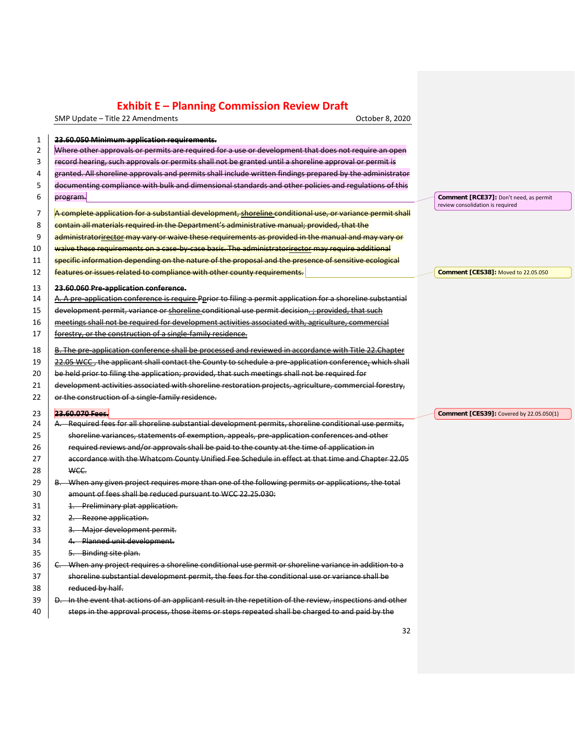SMP Update – Title 22 Amendments CHA COLORET CONSERVATION CORPORATION OCTOber 8, 2020

| $\mathbf 1$    | 23.60.050 Minimum application requirements.                                                                                                                                                                    |                                                                            |
|----------------|----------------------------------------------------------------------------------------------------------------------------------------------------------------------------------------------------------------|----------------------------------------------------------------------------|
| $\overline{2}$ | Where other approvals or permits are required for a use or development that does not require an open                                                                                                           |                                                                            |
| 3              | record hearing, such approvals or permits shall not be granted until a shoreline approval or permit is                                                                                                         |                                                                            |
| 4              | granted. All shoreline approvals and permits shall include written findings prepared by the administrator                                                                                                      |                                                                            |
| 5              | documenting compliance with bulk and dimensional standards and other policies and regulations of this                                                                                                          |                                                                            |
| 6              | program.                                                                                                                                                                                                       | Comment [RCE37]: Don't need, as permit<br>review consolidation is required |
| 7              | A complete application for a substantial development, shoreline conditional use, or variance permit shall                                                                                                      |                                                                            |
| 8              | contain all materials required in the Department's administrative manual; provided, that the                                                                                                                   |                                                                            |
| 9              | administratorirector may vary or waive these requirements as provided in the manual and may vary or                                                                                                            |                                                                            |
| 10             | waive these requirements on a case-by-case basis. The administratorirector may require additional                                                                                                              |                                                                            |
| 11             | specific information depending on the nature of the proposal and the presence of sensitive ecological                                                                                                          |                                                                            |
| 12             | features or issues related to compliance with other county requirements.                                                                                                                                       | <b>Comment [CES38]: Moved to 22.05.050</b>                                 |
| 13             | 23.60.060 Pre-application conference.                                                                                                                                                                          |                                                                            |
| 14             | A. A pre-application conference is require Pprior to filing a permit application for a shoreline substantial                                                                                                   |                                                                            |
| 15             | development permit, variance or shoreline conditional use permit decision. ; provided, that such                                                                                                               |                                                                            |
| 16             | meetings shall not be required for development activities associated with, agriculture, commercial                                                                                                             |                                                                            |
| 17             | forestry, or the construction of a single-family residence.                                                                                                                                                    |                                                                            |
| 18             | B. The pre-application conference shall be processed and reviewed in accordance with Title 22. Chapter                                                                                                         |                                                                            |
| 19             | 22.05 WCC, the applicant shall contact the County to schedule a pre-application conference, which shall                                                                                                        |                                                                            |
| 20             | be held prior to filing the application; provided, that such meetings shall not be required for                                                                                                                |                                                                            |
|                |                                                                                                                                                                                                                |                                                                            |
| 21             | development activities associated with shoreline restoration projects, agriculture, commercial forestry,                                                                                                       |                                                                            |
| 22             | or the construction of a single-family residence.                                                                                                                                                              |                                                                            |
| 23             | 23.60.070 Fees                                                                                                                                                                                                 | Comment [CES39]: Covered by 22.05.050(1)                                   |
| 24             | A. Required fees for all shoreline substantial development permits, shoreline conditional use permits,                                                                                                         |                                                                            |
| 25             | shoreline variances, statements of exemption, appeals, pre-application conferences and other                                                                                                                   |                                                                            |
| 26             | required reviews and/or approvals shall be paid to the county at the time of application in                                                                                                                    |                                                                            |
| 27             | accordance with the Whatcom County Unified Fee Schedule in effect at that time and Chapter 22.05                                                                                                               |                                                                            |
| 28             | WCC.                                                                                                                                                                                                           |                                                                            |
| 29             | B. When any given project requires more than one of the following permits or applications, the total                                                                                                           |                                                                            |
| 30             | amount of fees shall be reduced pursuant to WCC 22.25.030:                                                                                                                                                     |                                                                            |
| 31             | 1. Preliminary plat application.                                                                                                                                                                               |                                                                            |
| 32             | 2. Rezone application.                                                                                                                                                                                         |                                                                            |
| 33             | 3. Major development permit.                                                                                                                                                                                   |                                                                            |
| 34             | 4. Planned unit development.                                                                                                                                                                                   |                                                                            |
| 35             | 5. Binding site plan.                                                                                                                                                                                          |                                                                            |
| 36             | C. When any project requires a shoreline conditional use permit or shoreline variance in addition to a                                                                                                         |                                                                            |
| 37             | shoreline substantial development permit, the fees for the conditional use or variance shall be                                                                                                                |                                                                            |
| 38             | reduced by half.                                                                                                                                                                                               |                                                                            |
| 39             | D. In the event that actions of an applicant result in the repetition of the review, inspections and other<br>steps in the approval process, those items or steps repeated shall be charged to and paid by the |                                                                            |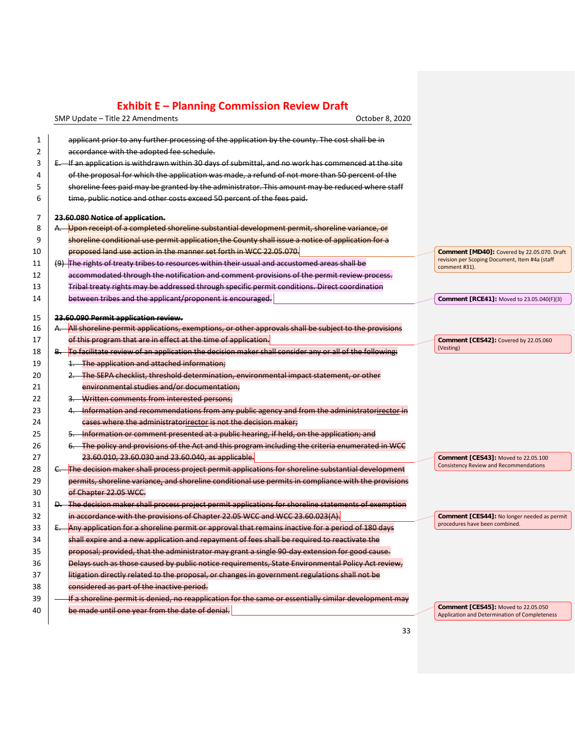SMP Update – Title 22 Amendments CHA COLORET CONSERVATION CORPORATION OCTOber 8, 2020

| 1              | applicant prior to any further processing of the application by the county. The cost shall be in         |                                                                 |
|----------------|----------------------------------------------------------------------------------------------------------|-----------------------------------------------------------------|
| $\overline{2}$ | accordance with the adopted fee schedule.                                                                |                                                                 |
| 3              | E. If an application is withdrawn within 30 days of submittal, and no work has commenced at the site     |                                                                 |
| 4              | of the proposal for which the application was made, a refund of not more than 50 percent of the          |                                                                 |
| 5              | shoreline fees paid may be granted by the administrator. This amount may be reduced where staff          |                                                                 |
| 6              | time, public notice and other costs exceed 50 percent of the fees paid.                                  |                                                                 |
| 7              | 23.60.080 Notice of application.                                                                         |                                                                 |
| 8              | Upon receipt of a completed shoreline substantial development permit, shoreline variance, or             |                                                                 |
| 9              | shoreline conditional use permit application the County shall issue a notice of application for a        |                                                                 |
| 10             | proposed land use action in the manner set forth in WCC 22.05.070.                                       | Comment [MD40]: Covered by 22.05.070. Draft                     |
| 11             | (9) The rights of treaty tribes to resources within their usual and accustomed areas shall be            | revision per Scoping Document, Item #4a (staff<br>comment #31). |
| 12             | accommodated through the notification and comment provisions of the permit review process.               |                                                                 |
| 13             | Tribal treaty rights may be addressed through specific permit conditions. Direct coordination            |                                                                 |
| 14             | between tribes and the applicant/proponent is encouraged.                                                | Comment [RCE41]: Moved to 23.05.040(F)(3)                       |
|                |                                                                                                          |                                                                 |
| 15             | 23.60.090 Permit application review.                                                                     |                                                                 |
| 16             | A. All shoreline permit applications, exemptions, or other approvals shall be subject to the provisions  |                                                                 |
| 17             | of this program that are in effect at the time of application.                                           | Comment [CES42]: Covered by 22.05.060<br>(Vesting)              |
| 18             | B. To facilitate review of an application the decision maker shall consider any or all of the following: |                                                                 |
| 19             | 1. The application and attached information:                                                             |                                                                 |
| 20             | 2. The SEPA checklist, threshold determination, environmental impact statement, or other                 |                                                                 |
| 21             | environmental studies and/or documentation:                                                              |                                                                 |
| 22             | 3. Written comments from interested persons;                                                             |                                                                 |
| 23             | 4. Information and recommendations from any public agency and from the administratorirector in           |                                                                 |
| 24             | cases where the administratorirector is not the decision maker;                                          |                                                                 |
| 25             | 5. Information or comment presented at a public hearing, if held, on the application; and                |                                                                 |
| 26             | 6. The policy and provisions of the Act and this program including the criteria enumerated in WCC        |                                                                 |
| 27             | 23.60.010, 23.60.030 and 23.60.040, as applicable.                                                       | Comment [CES43]: Moved to 22.05.100                             |
| 28             | The decision maker shall process project permit applications for shoreline substantial development       | <b>Consistency Review and Recommendations</b>                   |
| 29             | permits, shoreline variance, and shoreline conditional use permits in compliance with the provisions     |                                                                 |
| 30             | of Chapter 22.05 WCC.                                                                                    |                                                                 |
| 31             | D. The decision maker shall process project permit applications for shoreline statements of exemption    |                                                                 |
| 32             | in accordance with the provisions of Chapter 22.05 WCC and WCC 23.60.023(A).                             | Comment [CES44]: No longer needed as permit                     |
| 33             | Any application for a shoreline permit or approval that remains inactive for a period of 180 days        | procedures have been combined.                                  |
| 34             | shall expire and a new application and repayment of fees shall be required to reactivate the             |                                                                 |
| 35             | proposal; provided, that the administrator may grant a single 90-day extension for good cause.           |                                                                 |
| 36             | Delays such as those caused by public notice requirements, State Environmental Policy Act review,        |                                                                 |
| 37             | litigation directly related to the proposal, or changes in government regulations shall not be           |                                                                 |
| 38             | considered as part of the inactive period.                                                               |                                                                 |
| 39             | If a shoreline permit is denied, no reapplication for the same or essentially similar development may    |                                                                 |
| 40             | be made until one year from the date of denial.                                                          | <b>Comment [CES45]: Moved to 22.05.050</b>                      |
|                |                                                                                                          | Application and Determination of Completeness                   |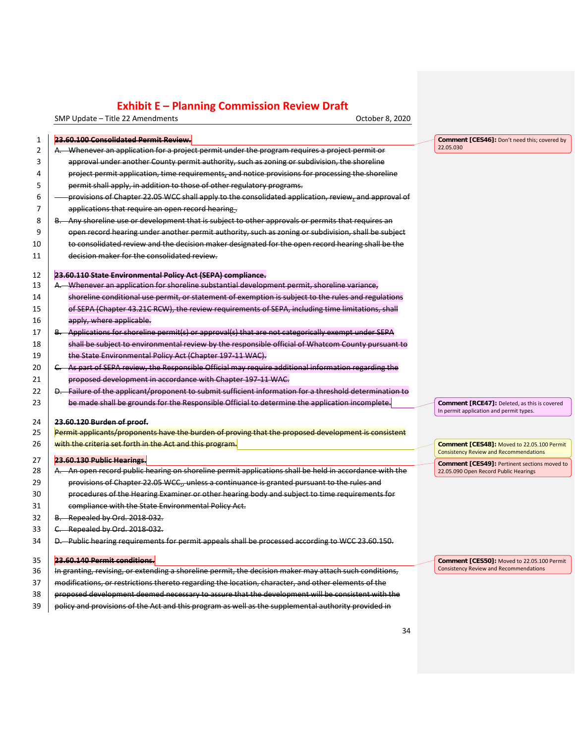SMP Update – Title 22 Amendments Controller Controller Controller Controller B. 2020

|                     | 23.60.100 Consolidated Permit Review.                                                                                                                                                                     |                                                                                         |
|---------------------|-----------------------------------------------------------------------------------------------------------------------------------------------------------------------------------------------------------|-----------------------------------------------------------------------------------------|
| 1<br>$\overline{2}$ | A. Whenever an application for a project permit under the program requires a project permit or                                                                                                            | Comment [CES46]: Don't need this; covered by<br>22.05.030                               |
| 3                   | approval under another County permit authority, such as zoning or subdivision, the shoreline                                                                                                              |                                                                                         |
| 4                   | project permit application, time requirements, and notice provisions for processing the shoreline                                                                                                         |                                                                                         |
| 5                   | permit shall apply, in addition to those of other regulatory programs.                                                                                                                                    |                                                                                         |
| 6                   | provisions of Chapter 22.05 WCC shall apply to the consolidated application, review, and approval of                                                                                                      |                                                                                         |
| 7                   | applications that require an open record hearing.                                                                                                                                                         |                                                                                         |
| 8                   | B. Any shoreline use or development that is subject to other approvals or permits that requires an                                                                                                        |                                                                                         |
| 9                   | open record hearing under another permit authority, such as zoning or subdivision, shall be subject                                                                                                       |                                                                                         |
| 10                  | to consolidated review and the decision maker designated for the open record hearing shall be the                                                                                                         |                                                                                         |
| 11                  | decision maker for the consolidated review.                                                                                                                                                               |                                                                                         |
| 12                  | 23.60.110 State Environmental Policy Act (SEPA) compliance.                                                                                                                                               |                                                                                         |
| 13                  | A. Whenever an application for shoreline substantial development permit, shoreline variance,                                                                                                              |                                                                                         |
| 14                  | shoreline conditional use permit, or statement of exemption is subject to the rules and regulations                                                                                                       |                                                                                         |
| 15                  | of SEPA (Chapter 43.21C RCW), the review requirements of SEPA, including time limitations, shall                                                                                                          |                                                                                         |
| 16                  | apply, where applicable.                                                                                                                                                                                  |                                                                                         |
| 17                  | B. Applications for shoreline permit(s) or approval(s) that are not categorically exempt under SEPA                                                                                                       |                                                                                         |
| 18                  | shall be subject to environmental review by the responsible official of Whatcom County pursuant to                                                                                                        |                                                                                         |
| 19                  | the State Environmental Policy Act (Chapter 197-11 WAC).                                                                                                                                                  |                                                                                         |
| 20                  | C. As part of SEPA review, the Responsible Official may require additional information regarding the                                                                                                      |                                                                                         |
| 21                  |                                                                                                                                                                                                           |                                                                                         |
| 22                  | proposed development in accordance with Chapter 197 11 WAC.                                                                                                                                               |                                                                                         |
|                     | D. Failure of the applicant/proponent to submit sufficient information for a threshold determination to<br>be made shall be grounds for the Responsible Official to determine the application incomplete. |                                                                                         |
| 23                  |                                                                                                                                                                                                           | Comment [RCE47]: Deleted, as this is covered<br>In permit application and permit types. |
| 24                  | 23.60.120 Burden of proof.                                                                                                                                                                                |                                                                                         |
| 25                  | Permit applicants/proponents have the burden of proving that the proposed development is consistent                                                                                                       |                                                                                         |
| 26                  | with the criteria set forth in the Act and this program.                                                                                                                                                  | Comment [CES48]: Moved to 22.05.100 Permit                                              |
| 27                  | 23.60.130 Public Hearings.                                                                                                                                                                                | <b>Consistency Review and Recommendations</b>                                           |
| 28                  | A. An open record public hearing on shoreline permit applications shall be held in accordance with the                                                                                                    | Comment [CES49]: Pertinent sections moved to<br>22.05.090 Open Record Public Hearings   |
| 29                  | provisions of Chapter 22.05 WCC., unless a continuance is granted pursuant to the rules and                                                                                                               |                                                                                         |
| 30                  | procedures of the Hearing Examiner or other hearing body and subject to time requirements for                                                                                                             |                                                                                         |
| 31                  | compliance with the State Environmental Policy Act.                                                                                                                                                       |                                                                                         |
| 32                  | B. Repealed by Ord. 2018 032.                                                                                                                                                                             |                                                                                         |
| 33                  | C. Repealed by Ord. 2018-032.                                                                                                                                                                             |                                                                                         |
| 34                  | D. Public hearing requirements for permit appeals shall be processed according to WCC 23.60.150.                                                                                                          |                                                                                         |
| 35                  | 23.60.140 Permit conditions.                                                                                                                                                                              | Comment [CES50]: Moved to 22.05.100 Permit                                              |
| 36                  | In granting, revising, or extending a shoreline permit, the decision maker may attach such conditions,                                                                                                    | Consistency Review and Recommendations                                                  |
| 37                  | modifications, or restrictions thereto regarding the location, character, and other elements of the                                                                                                       |                                                                                         |
| 38                  | proposed development deemed necessary to assure that the development will be consistent with the                                                                                                          |                                                                                         |
| 39                  | policy and provisions of the Act and this program as well as the supplemental authority provided in                                                                                                       |                                                                                         |
|                     |                                                                                                                                                                                                           |                                                                                         |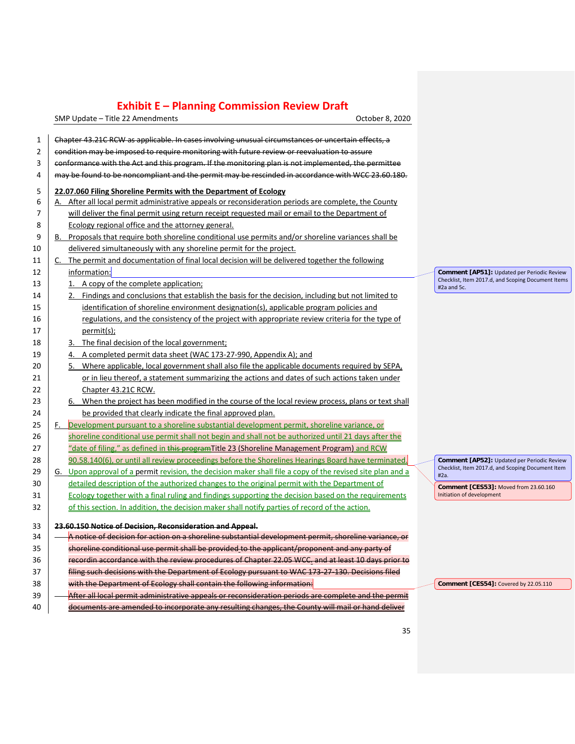SMP Update – Title 22 Amendments Controller Controller Controller Controller B. 2020

| $\mathbf{1}$   | Chapter 43.21C RCW as applicable. In cases involving unusual circumstances or uncertain effects, a         |             |
|----------------|------------------------------------------------------------------------------------------------------------|-------------|
| $\overline{2}$ | condition may be imposed to require monitoring with future review or reevaluation to assure                |             |
| 3              | conformance with the Act and this program. If the monitoring plan is not implemented, the permittee        |             |
| 4              | may be found to be noncompliant and the permit may be rescinded in accordance with WCC 23.60.180.          |             |
| 5              | 22.07.060 Filing Shoreline Permits with the Department of Ecology                                          |             |
| 6              | After all local permit administrative appeals or reconsideration periods are complete, the County<br>А.    |             |
| 7              | will deliver the final permit using return receipt requested mail or email to the Department of            |             |
| 8              | Ecology regional office and the attorney general.                                                          |             |
| 9              | B. Proposals that require both shoreline conditional use permits and/or shoreline variances shall be       |             |
| 10             | delivered simultaneously with any shoreline permit for the project.                                        |             |
| 11             | The permit and documentation of final local decision will be delivered together the following<br>C.        |             |
| 12             | information:                                                                                               | Cor         |
| 13             | 1. A copy of the complete application;                                                                     | Che<br>#2a  |
| 14             | 2. Findings and conclusions that establish the basis for the decision, including but not limited to        |             |
| 15             | identification of shoreline environment designation(s), applicable program policies and                    |             |
| 16             | regulations, and the consistency of the project with appropriate review criteria for the type of           |             |
| 17             | permit(s);                                                                                                 |             |
| 18             | 3. The final decision of the local government;                                                             |             |
| 19             | 4. A completed permit data sheet (WAC 173-27-990, Appendix A); and                                         |             |
| 20             | 5. Where applicable, local government shall also file the applicable documents required by SEPA,           |             |
| 21             | or in lieu thereof, a statement summarizing the actions and dates of such actions taken under              |             |
| 22             | Chapter 43.21C RCW.                                                                                        |             |
| 23             | 6. When the project has been modified in the course of the local review process, plans or text shall       |             |
| 24             | be provided that clearly indicate the final approved plan.                                                 |             |
| 25             | F. Development pursuant to a shoreline substantial development permit, shoreline variance, or              |             |
| 26             | shoreline conditional use permit shall not begin and shall not be authorized until 21 days after the       |             |
| 27             | "date of filing," as defined in this program Title 23 (Shoreline Management Program) and RCW               |             |
| 28             | 90.58.140(6), or until all review proceedings before the Shorelines Hearings Board have terminated.        | Cor         |
| 29             | G. Upon approval of a permit revision, the decision maker shall file a copy of the revised site plan and a | Che<br>#2a. |
| 30             | detailed description of the authorized changes to the original permit with the Department of               | Cor         |
| 31             | Ecology together with a final ruling and findings supporting the decision based on the requirements        | Initia      |
| 32             | of this section. In addition, the decision maker shall notify parties of record of the action.             |             |
| 33             | 23.60.150 Notice of Decision, Reconsideration and Appeal.                                                  |             |
| 34             | A notice of decision for action on a shoreline substantial development permit, shoreline variance, or      |             |
| 35             | shoreline conditional use permit shall be provided to the applicant/proponent and any party of             |             |
| 36             | recordin accordance with the review procedures of Chapter 22.05 WCC. and at least 10 days prior to         |             |
| 37             | filing such decisions with the Department of Ecology pursuant to WAC 173-27-130. Decisions filed           |             |
| 38             | with the Department of Ecology shall contain the following information:                                    | Cor         |
| 39             | After all local permit administrative appeals or reconsideration periods are complete and the permit       |             |
| 40             | documents are amended to incorporate any resulting changes, the County will mail or hand deliver           |             |
|                |                                                                                                            |             |

**Comment [AP51]:** Updated per Periodic Review Checklist, Item 2017.d, and Scoping Document Items and 5c.

**Comment [AP52]:** Updated per Periodic Review cklist, Item 2017.d, and Scoping Document Item

**Comment [CES53]:** Moved from 23.60.160 Initiation of development

**mment [CES54]:** Covered by 22.05.110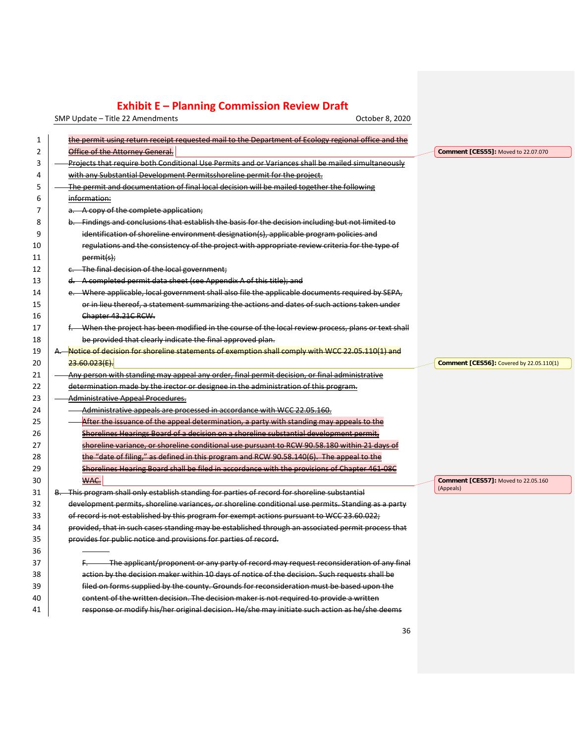SMP Update – Title 22 Amendments Controller Controller Controller Controller B. 2020

| 1  | the permit using return receipt requested mail to the Department of Ecology regional office and the  |                                                 |
|----|------------------------------------------------------------------------------------------------------|-------------------------------------------------|
| 2  | Office of the Attorney General.                                                                      | Comment [CES55]: Moved to 22.07.070             |
| 3  | Projects that require both Conditional Use Permits and or Variances shall be mailed simultaneously   |                                                 |
| 4  | with any Substantial Development Permitsshoreline permit for the project.                            |                                                 |
| 5  | The permit and documentation of final local decision will be mailed together the following           |                                                 |
| 6  | information:                                                                                         |                                                 |
| 7  | a. A copy of the complete application;                                                               |                                                 |
| 8  | b. Findings and conclusions that establish the basis for the decision including but not limited to   |                                                 |
| 9  | identification of shoreline environment designation(s), applicable program policies and              |                                                 |
| 10 | regulations and the consistency of the project with appropriate review criteria for the type of      |                                                 |
| 11 | permit(s);                                                                                           |                                                 |
| 12 | c. The final decision of the local government;                                                       |                                                 |
| 13 | d. A completed permit data sheet (see Appendix A of this title); and                                 |                                                 |
| 14 | e. Where applicable, local government shall also file the applicable documents required by SEPA,     |                                                 |
| 15 | or in lieu thereof, a statement summarizing the actions and dates of such actions taken under        |                                                 |
| 16 | Chapter 43.21C RCW.                                                                                  |                                                 |
| 17 | f. When the project has been modified in the course of the local review process, plans or text shall |                                                 |
| 18 | be provided that clearly indicate the final approved plan.                                           |                                                 |
| 19 | A. Notice of decision for shoreline statements of exemption shall comply with WCC 22.05.110(1) and   |                                                 |
| 20 | 23.60.023(E).                                                                                        | <b>Comment [CES56]:</b> Covered by 22.05.110(1) |
| 21 | Any person with standing may appeal any order, final permit decision, or final administrative        |                                                 |
| 22 | determination made by the irector or designee in the administration of this program.                 |                                                 |
| 23 | <b>Administrative Appeal Procedures.</b>                                                             |                                                 |
| 24 | Administrative appeals are processed in accordance with WCC 22.05.160.                               |                                                 |
| 25 | After the issuance of the appeal determination, a party with standing may appeals to the             |                                                 |
| 26 | Shorelines Hearings Board of a decision on a shoreline substantial development permit,               |                                                 |
| 27 | shoreline variance, or shoreline conditional use pursuant to RCW 90.58.180 within 21 days of         |                                                 |
| 28 | the "date of filing," as defined in this program and RCW 90.58.140(6). The appeal to the             |                                                 |
| 29 | Shorelines Hearing Board shall be filed in accordance with the provisions of Chapter 461 08C         |                                                 |
| 30 | WAC.                                                                                                 | Comment [CES57]: Moved to 22.05.160             |
| 31 | B. This program shall only establish standing for parties of record for shoreline substantial        | (Appeals)                                       |
| 32 | development permits, shoreline variances, or shoreline conditional use permits. Standing as a party  |                                                 |
| 33 | of record is not established by this program for exempt actions pursuant to WCC 23.60.022;           |                                                 |
| 34 | provided, that in such cases standing may be established through an associated permit process that   |                                                 |
| 35 | provides for public notice and provisions for parties of record.                                     |                                                 |
| 36 |                                                                                                      |                                                 |
| 37 | The applicant/proponent or any party of record may request reconsideration of any final<br>F.        |                                                 |
| 38 | action by the decision maker within 10 days of notice of the decision. Such requests shall be        |                                                 |
| 39 | filed on forms supplied by the county. Grounds for reconsideration must be based upon the            |                                                 |
| 40 | content of the written decision. The decision maker is not required to provide a written             |                                                 |

**response or modify his/her original decision. He/she may initiate such action as he/she deems**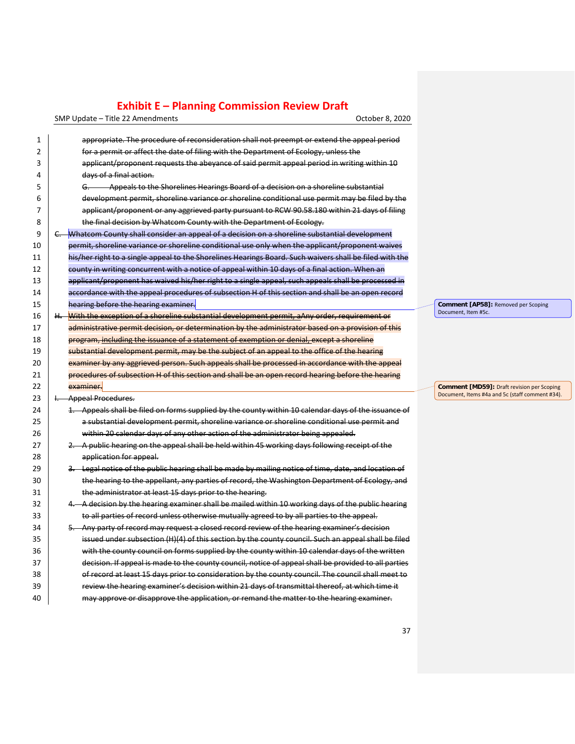SMP Update – Title 22 Amendments Controller Controller Controller Controller B. 2020

| 1  | appropriate. The procedure of reconsideration shall not preempt or extend the appeal period             |                   |
|----|---------------------------------------------------------------------------------------------------------|-------------------|
| 2  | for a permit or affect the date of filing with the Department of Ecology, unless the                    |                   |
| 3  | applicant/proponent requests the abeyance of said permit appeal period in writing within 10             |                   |
| 4  | days of a final action.                                                                                 |                   |
| 5  | Appeals to the Shorelines Hearings Board of a decision on a shoreline substantial<br>G.                 |                   |
| 6  | development permit, shoreline variance or shoreline conditional use permit may be filed by the          |                   |
| 7  | applicant/proponent or any aggrieved party pursuant to RCW 90.58.180 within 21 days of filing           |                   |
| 8  | the final decision by Whatcom County with the Department of Ecology.                                    |                   |
| 9  | Whatcom County shall consider an appeal of a decision on a shoreline substantial development<br>C.      |                   |
| 10 | permit, shoreline variance or shoreline conditional use only when the applicant/proponent waives        |                   |
| 11 | his/her right to a single appeal to the Shorelines Hearings Board. Such waivers shall be filed with the |                   |
| 12 | county in writing concurrent with a notice of appeal within 10 days of a final action. When an          |                   |
| 13 | applicant/proponent has waived his/her right to a single appeal, such appeals shall be processed in     |                   |
| 14 | accordance with the appeal procedures of subsection H of this section and shall be an open record       |                   |
| 15 | hearing before the hearing examiner.                                                                    | Comment [A]       |
| 16 | H. With the exception of a shoreline substantial development permit, aAny order, requirement or         | Document, Item    |
| 17 | administrative permit decision, or determination by the administrator based on a provision of this      |                   |
| 18 | program, including the issuance of a statement of exemption or denial, except a shoreline               |                   |
| 19 | substantial development permit, may be the subject of an appeal to the office of the hearing            |                   |
| 20 | examiner by any aggrieved person. Such appeals shall be processed in accordance with the appeal         |                   |
| 21 | procedures of subsection H of this section and shall be an open record hearing before the hearing       |                   |
| 22 | examiner.                                                                                               | <b>Comment [M</b> |
| 23 | I. Appeal Procedures.                                                                                   | Document, Item    |
| 24 | 1. Appeals shall be filed on forms supplied by the county within 10 calendar days of the issuance of    |                   |
| 25 | a substantial development permit, shoreline variance or shoreline conditional use permit and            |                   |
| 26 | within 20 calendar days of any other action of the administrator being appealed.                        |                   |
| 27 | 2. A public hearing on the appeal shall be held within 45 working days following receipt of the         |                   |
| 28 | application for appeal.                                                                                 |                   |
| 29 | 3. Legal notice of the public hearing shall be made by mailing notice of time, date, and location of    |                   |
| 30 | the hearing to the appellant, any parties of record, the Washington Department of Ecology, and          |                   |
| 31 | the administrator at least 15 days prior to the hearing.                                                |                   |
| 32 | 4. A decision by the hearing examiner shall be mailed within 10 working days of the public hearing      |                   |
| 33 | to all parties of record unless otherwise mutually agreed to by all parties to the appeal.              |                   |
| 34 | 5. Any party of record may request a closed record review of the hearing examiner's decision            |                   |
| 35 | issued under subsection (H)(4) of this section by the county council. Such an appeal shall be filed     |                   |
| 36 | with the county council on forms supplied by the county within 10 calendar days of the written          |                   |
| 37 | decision. If appeal is made to the county council, notice of appeal shall be provided to all parties    |                   |
| 38 | of record at least 15 days prior to consideration by the county council. The council shall meet to      |                   |
| 39 | review the hearing examiner's decision within 21 days of transmittal thereof, at which time it          |                   |
| 40 | may approve or disapprove the application, or remand the matter to the hearing examiner.                |                   |

**Comment [AP58]:** Removed per Scoping Document, Item #5c.

**Comment [MD59]:** Draft revision per Scoping Document, Items #4a and 5c (staff comment #34).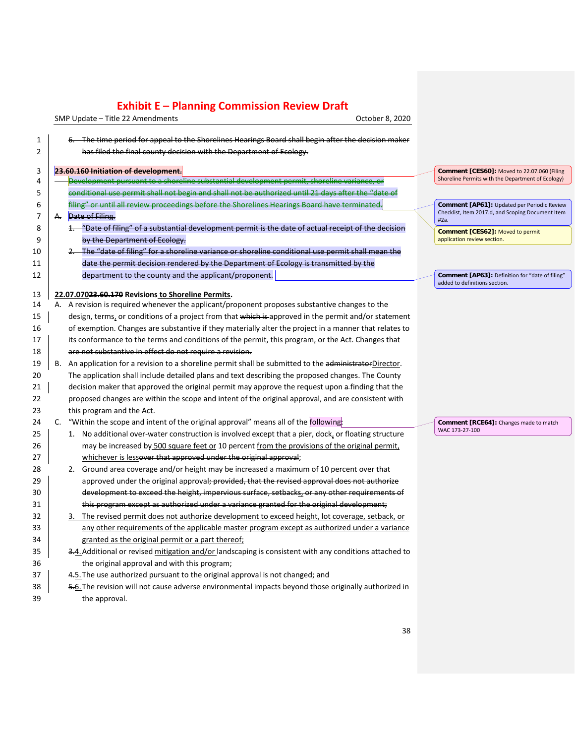SMP Update – Title 22 Amendments Controller and SMP Update – Title 22 Amendments

| 1              | 6. The time period for appeal to the Shorelines Hearings Board shall begin after the decision maker     |                                                           |
|----------------|---------------------------------------------------------------------------------------------------------|-----------------------------------------------------------|
| $\overline{2}$ | has filed the final county decision with the Department of Ecology.                                     |                                                           |
| 3              | 23.60.160 Initiation of development.                                                                    | Comment [CES60]: Moved to 22.07.060 (Filing               |
| 4              | Development pursuant to a shoreline substantial development permit, shoreline variance, or              | Shoreline Permits with the Department of Ecology)         |
| 5              | conditional use permit shall not begin and shall not be authorized until 21 days after the "date of     |                                                           |
| 6              | filing" or until all review proceedings before the Shorelines Hearings Board have terminated.           | Comment [AP61]: Updated per Periodic Review               |
| 7              | Date of Filing.<br>А.                                                                                   | Checklist, Item 2017.d, and Scoping Document Item<br>#2a. |
| 8              | 1. "Date of filing" of a substantial development permit is the date of actual receipt of the decision   | Comment [CES62]: Moved to permit                          |
| 9              | by the Department of Ecology.                                                                           | application review section.                               |
| 10             | 2. The "date of filing" for a shoreline variance or shoreline conditional use permit shall mean the     |                                                           |
| 11             | date the permit decision rendered by the Department of Ecology is transmitted by the                    |                                                           |
| 12             | department to the county and the applicant/proponent.                                                   | Comment [AP63]: Definition for "date of filing"           |
|                |                                                                                                         | added to definitions section.                             |
| 13             | 22.07.07023.60.170 Revisions to Shoreline Permits.                                                      |                                                           |
| 14             | A. A revision is required whenever the applicant/proponent proposes substantive changes to the          |                                                           |
| 15             | design, terms, or conditions of a project from that which is approved in the permit and/or statement    |                                                           |
| 16             | of exemption. Changes are substantive if they materially alter the project in a manner that relates to  |                                                           |
| 17             | its conformance to the terms and conditions of the permit, this program, or the Act. Changes that       |                                                           |
| 18             | are not substantive in effect do not require a revision.                                                |                                                           |
| 19             | B. An application for a revision to a shoreline permit shall be submitted to the administratorDirector. |                                                           |
| 20             | The application shall include detailed plans and text describing the proposed changes. The County       |                                                           |
| 21             | decision maker that approved the original permit may approve the request upon a-finding that the        |                                                           |
| 22             | proposed changes are within the scope and intent of the original approval, and are consistent with      |                                                           |
| 23             | this program and the Act.                                                                               |                                                           |
| 24             | "Within the scope and intent of the original approval" means all of the following:<br>C.                | Comment [RCE64]: Changes made to match                    |
| 25             | 1. No additional over-water construction is involved except that a pier, dock, or floating structure    | WAC 173-27-100                                            |
| 26             | may be increased by 500 square feet or 10 percent from the provisions of the original permit,           |                                                           |
| 27             | whichever is lessover that approved under the original approval;                                        |                                                           |
| 28             | 2. Ground area coverage and/or height may be increased a maximum of 10 percent over that                |                                                           |
| 29             | approved under the original approval; provided, that the revised approval does not authorize            |                                                           |
| 30             | development to exceed the height, impervious surface, setbacks, or any other requirements of            |                                                           |
| 31             | this program except as authorized under a variance granted for the original development;                |                                                           |
| 32             | The revised permit does not authorize development to exceed height, lot coverage, setback, or           |                                                           |
| 33             | any other requirements of the applicable master program except as authorized under a variance           |                                                           |
| 34             | granted as the original permit or a part thereof;                                                       |                                                           |
| 35             | 3.4. Additional or revised mitigation and/or landscaping is consistent with any conditions attached to  |                                                           |
| 36             | the original approval and with this program;                                                            |                                                           |
| 37             | 4.5. The use authorized pursuant to the original approval is not changed; and                           |                                                           |
| 38             | 5.6. The revision will not cause adverse environmental impacts beyond those originally authorized in    |                                                           |
| 39             | the approval.                                                                                           |                                                           |
|                |                                                                                                         |                                                           |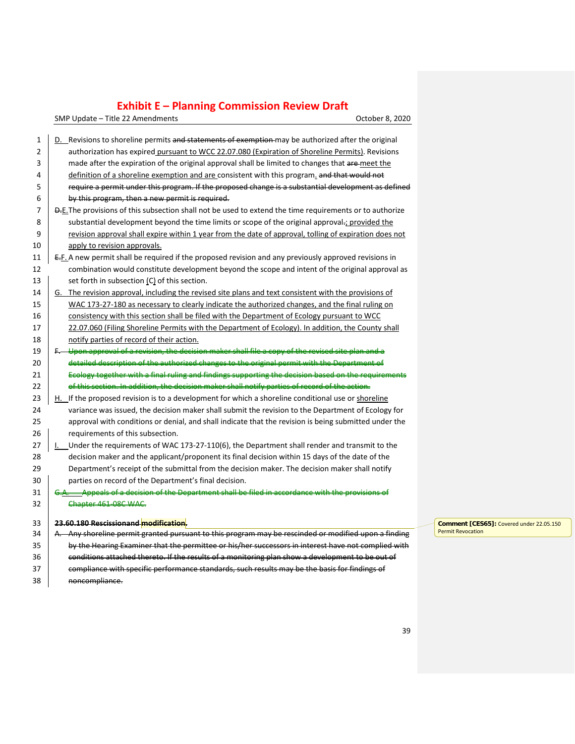SMP Update – Title 22 Amendments Controller Controller Controller Controller B. 2020

| 1  | D. Revisions to shoreline permits and statements of exemption may be authorized after the original                                                                                                |
|----|---------------------------------------------------------------------------------------------------------------------------------------------------------------------------------------------------|
| 2  | authorization has expired pursuant to WCC 22.07.080 (Expiration of Shoreline Permits). Revisions                                                                                                  |
| 3  | made after the expiration of the original approval shall be limited to changes that are-meet the                                                                                                  |
| 4  | definition of a shoreline exemption and are consistent with this program. and that would not                                                                                                      |
| 5  | require a permit under this program. If the proposed change is a substantial development as defined                                                                                               |
| 6  | by this program, then a new permit is required.                                                                                                                                                   |
| 7  | D.E. The provisions of this subsection shall not be used to extend the time requirements or to authorize                                                                                          |
| 8  | substantial development beyond the time limits or scope of the original approval-; provided the                                                                                                   |
| 9  | revision approval shall expire within 1 year from the date of approval, tolling of expiration does not                                                                                            |
| 10 | apply to revision approvals.                                                                                                                                                                      |
| 11 | E.F. A new permit shall be required if the proposed revision and any previously approved revisions in                                                                                             |
| 12 | combination would constitute development beyond the scope and intent of the original approval as                                                                                                  |
| 13 | set forth in subsection (C) of this section.                                                                                                                                                      |
| 14 | G. The revision approval, including the revised site plans and text consistent with the provisions of                                                                                             |
| 15 | WAC 173-27-180 as necessary to clearly indicate the authorized changes, and the final ruling on                                                                                                   |
| 16 | consistency with this section shall be filed with the Department of Ecology pursuant to WCC                                                                                                       |
| 17 | 22.07.060 (Filing Shoreline Permits with the Department of Ecology). In addition, the County shall                                                                                                |
| 18 | notify parties of record of their action.                                                                                                                                                         |
| 19 | Upon approval of a revision, the decision maker shall file a copy of the revised site plan and a                                                                                                  |
| 20 | detailed description of the authorized changes to the original permit with the Department of                                                                                                      |
| 21 | Ecology together with a final ruling and findings supporting the decision based on the requirements                                                                                               |
| 22 | of this section. In addition, the decision maker shall notify parties of record of the action.                                                                                                    |
|    |                                                                                                                                                                                                   |
| 23 | H. If the proposed revision is to a development for which a shoreline conditional use or shoreline                                                                                                |
| 24 | variance was issued, the decision maker shall submit the revision to the Department of Ecology for                                                                                                |
| 25 | approval with conditions or denial, and shall indicate that the revision is being submitted under the                                                                                             |
| 26 | requirements of this subsection.                                                                                                                                                                  |
| 27 | Under the requirements of WAC 173-27-110(6), the Department shall render and transmit to the                                                                                                      |
| 28 | decision maker and the applicant/proponent its final decision within 15 days of the date of the                                                                                                   |
| 29 | Department's receipt of the submittal from the decision maker. The decision maker shall notify                                                                                                    |
| 30 | parties on record of the Department's final decision.                                                                                                                                             |
| 31 | Appeals of a decision of the Department shall be filed in accordance with the provisio                                                                                                            |
| 32 | Chapter 461-08C WAC.                                                                                                                                                                              |
| 33 | 23.60.180 Rescissionand modification.                                                                                                                                                             |
| 34 | A. Any shoreline permit granted pursuant to this program may be rescinded or modified upon a finding                                                                                              |
| 35 | by the Hearing Examiner that the permittee or his/her successors in interest have not complied with                                                                                               |
| 36 | conditions attached thereto. If the results of a monitoring plan show a development to be out of<br>compliance with specific performance standards, such results may be the basis for findings of |

38 noncompliance.

**Comment [CES65]:** Covered under 22.05.150 Permit Revocation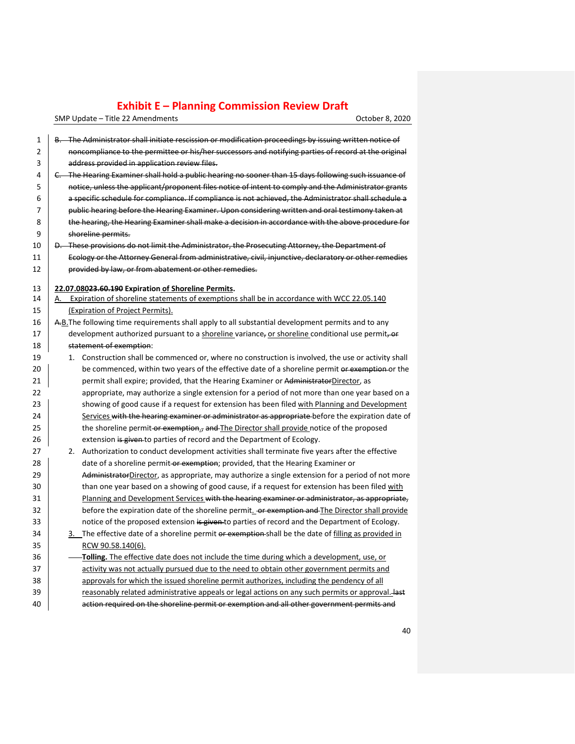SMP Update – Title 22 Amendments Controller Controller Controller Controller B. 2020

| 1              | B. The Administrator shall initiate rescission or modification proceedings by issuing written notice of |
|----------------|---------------------------------------------------------------------------------------------------------|
| $\overline{2}$ | noncompliance to the permittee or his/her successors and notifying parties of record at the original    |
| 3              | address provided in application review files.                                                           |
| 4              | C. The Hearing Examiner shall hold a public hearing no sooner than 15 days following such issuance of   |
| 5              | notice, unless the applicant/proponent files notice of intent to comply and the Administrator grants    |
| 6              | a specific schedule for compliance. If compliance is not achieved, the Administrator shall schedule a   |
| 7              | public hearing before the Hearing Examiner. Upon considering written and oral testimony taken at        |
| 8              | the hearing, the Hearing Examiner shall make a decision in accordance with the above procedure for      |
| 9              | shoreline permits.                                                                                      |
| 10             | D. These provisions do not limit the Administrator, the Prosecuting Attorney, the Department of         |
| 11             | Ecology or the Attorney General from administrative, civil, injunctive, declaratory or other remedies   |
| 12             | provided by law, or from abatement or other remedies.                                                   |
| 13             | 22.07.08023.60.190 Expiration of Shoreline Permits.                                                     |
| 14             | A. Expiration of shoreline statements of exemptions shall be in accordance with WCC 22.05.140           |
| 15             | (Expiration of Project Permits).                                                                        |
| 16             | A-B. The following time requirements shall apply to all substantial development permits and to any      |
| 17             | development authorized pursuant to a shoreline variance, or shoreline conditional use permit, or        |
| 18             | statement of exemption:                                                                                 |
| 19             | 1. Construction shall be commenced or, where no construction is involved, the use or activity shall     |
| 20             | be commenced, within two years of the effective date of a shoreline permit or exemption or the          |
| 21             | permit shall expire; provided, that the Hearing Examiner or AdministratorDirector, as                   |
| 22             | appropriate, may authorize a single extension for a period of not more than one year based on a         |
| 23             | showing of good cause if a request for extension has been filed with Planning and Development           |
| 24             | Services with the hearing examiner or administrator as appropriate before the expiration date of        |
| 25             | the shoreline permit-or exemption., and The Director shall provide notice of the proposed               |
| 26             | extension is given to parties of record and the Department of Ecology.                                  |
| 27             | 2. Authorization to conduct development activities shall terminate five years after the effective       |
| 28             | date of a shoreline permit or exemption; provided, that the Hearing Examiner or                         |
| 29             | AdministratorDirector, as appropriate, may authorize a single extension for a period of not more        |
| 30             | than one year based on a showing of good cause, if a request for extension has been filed with          |
| 31             | Planning and Development Services with the hearing examiner or administrator, as appropriate,           |
| 32             | before the expiration date of the shoreline permit. Or exemption and The Director shall provide         |
| 33             | notice of the proposed extension is given to parties of record and the Department of Ecology.           |
| 34             | 3. The effective date of a shoreline permit or exemption shall be the date of filling as provided in    |
| 35             | RCW 90.58.140(6).                                                                                       |
| 36             | <b>Tolling.</b> The effective date does not include the time during which a development, use, or        |
| 37             | activity was not actually pursued due to the need to obtain other government permits and                |
| 38             | approvals for which the issued shoreline permit authorizes, including the pendency of all               |
| 39             | reasonably related administrative appeals or legal actions on any such permits or approval. Hast        |
| 40             | action required on the shoreline permit or exemption and all other government permits and               |
|                |                                                                                                         |